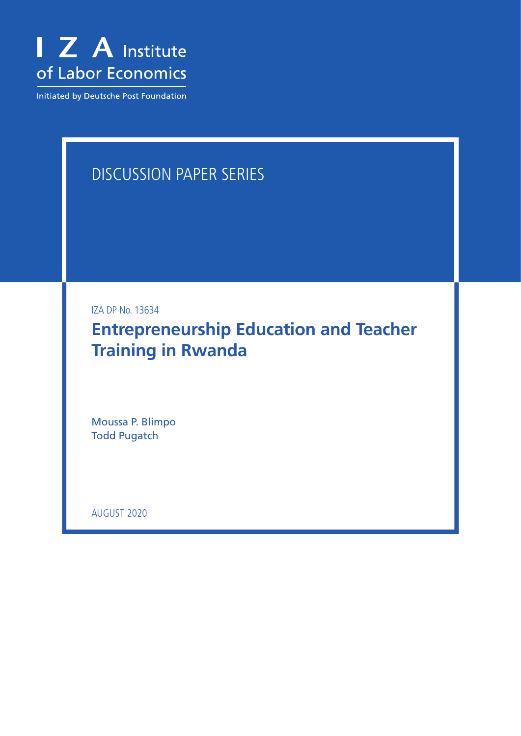

Initiated by Deutsche Post Foundation

# DISCUSSION PAPER SERIES

IZA DP No. 13634

**Entrepreneurship Education and Teacher Training in Rwanda**

Moussa P. Blimpo Todd Pugatch

AUGUST 2020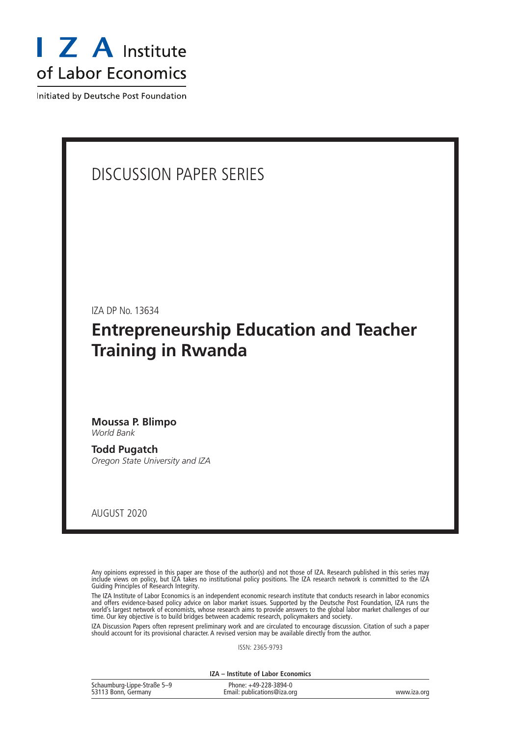

Initiated by Deutsche Post Foundation

# DISCUSSION PAPER SERIES

IZA DP No. 13634

# **Entrepreneurship Education and Teacher Training in Rwanda**

### **Moussa P. Blimpo** *World Bank*

**Todd Pugatch** *Oregon State University and IZA*

AUGUST 2020

Any opinions expressed in this paper are those of the author(s) and not those of IZA. Research published in this series may include views on policy, but IZA takes no institutional policy positions. The IZA research network is committed to the IZA Guiding Principles of Research Integrity.

The IZA Institute of Labor Economics is an independent economic research institute that conducts research in labor economics and offers evidence-based policy advice on labor market issues. Supported by the Deutsche Post Foundation, IZA runs the world's largest network of economists, whose research aims to provide answers to the global labor market challenges of our time. Our key objective is to build bridges between academic research, policymakers and society.

IZA Discussion Papers often represent preliminary work and are circulated to encourage discussion. Citation of such a paper should account for its provisional character. A revised version may be available directly from the author.

ISSN: 2365-9793

**IZA – Institute of Labor Economics**

| Schaumburg-Lippe-Straße 5-9 | Phone: +49-228-3894-0       |             |
|-----------------------------|-----------------------------|-------------|
| 53113 Bonn, Germany         | Email: publications@iza.org | www.iza.org |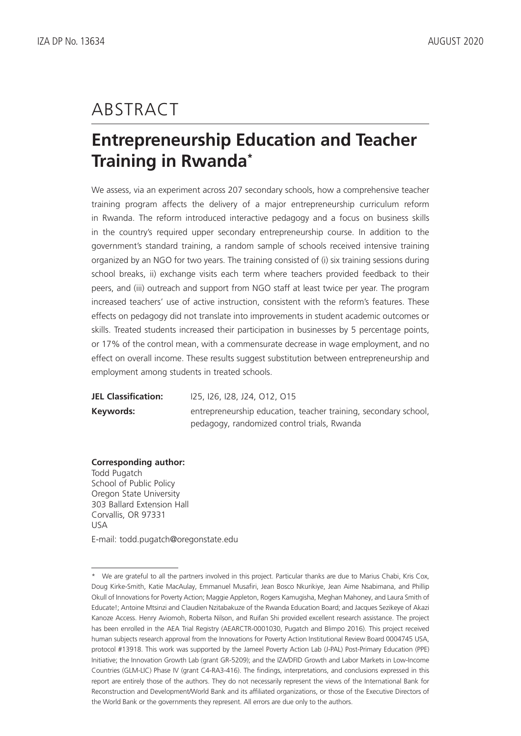# ABSTRACT

# **Entrepreneurship Education and Teacher Training in Rwanda\***

We assess, via an experiment across 207 secondary schools, how a comprehensive teacher training program affects the delivery of a major entrepreneurship curriculum reform in Rwanda. The reform introduced interactive pedagogy and a focus on business skills in the country's required upper secondary entrepreneurship course. In addition to the government's standard training, a random sample of schools received intensive training organized by an NGO for two years. The training consisted of (i) six training sessions during school breaks, ii) exchange visits each term where teachers provided feedback to their peers, and (iii) outreach and support from NGO staff at least twice per year. The program increased teachers' use of active instruction, consistent with the reform's features. These effects on pedagogy did not translate into improvements in student academic outcomes or skills. Treated students increased their participation in businesses by 5 percentage points, or 17% of the control mean, with a commensurate decrease in wage employment, and no effect on overall income. These results suggest substitution between entrepreneurship and employment among students in treated schools.

**JEL Classification:** I25, I26, I28, J24, O12, O15 **Keywords:** entrepreneurship education, teacher training, secondary school, pedagogy, randomized control trials, Rwanda

### **Corresponding author:**

Todd Pugatch School of Public Policy Oregon State University 303 Ballard Extension Hall Corvallis, OR 97331 USA

E-mail: todd.pugatch@oregonstate.edu

<sup>\*</sup> We are grateful to all the partners involved in this project. Particular thanks are due to Marius Chabi, Kris Cox, Doug Kirke-Smith, Katie MacAulay, Emmanuel Musafiri, Jean Bosco Nkurikiye, Jean Aime Nsabimana, and Phillip Okull of Innovations for Poverty Action; Maggie Appleton, Rogers Kamugisha, Meghan Mahoney, and Laura Smith of Educate!; Antoine Mtsinzi and Claudien Nzitabakuze of the Rwanda Education Board; and Jacques Sezikeye of Akazi Kanoze Access. Henry Aviomoh, Roberta Nilson, and Ruifan Shi provided excellent research assistance. The project has been enrolled in the AEA Trial Registry (AEARCTR-0001030, Pugatch and Blimpo 2016). This project received human subjects research approval from the Innovations for Poverty Action Institutional Review Board 0004745 USA, protocol #13918. This work was supported by the Jameel Poverty Action Lab (J-PAL) Post-Primary Education (PPE) Initiative; the Innovation Growth Lab (grant GR-5209); and the IZA/DFID Growth and Labor Markets in Low-Income Countries (GLM-LIC) Phase IV (grant C4-RA3-416). The findings, interpretations, and conclusions expressed in this report are entirely those of the authors. They do not necessarily represent the views of the International Bank for Reconstruction and Development/World Bank and its affiliated organizations, or those of the Executive Directors of the World Bank or the governments they represent. All errors are due only to the authors.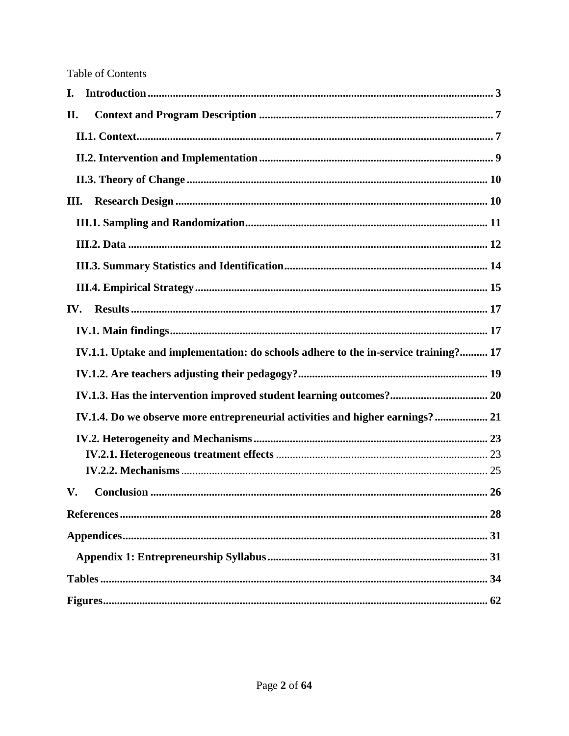| I.  |                                                                                     |  |
|-----|-------------------------------------------------------------------------------------|--|
| П.  |                                                                                     |  |
|     |                                                                                     |  |
|     |                                                                                     |  |
|     |                                                                                     |  |
| Ш.  |                                                                                     |  |
|     |                                                                                     |  |
|     |                                                                                     |  |
|     |                                                                                     |  |
|     |                                                                                     |  |
| IV. |                                                                                     |  |
|     |                                                                                     |  |
|     | IV.1.1. Uptake and implementation: do schools adhere to the in-service training? 17 |  |
|     |                                                                                     |  |
|     |                                                                                     |  |
|     | IV.1.4. Do we observe more entrepreneurial activities and higher earnings? 21       |  |
|     |                                                                                     |  |
|     |                                                                                     |  |
|     |                                                                                     |  |
| V.  |                                                                                     |  |
|     |                                                                                     |  |
|     |                                                                                     |  |
|     |                                                                                     |  |
|     |                                                                                     |  |
|     |                                                                                     |  |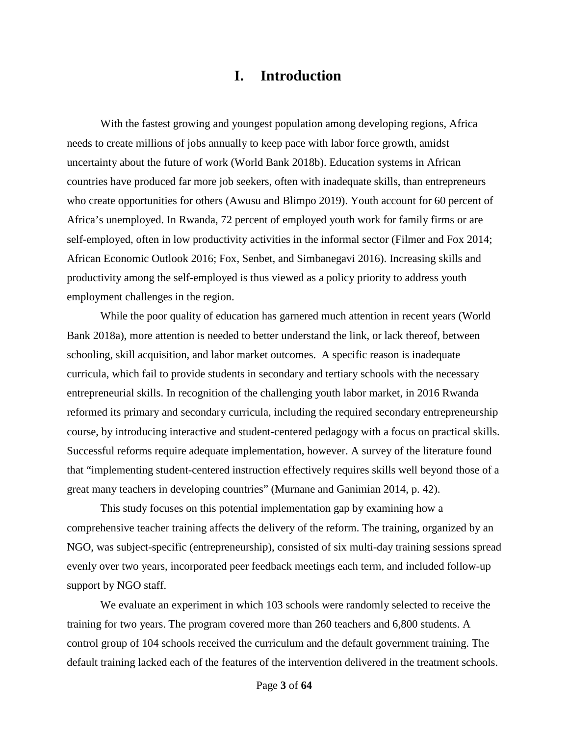# **I. Introduction**

<span id="page-4-0"></span>With the fastest growing and youngest population among developing regions, Africa needs to create millions of jobs annually to keep pace with labor force growth, amidst uncertainty about the future of work (World Bank 2018b). Education systems in African countries have produced far more job seekers, often with inadequate skills, than entrepreneurs who create opportunities for others (Awusu and Blimpo 2019). Youth account for 60 percent of Africa's unemployed. In Rwanda, 72 percent of employed youth work for family firms or are self-employed, often in low productivity activities in the informal sector (Filmer and Fox 2014; African Economic Outlook 2016; Fox, Senbet, and Simbanegavi 2016). Increasing skills and productivity among the self-employed is thus viewed as a policy priority to address youth employment challenges in the region.

While the poor quality of education has garnered much attention in recent years (World Bank 2018a), more attention is needed to better understand the link, or lack thereof, between schooling, skill acquisition, and labor market outcomes. A specific reason is inadequate curricula, which fail to provide students in secondary and tertiary schools with the necessary entrepreneurial skills. In recognition of the challenging youth labor market, in 2016 Rwanda reformed its primary and secondary curricula, including the required secondary entrepreneurship course, by introducing interactive and student-centered pedagogy with a focus on practical skills. Successful reforms require adequate implementation, however. A survey of the literature found that "implementing student-centered instruction effectively requires skills well beyond those of a great many teachers in developing countries" (Murnane and Ganimian 2014, p. 42).

This study focuses on this potential implementation gap by examining how a comprehensive teacher training affects the delivery of the reform. The training, organized by an NGO, was subject-specific (entrepreneurship), consisted of six multi-day training sessions spread evenly over two years, incorporated peer feedback meetings each term, and included follow-up support by NGO staff.

We evaluate an experiment in which 103 schools were randomly selected to receive the training for two years. The program covered more than 260 teachers and 6,800 students. A control group of 104 schools received the curriculum and the default government training. The default training lacked each of the features of the intervention delivered in the treatment schools.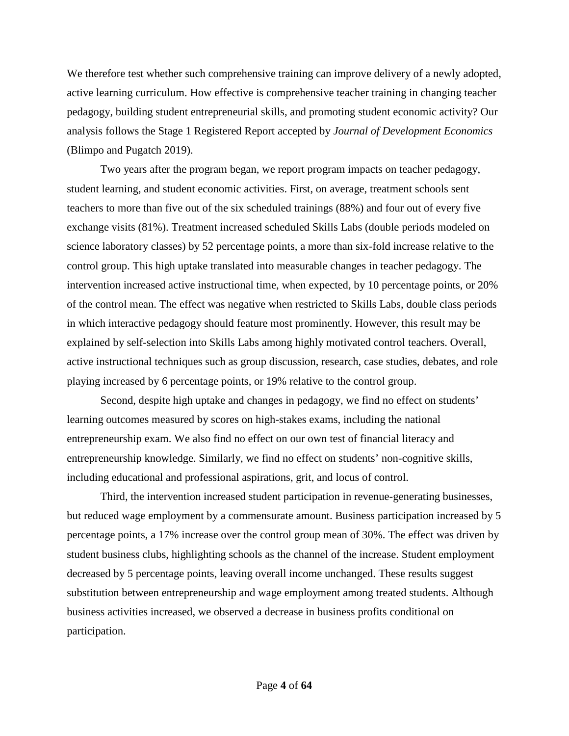We therefore test whether such comprehensive training can improve delivery of a newly adopted, active learning curriculum. How effective is comprehensive teacher training in changing teacher pedagogy, building student entrepreneurial skills, and promoting student economic activity? Our analysis follows the Stage 1 Registered Report accepted by *Journal of Development Economics* (Blimpo and Pugatch 2019).

Two years after the program began, we report program impacts on teacher pedagogy, student learning, and student economic activities. First, on average, treatment schools sent teachers to more than five out of the six scheduled trainings (88%) and four out of every five exchange visits (81%). Treatment increased scheduled Skills Labs (double periods modeled on science laboratory classes) by 52 percentage points, a more than six-fold increase relative to the control group. This high uptake translated into measurable changes in teacher pedagogy. The intervention increased active instructional time, when expected, by 10 percentage points, or 20% of the control mean. The effect was negative when restricted to Skills Labs, double class periods in which interactive pedagogy should feature most prominently. However, this result may be explained by self-selection into Skills Labs among highly motivated control teachers. Overall, active instructional techniques such as group discussion, research, case studies, debates, and role playing increased by 6 percentage points, or 19% relative to the control group.

Second, despite high uptake and changes in pedagogy, we find no effect on students' learning outcomes measured by scores on high-stakes exams, including the national entrepreneurship exam. We also find no effect on our own test of financial literacy and entrepreneurship knowledge. Similarly, we find no effect on students' non-cognitive skills, including educational and professional aspirations, grit, and locus of control.

Third, the intervention increased student participation in revenue-generating businesses, but reduced wage employment by a commensurate amount. Business participation increased by 5 percentage points, a 17% increase over the control group mean of 30%. The effect was driven by student business clubs, highlighting schools as the channel of the increase. Student employment decreased by 5 percentage points, leaving overall income unchanged. These results suggest substitution between entrepreneurship and wage employment among treated students. Although business activities increased, we observed a decrease in business profits conditional on participation.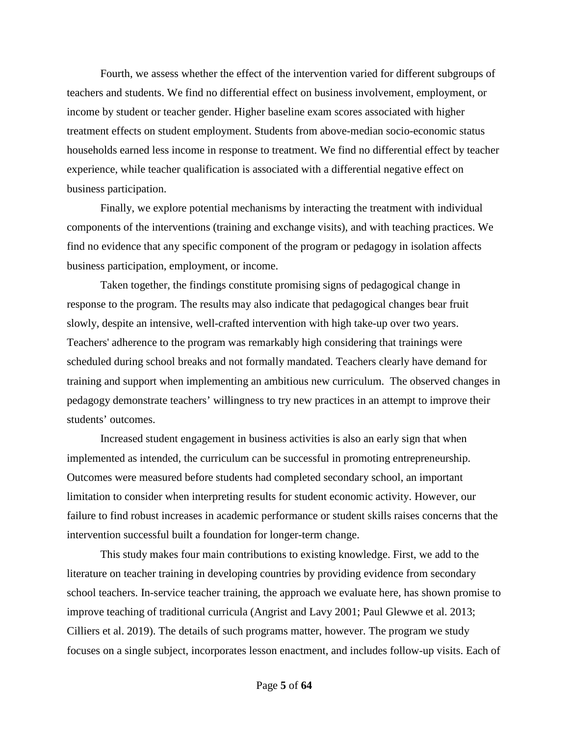Fourth, we assess whether the effect of the intervention varied for different subgroups of teachers and students. We find no differential effect on business involvement, employment, or income by student or teacher gender. Higher baseline exam scores associated with higher treatment effects on student employment. Students from above-median socio-economic status households earned less income in response to treatment. We find no differential effect by teacher experience, while teacher qualification is associated with a differential negative effect on business participation.

Finally, we explore potential mechanisms by interacting the treatment with individual components of the interventions (training and exchange visits), and with teaching practices. We find no evidence that any specific component of the program or pedagogy in isolation affects business participation, employment, or income.

Taken together, the findings constitute promising signs of pedagogical change in response to the program. The results may also indicate that pedagogical changes bear fruit slowly, despite an intensive, well-crafted intervention with high take-up over two years. Teachers' adherence to the program was remarkably high considering that trainings were scheduled during school breaks and not formally mandated. Teachers clearly have demand for training and support when implementing an ambitious new curriculum. The observed changes in pedagogy demonstrate teachers' willingness to try new practices in an attempt to improve their students' outcomes.

Increased student engagement in business activities is also an early sign that when implemented as intended, the curriculum can be successful in promoting entrepreneurship. Outcomes were measured before students had completed secondary school, an important limitation to consider when interpreting results for student economic activity. However, our failure to find robust increases in academic performance or student skills raises concerns that the intervention successful built a foundation for longer-term change.

This study makes four main contributions to existing knowledge. First, we add to the literature on teacher training in developing countries by providing evidence from secondary school teachers. In-service teacher training, the approach we evaluate here, has shown promise to improve teaching of traditional curricula (Angrist and Lavy 2001; Paul Glewwe et al. 2013; Cilliers et al. 2019). The details of such programs matter, however. The program we study focuses on a single subject, incorporates lesson enactment, and includes follow-up visits. Each of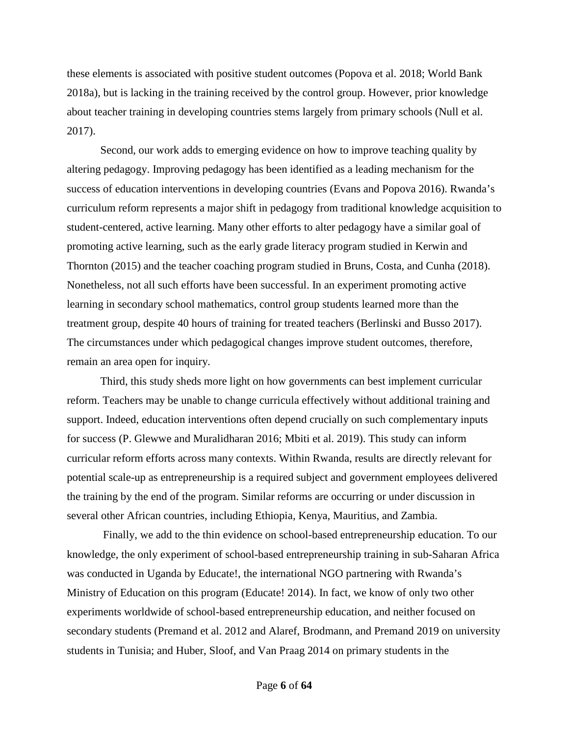these elements is associated with positive student outcomes (Popova et al. 2018; World Bank 2018a), but is lacking in the training received by the control group. However, prior knowledge about teacher training in developing countries stems largely from primary schools (Null et al. 2017).

Second, our work adds to emerging evidence on how to improve teaching quality by altering pedagogy. Improving pedagogy has been identified as a leading mechanism for the success of education interventions in developing countries (Evans and Popova 2016). Rwanda's curriculum reform represents a major shift in pedagogy from traditional knowledge acquisition to student-centered, active learning. Many other efforts to alter pedagogy have a similar goal of promoting active learning, such as the early grade literacy program studied in Kerwin and Thornton (2015) and the teacher coaching program studied in Bruns, Costa, and Cunha (2018). Nonetheless, not all such efforts have been successful. In an experiment promoting active learning in secondary school mathematics, control group students learned more than the treatment group, despite 40 hours of training for treated teachers (Berlinski and Busso 2017). The circumstances under which pedagogical changes improve student outcomes, therefore, remain an area open for inquiry.

Third, this study sheds more light on how governments can best implement curricular reform. Teachers may be unable to change curricula effectively without additional training and support. Indeed, education interventions often depend crucially on such complementary inputs for success (P. Glewwe and Muralidharan 2016; Mbiti et al. 2019). This study can inform curricular reform efforts across many contexts. Within Rwanda, results are directly relevant for potential scale-up as entrepreneurship is a required subject and government employees delivered the training by the end of the program. Similar reforms are occurring or under discussion in several other African countries, including Ethiopia, Kenya, Mauritius, and Zambia.

Finally, we add to the thin evidence on school-based entrepreneurship education. To our knowledge, the only experiment of school-based entrepreneurship training in sub-Saharan Africa was conducted in Uganda by Educate!, the international NGO partnering with Rwanda's Ministry of Education on this program (Educate! 2014). In fact, we know of only two other experiments worldwide of school-based entrepreneurship education, and neither focused on secondary students (Premand et al. 2012 and Alaref, Brodmann, and Premand 2019 on university students in Tunisia; and Huber, Sloof, and Van Praag 2014 on primary students in the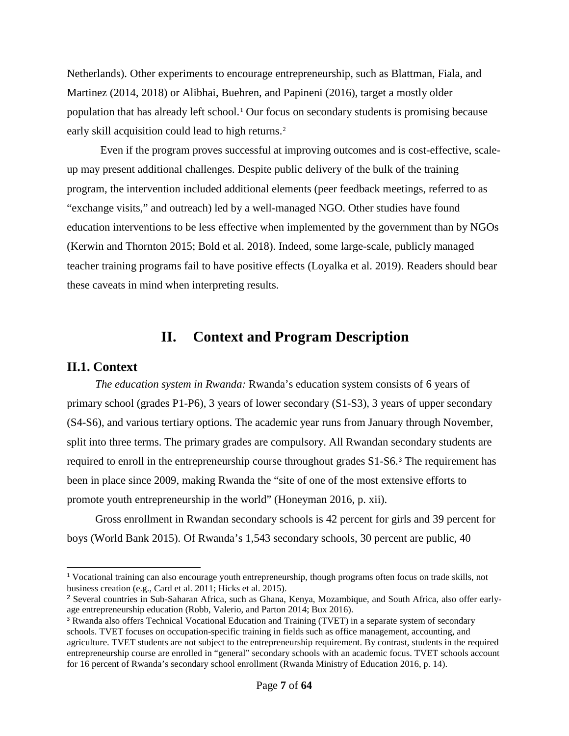Netherlands). Other experiments to encourage entrepreneurship, such as Blattman, Fiala, and Martinez (2014, 2018) or Alibhai, Buehren, and Papineni (2016), target a mostly older population that has already left school.[1](#page-8-2) Our focus on secondary students is promising because early skill acquisition could lead to high returns.<sup>[2](#page-8-3)</sup>

Even if the program proves successful at improving outcomes and is cost-effective, scaleup may present additional challenges. Despite public delivery of the bulk of the training program, the intervention included additional elements (peer feedback meetings, referred to as "exchange visits," and outreach) led by a well-managed NGO. Other studies have found education interventions to be less effective when implemented by the government than by NGOs (Kerwin and Thornton 2015; Bold et al. 2018). Indeed, some large-scale, publicly managed teacher training programs fail to have positive effects (Loyalka et al. 2019). Readers should bear these caveats in mind when interpreting results.

# **II. Context and Program Description**

### <span id="page-8-1"></span><span id="page-8-0"></span>**II.1. Context**

j

*The education system in Rwanda:* Rwanda's education system consists of 6 years of primary school (grades P1-P6), 3 years of lower secondary (S1-S3), 3 years of upper secondary (S4-S6), and various tertiary options. The academic year runs from January through November, split into three terms. The primary grades are compulsory. All Rwandan secondary students are required to enroll in the entrepreneurship course throughout grades S1-S6.[3](#page-8-4) The requirement has been in place since 2009, making Rwanda the "site of one of the most extensive efforts to promote youth entrepreneurship in the world" (Honeyman 2016, p. xii).

Gross enrollment in Rwandan secondary schools is 42 percent for girls and 39 percent for boys (World Bank 2015). Of Rwanda's 1,543 secondary schools, 30 percent are public, 40

<span id="page-8-2"></span><sup>&</sup>lt;sup>1</sup> Vocational training can also encourage youth entrepreneurship, though programs often focus on trade skills, not business creation (e.g., Card et al. 2011; Hicks et al. 2015).

<span id="page-8-3"></span><sup>&</sup>lt;sup>2</sup> Several countries in Sub-Saharan Africa, such as Ghana, Kenya, Mozambique, and South Africa, also offer earlyage entrepreneurship education (Robb, Valerio, and Parton 2014; Bux 2016).

<span id="page-8-4"></span><sup>&</sup>lt;sup>3</sup> Rwanda also offers Technical Vocational Education and Training (TVET) in a separate system of secondary schools. TVET focuses on occupation-specific training in fields such as office management, accounting, and agriculture. TVET students are not subject to the entrepreneurship requirement. By contrast, students in the required entrepreneurship course are enrolled in "general" secondary schools with an academic focus. TVET schools account for 16 percent of Rwanda's secondary school enrollment (Rwanda Ministry of Education 2016, p. 14).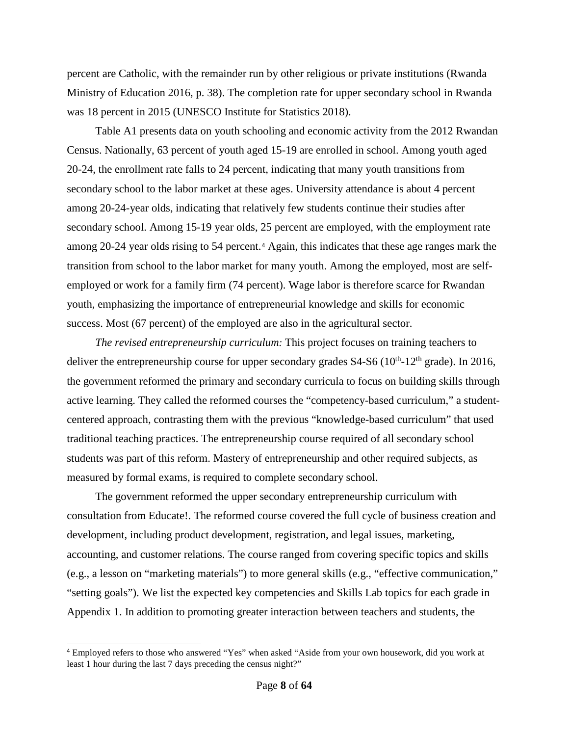percent are Catholic, with the remainder run by other religious or private institutions (Rwanda Ministry of Education 2016, p. 38). The completion rate for upper secondary school in Rwanda was 18 percent in 2015 (UNESCO Institute for Statistics 2018).

Table A1 presents data on youth schooling and economic activity from the 2012 Rwandan Census. Nationally, 63 percent of youth aged 15-19 are enrolled in school. Among youth aged 20-24, the enrollment rate falls to 24 percent, indicating that many youth transitions from secondary school to the labor market at these ages. University attendance is about 4 percent among 20-24-year olds, indicating that relatively few students continue their studies after secondary school. Among 15-19 year olds, 25 percent are employed, with the employment rate among 20-24 year olds rising to 54 percent.[4](#page-9-0) Again, this indicates that these age ranges mark the transition from school to the labor market for many youth. Among the employed, most are selfemployed or work for a family firm (74 percent). Wage labor is therefore scarce for Rwandan youth, emphasizing the importance of entrepreneurial knowledge and skills for economic success. Most (67 percent) of the employed are also in the agricultural sector.

*The revised entrepreneurship curriculum:* This project focuses on training teachers to deliver the entrepreneurship course for upper secondary grades  $S4-S6$  ( $10^{th}$ - $12^{th}$  grade). In 2016, the government reformed the primary and secondary curricula to focus on building skills through active learning. They called the reformed courses the "competency-based curriculum," a studentcentered approach, contrasting them with the previous "knowledge-based curriculum" that used traditional teaching practices. The entrepreneurship course required of all secondary school students was part of this reform. Mastery of entrepreneurship and other required subjects, as measured by formal exams, is required to complete secondary school.

The government reformed the upper secondary entrepreneurship curriculum with consultation from Educate!. The reformed course covered the full cycle of business creation and development, including product development, registration, and legal issues, marketing, accounting, and customer relations. The course ranged from covering specific topics and skills (e.g., a lesson on "marketing materials") to more general skills (e.g., "effective communication," "setting goals"). We list the expected key competencies and Skills Lab topics for each grade in Appendix 1. In addition to promoting greater interaction between teachers and students, the

-

<span id="page-9-0"></span><sup>4</sup> Employed refers to those who answered "Yes" when asked "Aside from your own housework, did you work at least 1 hour during the last 7 days preceding the census night?"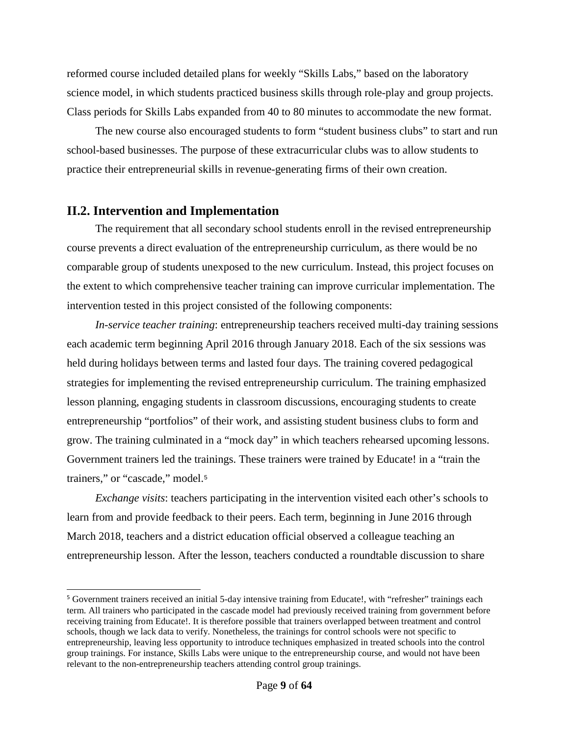reformed course included detailed plans for weekly "Skills Labs," based on the laboratory science model, in which students practiced business skills through role-play and group projects. Class periods for Skills Labs expanded from 40 to 80 minutes to accommodate the new format.

The new course also encouraged students to form "student business clubs" to start and run school-based businesses. The purpose of these extracurricular clubs was to allow students to practice their entrepreneurial skills in revenue-generating firms of their own creation.

## <span id="page-10-0"></span>**II.2. Intervention and Implementation**

l

The requirement that all secondary school students enroll in the revised entrepreneurship course prevents a direct evaluation of the entrepreneurship curriculum, as there would be no comparable group of students unexposed to the new curriculum. Instead, this project focuses on the extent to which comprehensive teacher training can improve curricular implementation. The intervention tested in this project consisted of the following components:

*In-service teacher training*: entrepreneurship teachers received multi-day training sessions each academic term beginning April 2016 through January 2018. Each of the six sessions was held during holidays between terms and lasted four days. The training covered pedagogical strategies for implementing the revised entrepreneurship curriculum. The training emphasized lesson planning, engaging students in classroom discussions, encouraging students to create entrepreneurship "portfolios" of their work, and assisting student business clubs to form and grow. The training culminated in a "mock day" in which teachers rehearsed upcoming lessons. Government trainers led the trainings. These trainers were trained by Educate! in a "train the trainers," or "cascade," model.[5](#page-10-1)

*Exchange visits*: teachers participating in the intervention visited each other's schools to learn from and provide feedback to their peers. Each term, beginning in June 2016 through March 2018, teachers and a district education official observed a colleague teaching an entrepreneurship lesson. After the lesson, teachers conducted a roundtable discussion to share

<span id="page-10-1"></span><sup>5</sup> Government trainers received an initial 5-day intensive training from Educate!, with "refresher" trainings each term. All trainers who participated in the cascade model had previously received training from government before receiving training from Educate!. It is therefore possible that trainers overlapped between treatment and control schools, though we lack data to verify. Nonetheless, the trainings for control schools were not specific to entrepreneurship, leaving less opportunity to introduce techniques emphasized in treated schools into the control group trainings. For instance, Skills Labs were unique to the entrepreneurship course, and would not have been relevant to the non-entrepreneurship teachers attending control group trainings.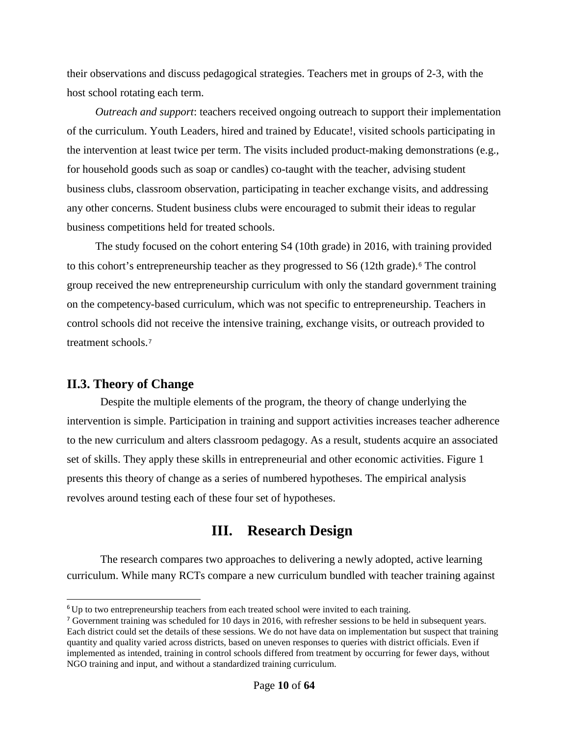their observations and discuss pedagogical strategies. Teachers met in groups of 2-3, with the host school rotating each term.

*Outreach and support*: teachers received ongoing outreach to support their implementation of the curriculum. Youth Leaders, hired and trained by Educate!, visited schools participating in the intervention at least twice per term. The visits included product-making demonstrations (e.g., for household goods such as soap or candles) co-taught with the teacher, advising student business clubs, classroom observation, participating in teacher exchange visits, and addressing any other concerns. Student business clubs were encouraged to submit their ideas to regular business competitions held for treated schools.

The study focused on the cohort entering S4 (10th grade) in 2016, with training provided to this cohort's entrepreneurship teacher as they progressed to S[6](#page-11-2) (12th grade).<sup>6</sup> The control group received the new entrepreneurship curriculum with only the standard government training on the competency-based curriculum, which was not specific to entrepreneurship. Teachers in control schools did not receive the intensive training, exchange visits, or outreach provided to treatment schools.[7](#page-11-3)

## <span id="page-11-0"></span>**II.3. Theory of Change**

j

Despite the multiple elements of the program, the theory of change underlying the intervention is simple. Participation in training and support activities increases teacher adherence to the new curriculum and alters classroom pedagogy. As a result, students acquire an associated set of skills. They apply these skills in entrepreneurial and other economic activities. Figure 1 presents this theory of change as a series of numbered hypotheses. The empirical analysis revolves around testing each of these four set of hypotheses.

# **III. Research Design**

<span id="page-11-1"></span>The research compares two approaches to delivering a newly adopted, active learning curriculum. While many RCTs compare a new curriculum bundled with teacher training against

<span id="page-11-2"></span> $6$ Up to two entrepreneurship teachers from each treated school were invited to each training.

<span id="page-11-3"></span><sup>&</sup>lt;sup>7</sup> Government training was scheduled for 10 days in 2016, with refresher sessions to be held in subsequent years. Each district could set the details of these sessions. We do not have data on implementation but suspect that training quantity and quality varied across districts, based on uneven responses to queries with district officials. Even if implemented as intended, training in control schools differed from treatment by occurring for fewer days, without NGO training and input, and without a standardized training curriculum.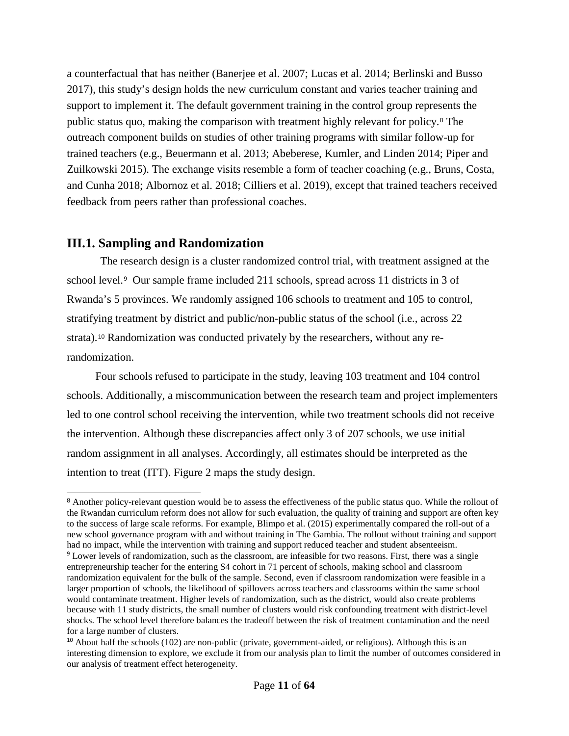a counterfactual that has neither (Banerjee et al. 2007; Lucas et al. 2014; Berlinski and Busso 2017), this study's design holds the new curriculum constant and varies teacher training and support to implement it. The default government training in the control group represents the public status quo, making the comparison with treatment highly relevant for policy.[8](#page-12-1) The outreach component builds on studies of other training programs with similar follow-up for trained teachers (e.g., Beuermann et al. 2013; Abeberese, Kumler, and Linden 2014; Piper and Zuilkowski 2015). The exchange visits resemble a form of teacher coaching (e.g., Bruns, Costa, and Cunha 2018; Albornoz et al. 2018; Cilliers et al. 2019), except that trained teachers received feedback from peers rather than professional coaches.

## <span id="page-12-0"></span>**III.1. Sampling and Randomization**

The research design is a cluster randomized control trial, with treatment assigned at the school level.[9](#page-12-2) Our sample frame included 211 schools, spread across 11 districts in 3 of Rwanda's 5 provinces. We randomly assigned 106 schools to treatment and 105 to control, stratifying treatment by district and public/non-public status of the school (i.e., across 22 strata).[10](#page-12-3) Randomization was conducted privately by the researchers, without any rerandomization.

Four schools refused to participate in the study, leaving 103 treatment and 104 control schools. Additionally, a miscommunication between the research team and project implementers led to one control school receiving the intervention, while two treatment schools did not receive the intervention. Although these discrepancies affect only 3 of 207 schools, we use initial random assignment in all analyses. Accordingly, all estimates should be interpreted as the intention to treat (ITT). Figure 2 maps the study design.

<span id="page-12-1"></span><sup>&</sup>lt;sup>8</sup> Another policy-relevant question would be to assess the effectiveness of the public status quo. While the rollout of the Rwandan curriculum reform does not allow for such evaluation, the quality of training and support are often key to the success of large scale reforms. For example, Blimpo et al. (2015) experimentally compared the roll-out of a new school governance program with and without training in The Gambia. The rollout without training and support had no impact, while the intervention with training and support reduced teacher and student absenteeism.

<span id="page-12-2"></span><sup>9</sup> Lower levels of randomization, such as the classroom, are infeasible for two reasons. First, there was a single entrepreneurship teacher for the entering S4 cohort in 71 percent of schools, making school and classroom randomization equivalent for the bulk of the sample. Second, even if classroom randomization were feasible in a larger proportion of schools, the likelihood of spillovers across teachers and classrooms within the same school would contaminate treatment. Higher levels of randomization, such as the district, would also create problems because with 11 study districts, the small number of clusters would risk confounding treatment with district-level shocks. The school level therefore balances the tradeoff between the risk of treatment contamination and the need for a large number of clusters.

<span id="page-12-3"></span> $10$  About half the schools (102) are non-public (private, government-aided, or religious). Although this is an interesting dimension to explore, we exclude it from our analysis plan to limit the number of outcomes considered in our analysis of treatment effect heterogeneity.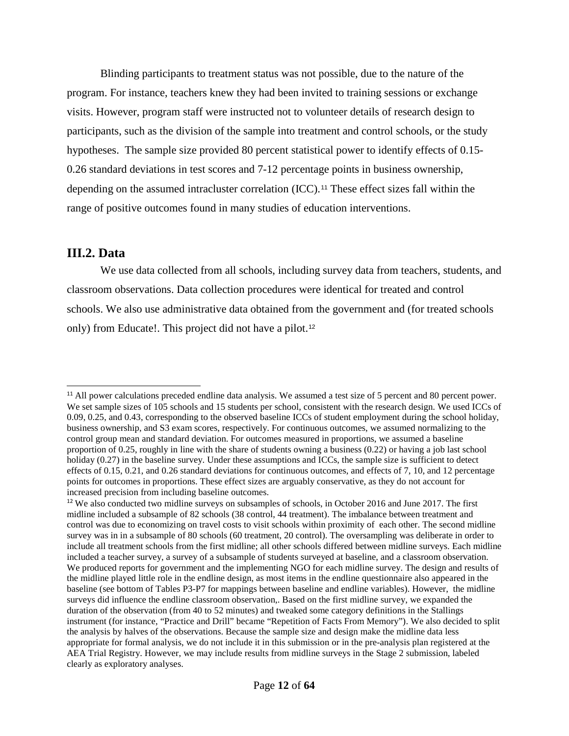Blinding participants to treatment status was not possible, due to the nature of the program. For instance, teachers knew they had been invited to training sessions or exchange visits. However, program staff were instructed not to volunteer details of research design to participants, such as the division of the sample into treatment and control schools, or the study hypotheses. The sample size provided 80 percent statistical power to identify effects of 0.15- 0.26 standard deviations in test scores and 7-12 percentage points in business ownership, depending on the assumed intracluster correlation (ICC).<sup>[11](#page-13-1)</sup> These effect sizes fall within the range of positive outcomes found in many studies of education interventions.

### <span id="page-13-0"></span>**III.2. Data**

j

We use data collected from all schools, including survey data from teachers, students, and classroom observations. Data collection procedures were identical for treated and control schools. We also use administrative data obtained from the government and (for treated schools only) from Educate!. This project did not have a pilot.[12](#page-13-2)

<span id="page-13-1"></span><sup>&</sup>lt;sup>11</sup> All power calculations preceded endline data analysis. We assumed a test size of 5 percent and 80 percent power. We set sample sizes of 105 schools and 15 students per school, consistent with the research design. We used ICCs of 0.09, 0.25, and 0.43, corresponding to the observed baseline ICCs of student employment during the school holiday, business ownership, and S3 exam scores, respectively. For continuous outcomes, we assumed normalizing to the control group mean and standard deviation. For outcomes measured in proportions, we assumed a baseline proportion of 0.25, roughly in line with the share of students owning a business (0.22) or having a job last school holiday (0.27) in the baseline survey. Under these assumptions and ICCs, the sample size is sufficient to detect effects of 0.15, 0.21, and 0.26 standard deviations for continuous outcomes, and effects of 7, 10, and 12 percentage points for outcomes in proportions. These effect sizes are arguably conservative, as they do not account for increased precision from including baseline outcomes.

<span id="page-13-2"></span><sup>&</sup>lt;sup>12</sup> We also conducted two midline surveys on subsamples of schools, in October 2016 and June 2017. The first midline included a subsample of 82 schools (38 control, 44 treatment). The imbalance between treatment and control was due to economizing on travel costs to visit schools within proximity of each other. The second midline survey was in in a subsample of 80 schools (60 treatment, 20 control). The oversampling was deliberate in order to include all treatment schools from the first midline; all other schools differed between midline surveys. Each midline included a teacher survey, a survey of a subsample of students surveyed at baseline, and a classroom observation. We produced reports for government and the implementing NGO for each midline survey. The design and results of the midline played little role in the endline design, as most items in the endline questionnaire also appeared in the baseline (see bottom of Tables P3-P7 for mappings between baseline and endline variables). However, the midline surveys did influence the endline classroom observation,. Based on the first midline survey, we expanded the duration of the observation (from 40 to 52 minutes) and tweaked some category definitions in the Stallings instrument (for instance, "Practice and Drill" became "Repetition of Facts From Memory"). We also decided to split the analysis by halves of the observations. Because the sample size and design make the midline data less appropriate for formal analysis, we do not include it in this submission or in the pre-analysis plan registered at the AEA Trial Registry. However, we may include results from midline surveys in the Stage 2 submission, labeled clearly as exploratory analyses.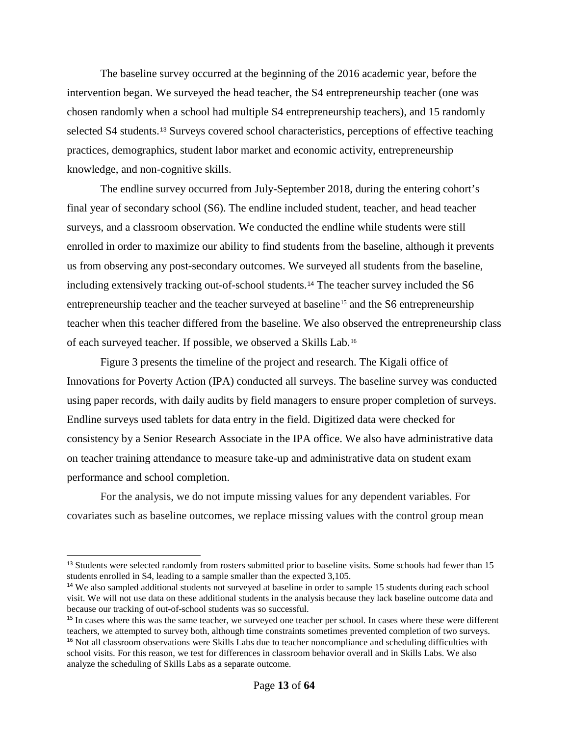The baseline survey occurred at the beginning of the 2016 academic year, before the intervention began. We surveyed the head teacher, the S4 entrepreneurship teacher (one was chosen randomly when a school had multiple S4 entrepreneurship teachers), and 15 randomly selected S4 students.[13](#page-14-0) Surveys covered school characteristics, perceptions of effective teaching practices, demographics, student labor market and economic activity, entrepreneurship knowledge, and non-cognitive skills.

The endline survey occurred from July-September 2018, during the entering cohort's final year of secondary school (S6). The endline included student, teacher, and head teacher surveys, and a classroom observation. We conducted the endline while students were still enrolled in order to maximize our ability to find students from the baseline, although it prevents us from observing any post-secondary outcomes. We surveyed all students from the baseline, including extensively tracking out-of-school students.[14](#page-14-1) The teacher survey included the S6 entrepreneurship teacher and the teacher surveyed at baseline<sup>[15](#page-14-2)</sup> and the S6 entrepreneurship teacher when this teacher differed from the baseline. We also observed the entrepreneurship class of each surveyed teacher. If possible, we observed a Skills Lab.[16](#page-14-3)

Figure 3 presents the timeline of the project and research. The Kigali office of Innovations for Poverty Action (IPA) conducted all surveys. The baseline survey was conducted using paper records, with daily audits by field managers to ensure proper completion of surveys. Endline surveys used tablets for data entry in the field. Digitized data were checked for consistency by a Senior Research Associate in the IPA office. We also have administrative data on teacher training attendance to measure take-up and administrative data on student exam performance and school completion.

For the analysis, we do not impute missing values for any dependent variables. For covariates such as baseline outcomes, we replace missing values with the control group mean

-

<span id="page-14-0"></span><sup>&</sup>lt;sup>13</sup> Students were selected randomly from rosters submitted prior to baseline visits. Some schools had fewer than 15 students enrolled in S4, leading to a sample smaller than the expected 3,105.

<span id="page-14-1"></span><sup>&</sup>lt;sup>14</sup> We also sampled additional students not surveyed at baseline in order to sample 15 students during each school visit. We will not use data on these additional students in the analysis because they lack baseline outcome data and because our tracking of out-of-school students was so successful.

<span id="page-14-3"></span><span id="page-14-2"></span><sup>&</sup>lt;sup>15</sup> In cases where this was the same teacher, we surveyed one teacher per school. In cases where these were different teachers, we attempted to survey both, although time constraints sometimes prevented completion of two surveys. <sup>16</sup> Not all classroom observations were Skills Labs due to teacher noncompliance and scheduling difficulties with school visits. For this reason, we test for differences in classroom behavior overall and in Skills Labs. We also analyze the scheduling of Skills Labs as a separate outcome.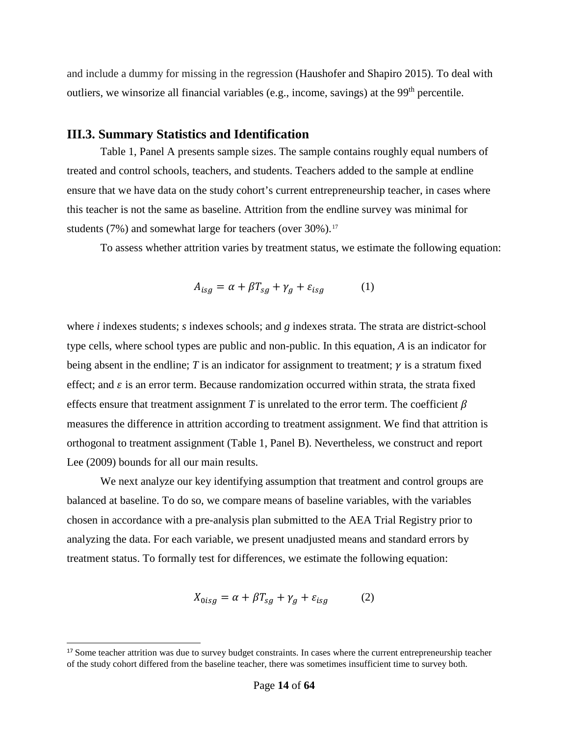and include a dummy for missing in the regression (Haushofer and Shapiro 2015). To deal with outliers, we winsorize all financial variables (e.g., income, savings) at the 99<sup>th</sup> percentile.

## <span id="page-15-0"></span>**III.3. Summary Statistics and Identification**

Table 1, Panel A presents sample sizes. The sample contains roughly equal numbers of treated and control schools, teachers, and students. Teachers added to the sample at endline ensure that we have data on the study cohort's current entrepreneurship teacher, in cases where this teacher is not the same as baseline. Attrition from the endline survey was minimal for students  $(7\%)$  and somewhat large for teachers (over  $30\%$ ).<sup>[17](#page-15-1)</sup>

To assess whether attrition varies by treatment status, we estimate the following equation:

$$
A_{isg} = \alpha + \beta T_{sg} + \gamma_g + \varepsilon_{isg} \tag{1}
$$

where *i* indexes students; *s* indexes schools; and *g* indexes strata. The strata are district-school type cells, where school types are public and non-public. In this equation, *A* is an indicator for being absent in the endline; *T* is an indicator for assignment to treatment;  $\gamma$  is a stratum fixed effect; and  $\varepsilon$  is an error term. Because randomization occurred within strata, the strata fixed effects ensure that treatment assignment *T* is unrelated to the error term. The coefficient  $\beta$ measures the difference in attrition according to treatment assignment. We find that attrition is orthogonal to treatment assignment (Table 1, Panel B). Nevertheless, we construct and report Lee (2009) bounds for all our main results.

We next analyze our key identifying assumption that treatment and control groups are balanced at baseline. To do so, we compare means of baseline variables, with the variables chosen in accordance with a pre-analysis plan submitted to the AEA Trial Registry prior to analyzing the data. For each variable, we present unadjusted means and standard errors by treatment status. To formally test for differences, we estimate the following equation:

$$
X_{0isg} = \alpha + \beta T_{sg} + \gamma_g + \varepsilon_{isg} \tag{2}
$$

-

<span id="page-15-1"></span><sup>&</sup>lt;sup>17</sup> Some teacher attrition was due to survey budget constraints. In cases where the current entrepreneurship teacher of the study cohort differed from the baseline teacher, there was sometimes insufficient time to survey both.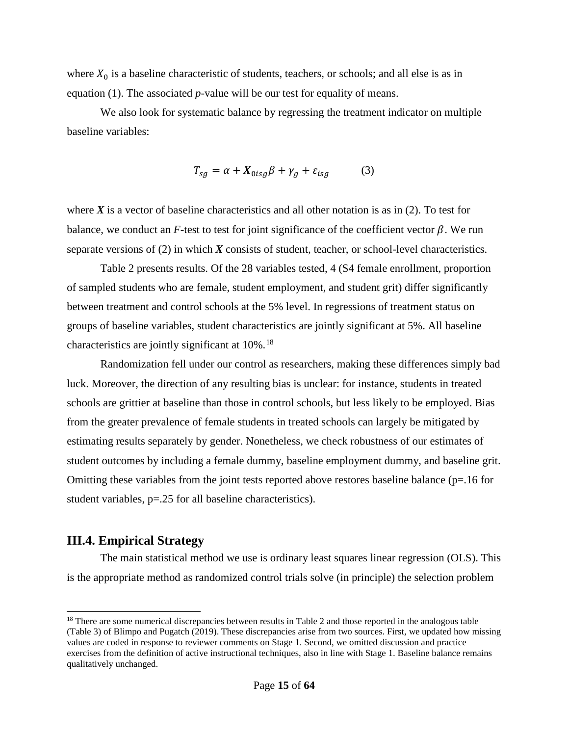where  $X_0$  is a baseline characteristic of students, teachers, or schools; and all else is as in equation (1). The associated *p*-value will be our test for equality of means.

We also look for systematic balance by regressing the treatment indicator on multiple baseline variables:

$$
T_{sg} = \alpha + X_{0isg}\beta + \gamma_g + \varepsilon_{isg} \tag{3}
$$

where  $X$  is a vector of baseline characteristics and all other notation is as in  $(2)$ . To test for balance, we conduct an  $F$ -test to test for joint significance of the coefficient vector  $\beta$ . We run separate versions of (2) in which *X* consists of student, teacher, or school-level characteristics.

Table 2 presents results. Of the 28 variables tested, 4 (S4 female enrollment, proportion of sampled students who are female, student employment, and student grit) differ significantly between treatment and control schools at the 5% level. In regressions of treatment status on groups of baseline variables, student characteristics are jointly significant at 5%. All baseline characteristics are jointly significant at  $10\%$ .<sup>[18](#page-16-1)</sup>

Randomization fell under our control as researchers, making these differences simply bad luck. Moreover, the direction of any resulting bias is unclear: for instance, students in treated schools are grittier at baseline than those in control schools, but less likely to be employed. Bias from the greater prevalence of female students in treated schools can largely be mitigated by estimating results separately by gender. Nonetheless, we check robustness of our estimates of student outcomes by including a female dummy, baseline employment dummy, and baseline grit. Omitting these variables from the joint tests reported above restores baseline balance ( $p=16$  for student variables, p=.25 for all baseline characteristics).

## <span id="page-16-0"></span>**III.4. Empirical Strategy**

-

The main statistical method we use is ordinary least squares linear regression (OLS). This is the appropriate method as randomized control trials solve (in principle) the selection problem

<span id="page-16-1"></span><sup>&</sup>lt;sup>18</sup> There are some numerical discrepancies between results in Table 2 and those reported in the analogous table (Table 3) of Blimpo and Pugatch (2019). These discrepancies arise from two sources. First, we updated how missing values are coded in response to reviewer comments on Stage 1. Second, we omitted discussion and practice exercises from the definition of active instructional techniques, also in line with Stage 1. Baseline balance remains qualitatively unchanged.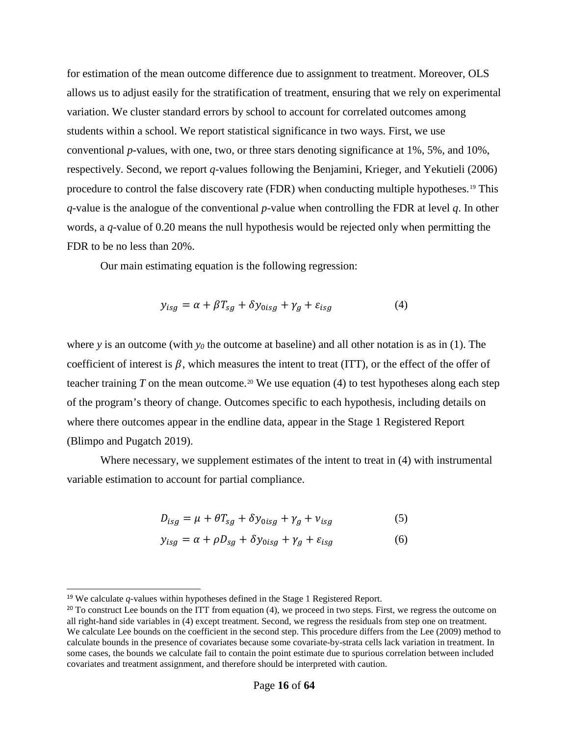for estimation of the mean outcome difference due to assignment to treatment. Moreover, OLS allows us to adjust easily for the stratification of treatment, ensuring that we rely on experimental variation. We cluster standard errors by school to account for correlated outcomes among students within a school. We report statistical significance in two ways. First, we use conventional *p-*values, with one, two, or three stars denoting significance at 1%, 5%, and 10%, respectively. Second, we report *q*-values following the Benjamini, Krieger, and Yekutieli (2006) procedure to control the false discovery rate (FDR) when conducting multiple hypotheses.[19](#page-17-0) This *q*-value is the analogue of the conventional *p*-value when controlling the FDR at level *q*. In other words, a *q-*value of 0.20 means the null hypothesis would be rejected only when permitting the FDR to be no less than 20%.

Our main estimating equation is the following regression:

$$
y_{isg} = \alpha + \beta T_{sg} + \delta y_{0isg} + \gamma_g + \varepsilon_{isg}
$$
 (4)

where *y* is an outcome (with  $y_0$  the outcome at baseline) and all other notation is as in (1). The coefficient of interest is  $\beta$ , which measures the intent to treat (ITT), or the effect of the offer of teacher training  $T$  on the mean outcome.<sup>[20](#page-17-1)</sup> We use equation (4) to test hypotheses along each step of the program's theory of change. Outcomes specific to each hypothesis, including details on where there outcomes appear in the endline data, appear in the Stage 1 Registered Report (Blimpo and Pugatch 2019).

Where necessary, we supplement estimates of the intent to treat in (4) with instrumental variable estimation to account for partial compliance.

$$
D_{isg} = \mu + \theta T_{sg} + \delta y_{0isg} + \gamma_g + \nu_{isg}
$$
 (5)

$$
y_{isg} = \alpha + \rho D_{sg} + \delta y_{0isg} + \gamma_g + \varepsilon_{isg}
$$
 (6)

-

<span id="page-17-0"></span><sup>19</sup> We calculate *q-*values within hypotheses defined in the Stage 1 Registered Report.

<span id="page-17-1"></span> $20$  To construct Lee bounds on the ITT from equation (4), we proceed in two steps. First, we regress the outcome on all right-hand side variables in (4) except treatment. Second, we regress the residuals from step one on treatment. We calculate Lee bounds on the coefficient in the second step. This procedure differs from the Lee (2009) method to calculate bounds in the presence of covariates because some covariate-by-strata cells lack variation in treatment. In some cases, the bounds we calculate fail to contain the point estimate due to spurious correlation between included covariates and treatment assignment, and therefore should be interpreted with caution.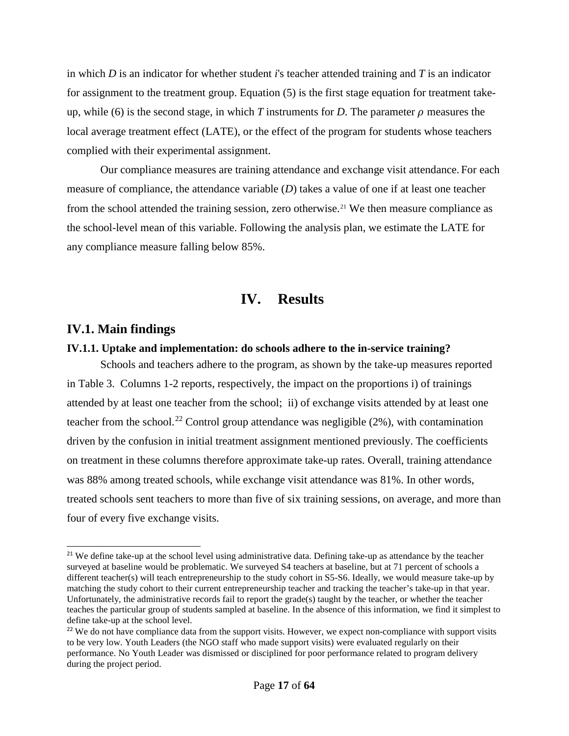in which *D* is an indicator for whether student *i*'s teacher attended training and *T* is an indicator for assignment to the treatment group. Equation (5) is the first stage equation for treatment takeup, while (6) is the second stage, in which *T* instruments for *D*. The parameter  $\rho$  measures the local average treatment effect (LATE), or the effect of the program for students whose teachers complied with their experimental assignment.

Our compliance measures are training attendance and exchange visit attendance. For each measure of compliance, the attendance variable (*D*) takes a value of one if at least one teacher from the school attended the training session, zero otherwise.<sup>[21](#page-18-3)</sup> We then measure compliance as the school-level mean of this variable. Following the analysis plan, we estimate the LATE for any compliance measure falling below 85%.

# **IV. Results**

## <span id="page-18-1"></span><span id="page-18-0"></span>**IV.1. Main findings**

-

### <span id="page-18-2"></span>**IV.1.1. Uptake and implementation: do schools adhere to the in-service training?**

Schools and teachers adhere to the program, as shown by the take-up measures reported in [Table 3.](#page-38-0) Columns 1-2 reports, respectively, the impact on the proportions i) of trainings attended by at least one teacher from the school; ii) of exchange visits attended by at least one teacher from the school.<sup>[22](#page-18-4)</sup> Control group attendance was negligible  $(2\%)$ , with contamination driven by the confusion in initial treatment assignment mentioned previously. The coefficients on treatment in these columns therefore approximate take-up rates. Overall, training attendance was 88% among treated schools, while exchange visit attendance was 81%. In other words, treated schools sent teachers to more than five of six training sessions, on average, and more than four of every five exchange visits.

<span id="page-18-3"></span><sup>&</sup>lt;sup>21</sup> We define take-up at the school level using administrative data. Defining take-up as attendance by the teacher surveyed at baseline would be problematic. We surveyed S4 teachers at baseline, but at 71 percent of schools a different teacher(s) will teach entrepreneurship to the study cohort in S5-S6. Ideally, we would measure take-up by matching the study cohort to their current entrepreneurship teacher and tracking the teacher's take-up in that year. Unfortunately, the administrative records fail to report the grade(s) taught by the teacher, or whether the teacher teaches the particular group of students sampled at baseline. In the absence of this information, we find it simplest to define take-up at the school level.

<span id="page-18-4"></span><sup>&</sup>lt;sup>22</sup> We do not have compliance data from the support visits. However, we expect non-compliance with support visits to be very low. Youth Leaders (the NGO staff who made support visits) were evaluated regularly on their performance. No Youth Leader was dismissed or disciplined for poor performance related to program delivery during the project period.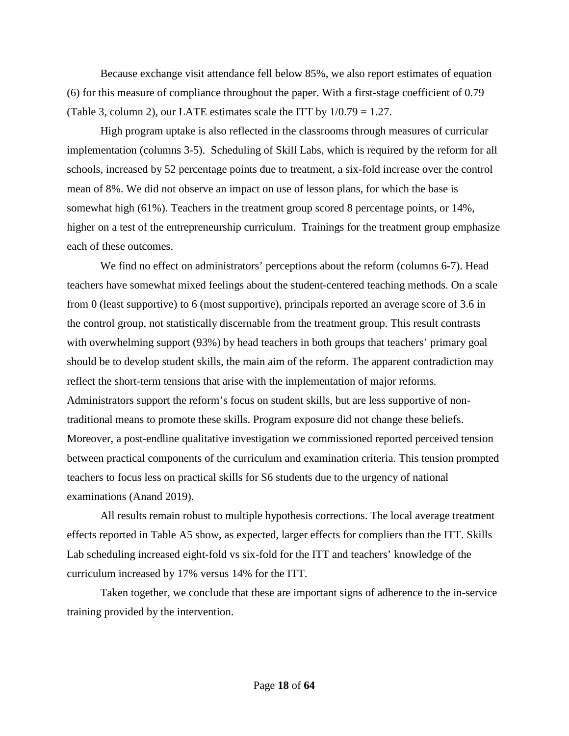Because exchange visit attendance fell below 85%, we also report estimates of equation (6) for this measure of compliance throughout the paper. With a first-stage coefficient of 0.79 (Table 3, column 2), our LATE estimates scale the ITT by 1/0.79 = 1.27.

High program uptake is also reflected in the classrooms through measures of curricular implementation (columns 3-5). Scheduling of Skill Labs, which is required by the reform for all schools, increased by 52 percentage points due to treatment, a six-fold increase over the control mean of 8%. We did not observe an impact on use of lesson plans, for which the base is somewhat high (61%). Teachers in the treatment group scored 8 percentage points, or 14%, higher on a test of the entrepreneurship curriculum. Trainings for the treatment group emphasize each of these outcomes.

We find no effect on administrators' perceptions about the reform (columns 6-7). Head teachers have somewhat mixed feelings about the student-centered teaching methods. On a scale from 0 (least supportive) to 6 (most supportive), principals reported an average score of 3.6 in the control group, not statistically discernable from the treatment group. This result contrasts with overwhelming support (93%) by head teachers in both groups that teachers' primary goal should be to develop student skills, the main aim of the reform. The apparent contradiction may reflect the short-term tensions that arise with the implementation of major reforms. Administrators support the reform's focus on student skills, but are less supportive of nontraditional means to promote these skills. Program exposure did not change these beliefs. Moreover, a post-endline qualitative investigation we commissioned reported perceived tension between practical components of the curriculum and examination criteria. This tension prompted teachers to focus less on practical skills for S6 students due to the urgency of national examinations (Anand 2019).

All results remain robust to multiple hypothesis corrections. The local average treatment effects reported in Table A5 show, as expected, larger effects for compliers than the ITT. Skills Lab scheduling increased eight-fold vs six-fold for the ITT and teachers' knowledge of the curriculum increased by 17% versus 14% for the ITT.

Taken together, we conclude that these are important signs of adherence to the in-service training provided by the intervention.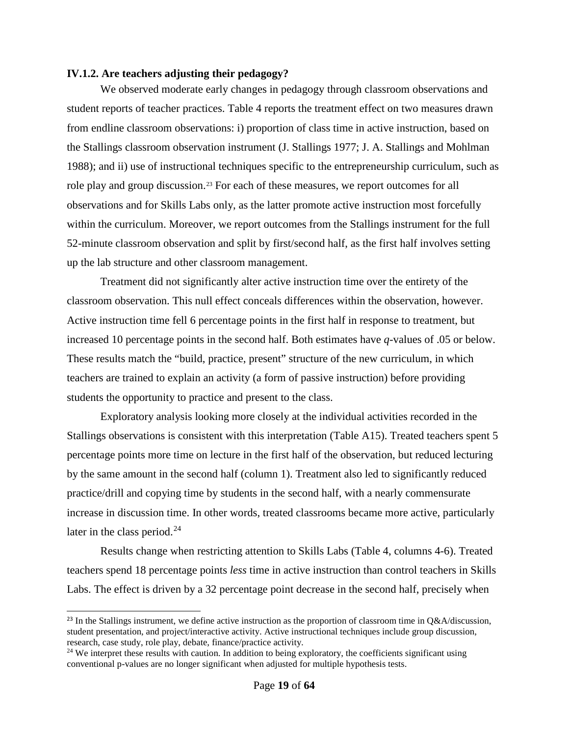### <span id="page-20-0"></span>**IV.1.2. Are teachers adjusting their pedagogy?**

We observed moderate early changes in pedagogy through classroom observations and student reports of teacher practices. [Table 4](#page-39-0) reports the treatment effect on two measures drawn from endline classroom observations: i) proportion of class time in active instruction, based on the Stallings classroom observation instrument (J. Stallings 1977; J. A. Stallings and Mohlman 1988); and ii) use of instructional techniques specific to the entrepreneurship curriculum, such as role play and group discussion. [23](#page-20-1) For each of these measures, we report outcomes for all observations and for Skills Labs only, as the latter promote active instruction most forcefully within the curriculum. Moreover, we report outcomes from the Stallings instrument for the full 52-minute classroom observation and split by first/second half, as the first half involves setting up the lab structure and other classroom management.

Treatment did not significantly alter active instruction time over the entirety of the classroom observation. This null effect conceals differences within the observation, however. Active instruction time fell 6 percentage points in the first half in response to treatment, but increased 10 percentage points in the second half. Both estimates have *q-*values of .05 or below. These results match the "build, practice, present" structure of the new curriculum, in which teachers are trained to explain an activity (a form of passive instruction) before providing students the opportunity to practice and present to the class.

Exploratory analysis looking more closely at the individual activities recorded in the Stallings observations is consistent with this interpretation (Table A15). Treated teachers spent 5 percentage points more time on lecture in the first half of the observation, but reduced lecturing by the same amount in the second half (column 1). Treatment also led to significantly reduced practice/drill and copying time by students in the second half, with a nearly commensurate increase in discussion time. In other words, treated classrooms became more active, particularly later in the class period. $^{24}$  $^{24}$  $^{24}$ 

Results change when restricting attention to Skills Labs (Table 4, columns 4-6). Treated teachers spend 18 percentage points *less* time in active instruction than control teachers in Skills Labs. The effect is driven by a 32 percentage point decrease in the second half, precisely when

-

<span id="page-20-1"></span><sup>&</sup>lt;sup>23</sup> In the Stallings instrument, we define active instruction as the proportion of classroom time in  $Q&A$ /discussion, student presentation, and project/interactive activity. Active instructional techniques include group discussion, research, case study, role play, debate, finance/practice activity.

<span id="page-20-2"></span><sup>&</sup>lt;sup>24</sup> We interpret these results with caution. In addition to being exploratory, the coefficients significant using conventional p-values are no longer significant when adjusted for multiple hypothesis tests.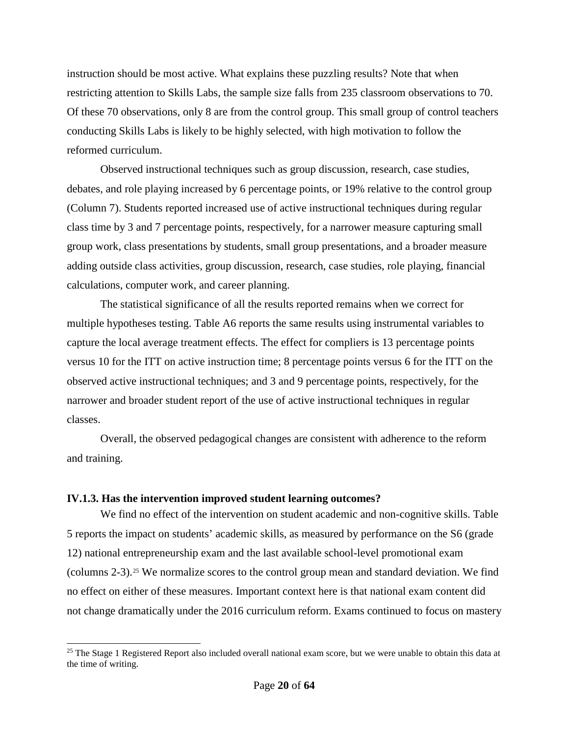instruction should be most active. What explains these puzzling results? Note that when restricting attention to Skills Labs, the sample size falls from 235 classroom observations to 70. Of these 70 observations, only 8 are from the control group. This small group of control teachers conducting Skills Labs is likely to be highly selected, with high motivation to follow the reformed curriculum.

Observed instructional techniques such as group discussion, research, case studies, debates, and role playing increased by 6 percentage points, or 19% relative to the control group (Column 7). Students reported increased use of active instructional techniques during regular class time by 3 and 7 percentage points, respectively, for a narrower measure capturing small group work, class presentations by students, small group presentations, and a broader measure adding outside class activities, group discussion, research, case studies, role playing, financial calculations, computer work, and career planning.

The statistical significance of all the results reported remains when we correct for multiple hypotheses testing. Table A6 reports the same results using instrumental variables to capture the local average treatment effects. The effect for compliers is 13 percentage points versus 10 for the ITT on active instruction time; 8 percentage points versus 6 for the ITT on the observed active instructional techniques; and 3 and 9 percentage points, respectively, for the narrower and broader student report of the use of active instructional techniques in regular classes.

Overall, the observed pedagogical changes are consistent with adherence to the reform and training.

### <span id="page-21-0"></span>**IV.1.3. Has the intervention improved student learning outcomes?**

-

We find no effect of the intervention on student academic and non-cognitive skills. [Table](#page-40-0)  [5](#page-40-0) reports the impact on students' academic skills, as measured by performance on the S6 (grade 12) national entrepreneurship exam and the last available school-level promotional exam (columns 2-3).[25](#page-21-1) We normalize scores to the control group mean and standard deviation. We find no effect on either of these measures. Important context here is that national exam content did not change dramatically under the 2016 curriculum reform. Exams continued to focus on mastery

<span id="page-21-1"></span> $25$  The Stage 1 Registered Report also included overall national exam score, but we were unable to obtain this data at the time of writing.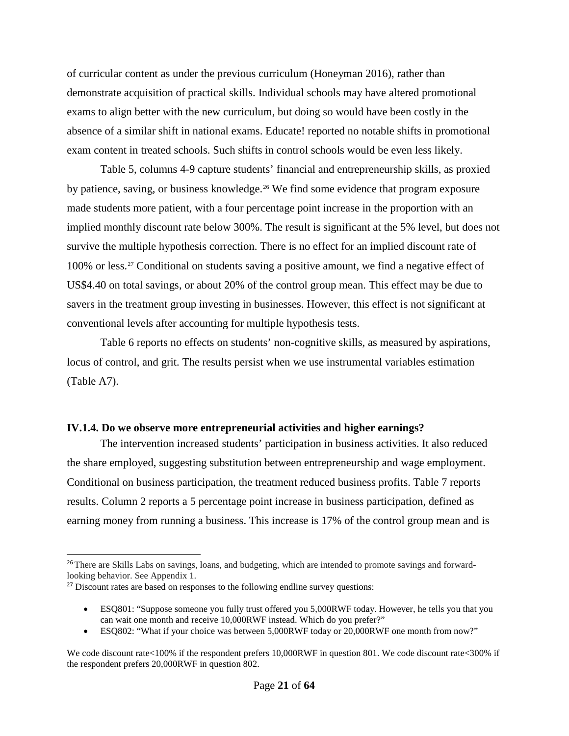of curricular content as under the previous curriculum (Honeyman 2016), rather than demonstrate acquisition of practical skills. Individual schools may have altered promotional exams to align better with the new curriculum, but doing so would have been costly in the absence of a similar shift in national exams. Educate! reported no notable shifts in promotional exam content in treated schools. Such shifts in control schools would be even less likely.

Table 5, columns 4-9 capture students' financial and entrepreneurship skills, as proxied by patience, saving, or business knowledge.<sup>[26](#page-22-1)</sup> We find some evidence that program exposure made students more patient, with a four percentage point increase in the proportion with an implied monthly discount rate below 300%. The result is significant at the 5% level, but does not survive the multiple hypothesis correction. There is no effect for an implied discount rate of 100% or less.[27](#page-22-2) Conditional on students saving a positive amount, we find a negative effect of US\$4.40 on total savings, or about 20% of the control group mean. This effect may be due to savers in the treatment group investing in businesses. However, this effect is not significant at conventional levels after accounting for multiple hypothesis tests.

[Table 6](#page-41-0) reports no effects on students' non-cognitive skills, as measured by aspirations, locus of control, and grit. The results persist when we use instrumental variables estimation (Table A7).

### <span id="page-22-0"></span>**IV.1.4. Do we observe more entrepreneurial activities and higher earnings?**

The intervention increased students' participation in business activities. It also reduced the share employed, suggesting substitution between entrepreneurship and wage employment. Conditional on business participation, the treatment reduced business profits. [Table 7](#page-42-0) reports results. Column 2 reports a 5 percentage point increase in business participation, defined as earning money from running a business. This increase is 17% of the control group mean and is

-

<span id="page-22-1"></span><sup>&</sup>lt;sup>26</sup> There are Skills Labs on savings, loans, and budgeting, which are intended to promote savings and forwardlooking behavior. See Appendix 1.

<span id="page-22-2"></span><sup>&</sup>lt;sup>27</sup> Discount rates are based on responses to the following endline survey questions:

<sup>•</sup> ESQ801: "Suppose someone you fully trust offered you 5,000RWF today. However, he tells you that you can wait one month and receive 10,000RWF instead. Which do you prefer?"

<sup>•</sup> ESQ802: "What if your choice was between 5,000RWF today or 20,000RWF one month from now?"

We code discount rate <100% if the respondent prefers 10,000RWF in question 801. We code discount rate <200% if the respondent prefers 20,000RWF in question 802.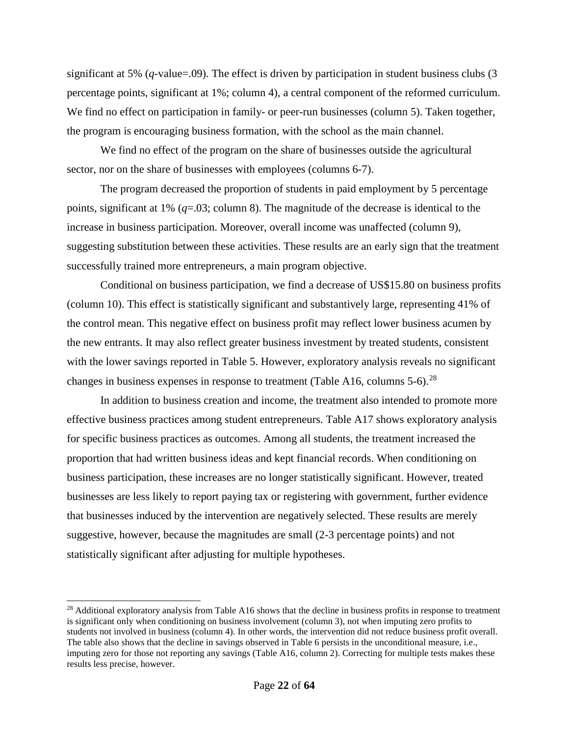significant at 5% (*q*-value=.09). The effect is driven by participation in student business clubs (3 percentage points, significant at 1%; column 4), a central component of the reformed curriculum. We find no effect on participation in family- or peer-run businesses (column 5). Taken together, the program is encouraging business formation, with the school as the main channel.

We find no effect of the program on the share of businesses outside the agricultural sector, nor on the share of businesses with employees (columns 6-7).

The program decreased the proportion of students in paid employment by 5 percentage points, significant at 1%  $(q=0.03; \text{column } 8)$ . The magnitude of the decrease is identical to the increase in business participation. Moreover, overall income was unaffected (column 9), suggesting substitution between these activities. These results are an early sign that the treatment successfully trained more entrepreneurs, a main program objective.

Conditional on business participation, we find a decrease of US\$15.80 on business profits (column 10). This effect is statistically significant and substantively large, representing 41% of the control mean. This negative effect on business profit may reflect lower business acumen by the new entrants. It may also reflect greater business investment by treated students, consistent with the lower savings reported in Table 5. However, exploratory analysis reveals no significant changes in business expenses in response to treatment (Table A16, columns  $5-6$ ).<sup>[28](#page-23-0)</sup>

In addition to business creation and income, the treatment also intended to promote more effective business practices among student entrepreneurs. Table A17 shows exploratory analysis for specific business practices as outcomes. Among all students, the treatment increased the proportion that had written business ideas and kept financial records. When conditioning on business participation, these increases are no longer statistically significant. However, treated businesses are less likely to report paying tax or registering with government, further evidence that businesses induced by the intervention are negatively selected. These results are merely suggestive, however, because the magnitudes are small (2-3 percentage points) and not statistically significant after adjusting for multiple hypotheses.

j

<span id="page-23-0"></span><sup>&</sup>lt;sup>28</sup> Additional exploratory analysis from Table A16 shows that the decline in business profits in response to treatment is significant only when conditioning on business involvement (column 3), not when imputing zero profits to students not involved in business (column 4). In other words, the intervention did not reduce business profit overall. The table also shows that the decline in savings observed in Table 6 persists in the unconditional measure, i.e., imputing zero for those not reporting any savings (Table A16, column 2). Correcting for multiple tests makes these results less precise, however.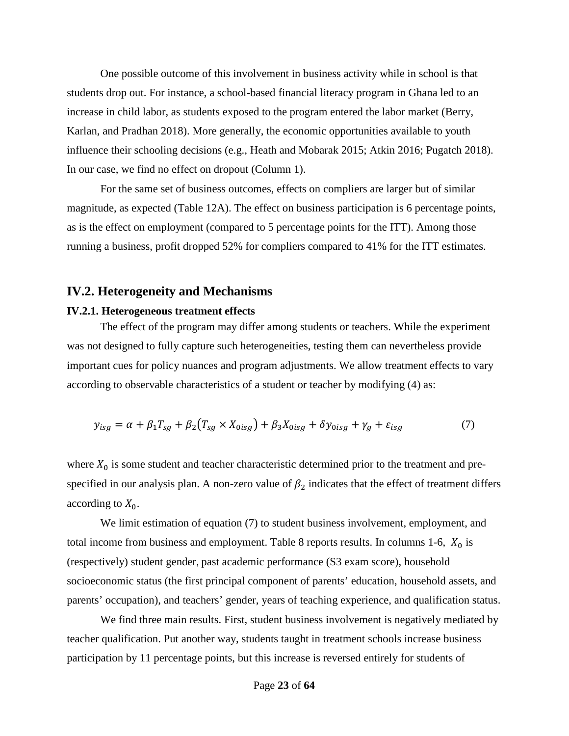One possible outcome of this involvement in business activity while in school is that students drop out. For instance, a school-based financial literacy program in Ghana led to an increase in child labor, as students exposed to the program entered the labor market (Berry, Karlan, and Pradhan 2018). More generally, the economic opportunities available to youth influence their schooling decisions (e.g., Heath and Mobarak 2015; Atkin 2016; Pugatch 2018). In our case, we find no effect on dropout (Column 1).

For the same set of business outcomes, effects on compliers are larger but of similar magnitude, as expected (Table 12A). The effect on business participation is 6 percentage points, as is the effect on employment (compared to 5 percentage points for the ITT). Among those running a business, profit dropped 52% for compliers compared to 41% for the ITT estimates.

### <span id="page-24-0"></span>**IV.2. Heterogeneity and Mechanisms**

#### <span id="page-24-1"></span>**IV.2.1. Heterogeneous treatment effects**

The effect of the program may differ among students or teachers. While the experiment was not designed to fully capture such heterogeneities, testing them can nevertheless provide important cues for policy nuances and program adjustments. We allow treatment effects to vary according to observable characteristics of a student or teacher by modifying (4) as:

$$
y_{isg} = \alpha + \beta_1 T_{sg} + \beta_2 (T_{sg} \times X_{0isg}) + \beta_3 X_{0isg} + \delta y_{0isg} + \gamma_g + \varepsilon_{isg}
$$
(7)

where  $X_0$  is some student and teacher characteristic determined prior to the treatment and prespecified in our analysis plan. A non-zero value of  $\beta_2$  indicates that the effect of treatment differs according to  $X_0$ .

We limit estimation of equation (7) to student business involvement, employment, and total income from business and employment. [Table 8](#page-43-0) reports results. In columns 1-6,  $X_0$  is (respectively) student gender, past academic performance (S3 exam score), household socioeconomic status (the first principal component of parents' education, household assets, and parents' occupation), and teachers' gender, years of teaching experience, and qualification status.

We find three main results. First, student business involvement is negatively mediated by teacher qualification. Put another way, students taught in treatment schools increase business participation by 11 percentage points, but this increase is reversed entirely for students of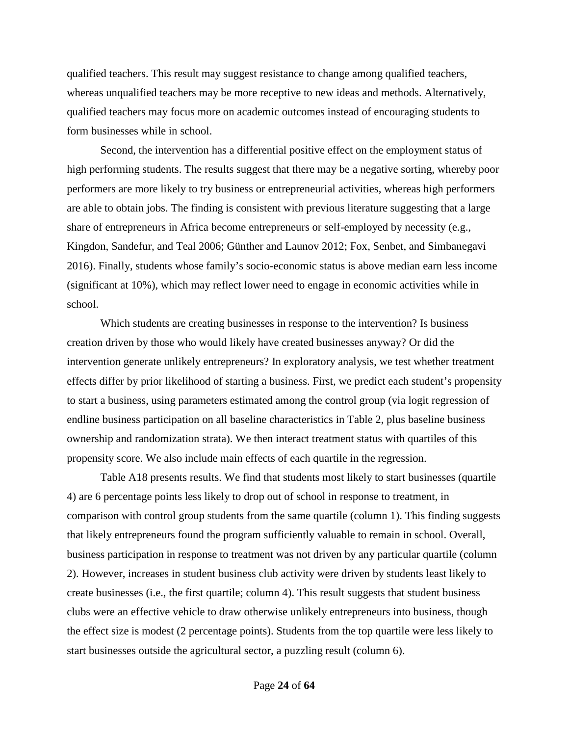qualified teachers. This result may suggest resistance to change among qualified teachers, whereas unqualified teachers may be more receptive to new ideas and methods. Alternatively, qualified teachers may focus more on academic outcomes instead of encouraging students to form businesses while in school.

Second, the intervention has a differential positive effect on the employment status of high performing students. The results suggest that there may be a negative sorting, whereby poor performers are more likely to try business or entrepreneurial activities, whereas high performers are able to obtain jobs. The finding is consistent with previous literature suggesting that a large share of entrepreneurs in Africa become entrepreneurs or self-employed by necessity (e.g., Kingdon, Sandefur, and Teal 2006; Günther and Launov 2012; Fox, Senbet, and Simbanegavi 2016). Finally, students whose family's socio-economic status is above median earn less income (significant at 10%), which may reflect lower need to engage in economic activities while in school.

Which students are creating businesses in response to the intervention? Is business creation driven by those who would likely have created businesses anyway? Or did the intervention generate unlikely entrepreneurs? In exploratory analysis, we test whether treatment effects differ by prior likelihood of starting a business. First, we predict each student's propensity to start a business, using parameters estimated among the control group (via logit regression of endline business participation on all baseline characteristics in Table 2, plus baseline business ownership and randomization strata). We then interact treatment status with quartiles of this propensity score. We also include main effects of each quartile in the regression.

Table A18 presents results. We find that students most likely to start businesses (quartile 4) are 6 percentage points less likely to drop out of school in response to treatment, in comparison with control group students from the same quartile (column 1). This finding suggests that likely entrepreneurs found the program sufficiently valuable to remain in school. Overall, business participation in response to treatment was not driven by any particular quartile (column 2). However, increases in student business club activity were driven by students least likely to create businesses (i.e., the first quartile; column 4). This result suggests that student business clubs were an effective vehicle to draw otherwise unlikely entrepreneurs into business, though the effect size is modest (2 percentage points). Students from the top quartile were less likely to start businesses outside the agricultural sector, a puzzling result (column 6).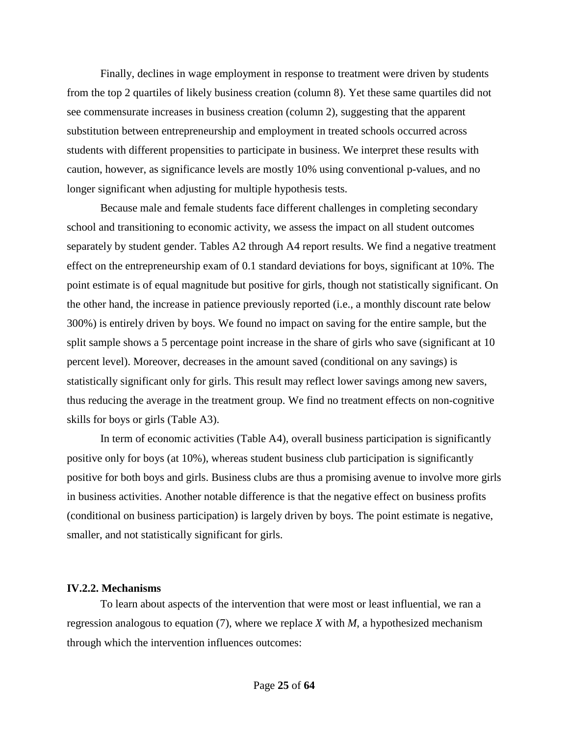Finally, declines in wage employment in response to treatment were driven by students from the top 2 quartiles of likely business creation (column 8). Yet these same quartiles did not see commensurate increases in business creation (column 2), suggesting that the apparent substitution between entrepreneurship and employment in treated schools occurred across students with different propensities to participate in business. We interpret these results with caution, however, as significance levels are mostly 10% using conventional p-values, and no longer significant when adjusting for multiple hypothesis tests.

Because male and female students face different challenges in completing secondary school and transitioning to economic activity, we assess the impact on all student outcomes separately by student gender. Tables A2 through A4 report results. We find a negative treatment effect on the entrepreneurship exam of 0.1 standard deviations for boys, significant at 10%. The point estimate is of equal magnitude but positive for girls, though not statistically significant. On the other hand, the increase in patience previously reported (i.e., a monthly discount rate below 300%) is entirely driven by boys. We found no impact on saving for the entire sample, but the split sample shows a 5 percentage point increase in the share of girls who save (significant at 10) percent level). Moreover, decreases in the amount saved (conditional on any savings) is statistically significant only for girls. This result may reflect lower savings among new savers, thus reducing the average in the treatment group. We find no treatment effects on non-cognitive skills for boys or girls (Table A3).

In term of economic activities (Table A4), overall business participation is significantly positive only for boys (at 10%), whereas student business club participation is significantly positive for both boys and girls. Business clubs are thus a promising avenue to involve more girls in business activities. Another notable difference is that the negative effect on business profits (conditional on business participation) is largely driven by boys. The point estimate is negative, smaller, and not statistically significant for girls.

### <span id="page-26-0"></span>**IV.2.2. Mechanisms**

To learn about aspects of the intervention that were most or least influential, we ran a regression analogous to equation (7), where we replace *X* with *M*, a hypothesized mechanism through which the intervention influences outcomes: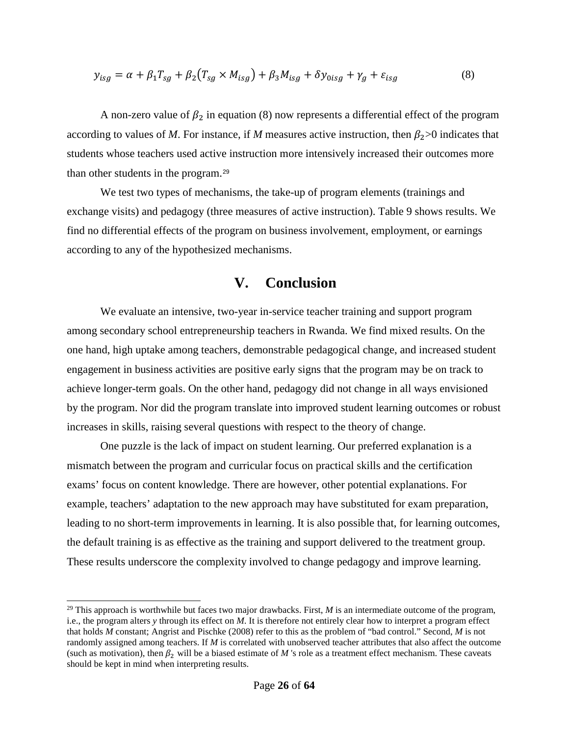$$
y_{isg} = \alpha + \beta_1 T_{sg} + \beta_2 (T_{sg} \times M_{isg}) + \beta_3 M_{isg} + \delta y_{0isg} + \gamma_g + \varepsilon_{isg}
$$
(8)

A non-zero value of  $\beta_2$  in equation (8) now represents a differential effect of the program according to values of *M*. For instance, if *M* measures active instruction, then  $\beta_2$  > 0 indicates that students whose teachers used active instruction more intensively increased their outcomes more than other students in the program.[29](#page-27-1)

We test two types of mechanisms, the take-up of program elements (trainings and exchange visits) and pedagogy (three measures of active instruction). Table 9 shows results. We find no differential effects of the program on business involvement, employment, or earnings according to any of the hypothesized mechanisms.

# **V. Conclusion**

<span id="page-27-0"></span>We evaluate an intensive, two-year in-service teacher training and support program among secondary school entrepreneurship teachers in Rwanda. We find mixed results. On the one hand, high uptake among teachers, demonstrable pedagogical change, and increased student engagement in business activities are positive early signs that the program may be on track to achieve longer-term goals. On the other hand, pedagogy did not change in all ways envisioned by the program. Nor did the program translate into improved student learning outcomes or robust increases in skills, raising several questions with respect to the theory of change.

One puzzle is the lack of impact on student learning. Our preferred explanation is a mismatch between the program and curricular focus on practical skills and the certification exams' focus on content knowledge. There are however, other potential explanations. For example, teachers' adaptation to the new approach may have substituted for exam preparation, leading to no short-term improvements in learning. It is also possible that, for learning outcomes, the default training is as effective as the training and support delivered to the treatment group. These results underscore the complexity involved to change pedagogy and improve learning.

l

<span id="page-27-1"></span><sup>&</sup>lt;sup>29</sup> This approach is worthwhile but faces two major drawbacks. First,  $M$  is an intermediate outcome of the program, i.e., the program alters *y* through its effect on *M*. It is therefore not entirely clear how to interpret a program effect that holds *M* constant; Angrist and Pischke (2008) refer to this as the problem of "bad control." Second, *M* is not randomly assigned among teachers. If *M* is correlated with unobserved teacher attributes that also affect the outcome (such as motivation), then  $\beta_2$  will be a biased estimate of M 's role as a treatment effect mechanism. These caveats should be kept in mind when interpreting results.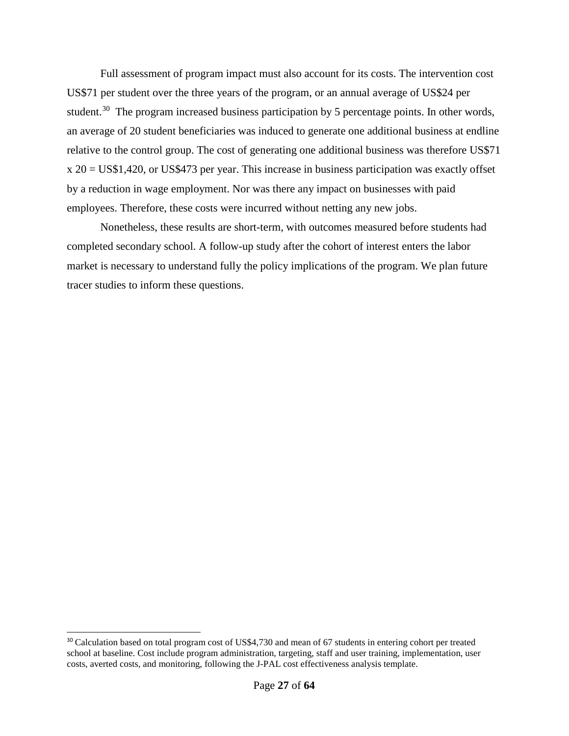Full assessment of program impact must also account for its costs. The intervention cost US\$71 per student over the three years of the program, or an annual average of US\$24 per student.<sup>[30](#page-28-0)</sup> The program increased business participation by 5 percentage points. In other words, an average of 20 student beneficiaries was induced to generate one additional business at endline relative to the control group. The cost of generating one additional business was therefore US\$71 x 20 = US\$1,420, or US\$473 per year. This increase in business participation was exactly offset by a reduction in wage employment. Nor was there any impact on businesses with paid employees. Therefore, these costs were incurred without netting any new jobs.

Nonetheless, these results are short-term, with outcomes measured before students had completed secondary school. A follow-up study after the cohort of interest enters the labor market is necessary to understand fully the policy implications of the program. We plan future tracer studies to inform these questions.

j

<span id="page-28-0"></span><sup>&</sup>lt;sup>30</sup> Calculation based on total program cost of US\$4,730 and mean of 67 students in entering cohort per treated school at baseline. Cost include program administration, targeting, staff and user training, implementation, user costs, averted costs, and monitoring, following the J-PAL cost effectiveness analysis template.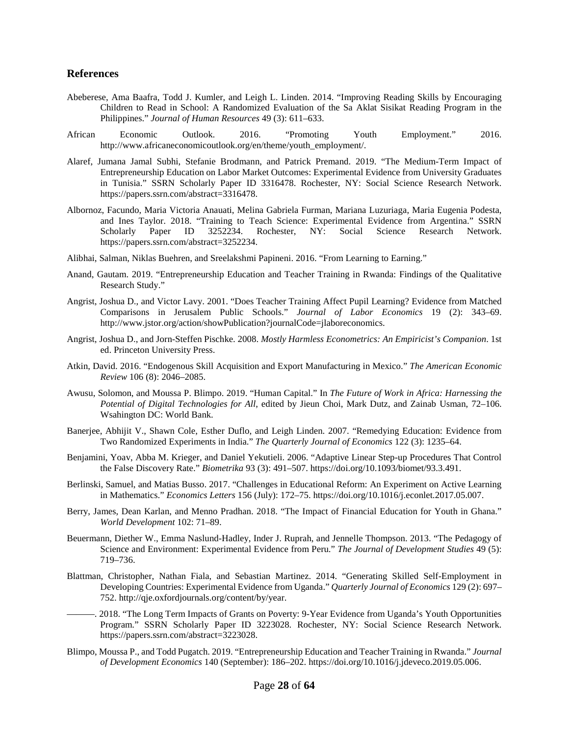#### <span id="page-29-0"></span>**References**

- Abeberese, Ama Baafra, Todd J. Kumler, and Leigh L. Linden. 2014. "Improving Reading Skills by Encouraging Children to Read in School: A Randomized Evaluation of the Sa Aklat Sisikat Reading Program in the Philippines." *Journal of Human Resources* 49 (3): 611–633.
- African Economic Outlook. 2016. "Promoting Youth Employment." 2016. http://www.africaneconomicoutlook.org/en/theme/youth\_employment/.
- Alaref, Jumana Jamal Subhi, Stefanie Brodmann, and Patrick Premand. 2019. "The Medium-Term Impact of Entrepreneurship Education on Labor Market Outcomes: Experimental Evidence from University Graduates in Tunisia." SSRN Scholarly Paper ID 3316478. Rochester, NY: Social Science Research Network. https://papers.ssrn.com/abstract=3316478.
- Albornoz, Facundo, Maria Victoria Anauati, Melina Gabriela Furman, Mariana Luzuriaga, Maria Eugenia Podesta, and Ines Taylor. 2018. "Training to Teach Science: Experimental Evidence from Argentina." SSRN<br>Scholarly Paper ID 3252234. Rochester, NY: Social Science Research Network. Scholarly Paper ID 3252234. Rochester, NY: Social Science Research Network. https://papers.ssrn.com/abstract=3252234.
- Alibhai, Salman, Niklas Buehren, and Sreelakshmi Papineni. 2016. "From Learning to Earning."
- Anand, Gautam. 2019. "Entrepreneurship Education and Teacher Training in Rwanda: Findings of the Qualitative Research Study."
- Angrist, Joshua D., and Victor Lavy. 2001. "Does Teacher Training Affect Pupil Learning? Evidence from Matched Comparisons in Jerusalem Public Schools." *Journal of Labor Economics* 19 (2): 343–69. http://www.jstor.org/action/showPublication?journalCode=jlaboreconomics.
- Angrist, Joshua D., and Jorn-Steffen Pischke. 2008. *Mostly Harmless Econometrics: An Empiricist's Companion*. 1st ed. Princeton University Press.
- Atkin, David. 2016. "Endogenous Skill Acquisition and Export Manufacturing in Mexico." *The American Economic Review* 106 (8): 2046–2085.
- Awusu, Solomon, and Moussa P. Blimpo. 2019. "Human Capital." In *The Future of Work in Africa: Harnessing the Potential of Digital Technologies for All*, edited by Jieun Choi, Mark Dutz, and Zainab Usman, 72–106. Wsahington DC: World Bank.
- Banerjee, Abhijit V., Shawn Cole, Esther Duflo, and Leigh Linden. 2007. "Remedying Education: Evidence from Two Randomized Experiments in India." *The Quarterly Journal of Economics* 122 (3): 1235–64.
- Benjamini, Yoav, Abba M. Krieger, and Daniel Yekutieli. 2006. "Adaptive Linear Step-up Procedures That Control the False Discovery Rate." *Biometrika* 93 (3): 491–507. https://doi.org/10.1093/biomet/93.3.491.
- Berlinski, Samuel, and Matias Busso. 2017. "Challenges in Educational Reform: An Experiment on Active Learning in Mathematics." *Economics Letters* 156 (July): 172–75. https://doi.org/10.1016/j.econlet.2017.05.007.
- Berry, James, Dean Karlan, and Menno Pradhan. 2018. "The Impact of Financial Education for Youth in Ghana." *World Development* 102: 71–89.
- Beuermann, Diether W., Emma Naslund-Hadley, Inder J. Ruprah, and Jennelle Thompson. 2013. "The Pedagogy of Science and Environment: Experimental Evidence from Peru." *The Journal of Development Studies* 49 (5): 719–736.
- Blattman, Christopher, Nathan Fiala, and Sebastian Martinez. 2014. "Generating Skilled Self-Employment in Developing Countries: Experimental Evidence from Uganda." *Quarterly Journal of Economics* 129 (2): 697– 752. http://qje.oxfordjournals.org/content/by/year.
- ———. 2018. "The Long Term Impacts of Grants on Poverty: 9-Year Evidence from Uganda's Youth Opportunities Program." SSRN Scholarly Paper ID 3223028. Rochester, NY: Social Science Research Network. https://papers.ssrn.com/abstract=3223028.
- Blimpo, Moussa P., and Todd Pugatch. 2019. "Entrepreneurship Education and Teacher Training in Rwanda." *Journal of Development Economics* 140 (September): 186–202. https://doi.org/10.1016/j.jdeveco.2019.05.006.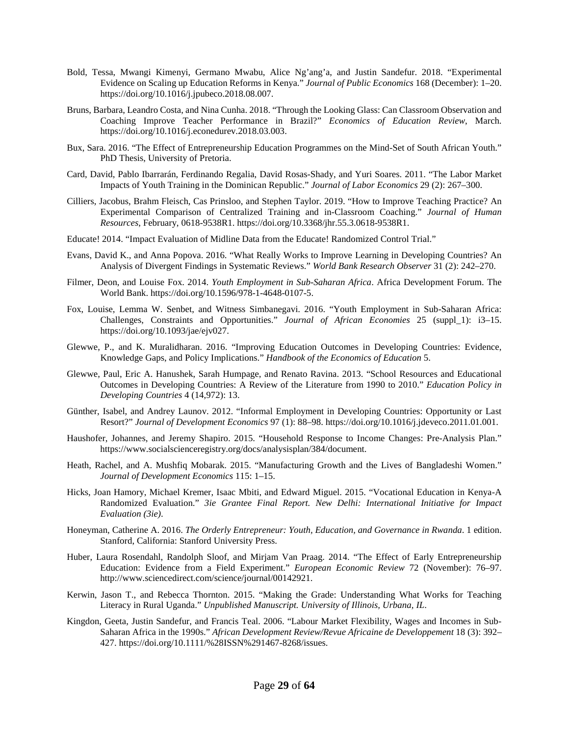- Bold, Tessa, Mwangi Kimenyi, Germano Mwabu, Alice Ng'ang'a, and Justin Sandefur. 2018. "Experimental Evidence on Scaling up Education Reforms in Kenya." *Journal of Public Economics* 168 (December): 1–20. https://doi.org/10.1016/j.jpubeco.2018.08.007.
- Bruns, Barbara, Leandro Costa, and Nina Cunha. 2018. "Through the Looking Glass: Can Classroom Observation and Coaching Improve Teacher Performance in Brazil?" *Economics of Education Review*, March. https://doi.org/10.1016/j.econedurev.2018.03.003.
- Bux, Sara. 2016. "The Effect of Entrepreneurship Education Programmes on the Mind-Set of South African Youth." PhD Thesis, University of Pretoria.
- Card, David, Pablo Ibarrarán, Ferdinando Regalia, David Rosas-Shady, and Yuri Soares. 2011. "The Labor Market Impacts of Youth Training in the Dominican Republic." *Journal of Labor Economics* 29 (2): 267–300.
- Cilliers, Jacobus, Brahm Fleisch, Cas Prinsloo, and Stephen Taylor. 2019. "How to Improve Teaching Practice? An Experimental Comparison of Centralized Training and in-Classroom Coaching." *Journal of Human Resources*, February, 0618-9538R1. https://doi.org/10.3368/jhr.55.3.0618-9538R1.
- Educate! 2014. "Impact Evaluation of Midline Data from the Educate! Randomized Control Trial."
- Evans, David K., and Anna Popova. 2016. "What Really Works to Improve Learning in Developing Countries? An Analysis of Divergent Findings in Systematic Reviews." *World Bank Research Observer* 31 (2): 242–270.
- Filmer, Deon, and Louise Fox. 2014. *Youth Employment in Sub-Saharan Africa*. Africa Development Forum. The World Bank. https://doi.org/10.1596/978-1-4648-0107-5.
- Fox, Louise, Lemma W. Senbet, and Witness Simbanegavi. 2016. "Youth Employment in Sub-Saharan Africa: Challenges, Constraints and Opportunities." *Journal of African Economies* 25 (suppl\_1): i3–15. https://doi.org/10.1093/jae/ejv027.
- Glewwe, P., and K. Muralidharan. 2016. "Improving Education Outcomes in Developing Countries: Evidence, Knowledge Gaps, and Policy Implications." *Handbook of the Economics of Education* 5.
- Glewwe, Paul, Eric A. Hanushek, Sarah Humpage, and Renato Ravina. 2013. "School Resources and Educational Outcomes in Developing Countries: A Review of the Literature from 1990 to 2010." *Education Policy in Developing Countries* 4 (14,972): 13.
- Günther, Isabel, and Andrey Launov. 2012. "Informal Employment in Developing Countries: Opportunity or Last Resort?" *Journal of Development Economics* 97 (1): 88–98. https://doi.org/10.1016/j.jdeveco.2011.01.001.
- Haushofer, Johannes, and Jeremy Shapiro. 2015. "Household Response to Income Changes: Pre-Analysis Plan." https://www.socialscienceregistry.org/docs/analysisplan/384/document.
- Heath, Rachel, and A. Mushfiq Mobarak. 2015. "Manufacturing Growth and the Lives of Bangladeshi Women." *Journal of Development Economics* 115: 1–15.
- Hicks, Joan Hamory, Michael Kremer, Isaac Mbiti, and Edward Miguel. 2015. "Vocational Education in Kenya-A Randomized Evaluation." *3ie Grantee Final Report. New Delhi: International Initiative for Impact Evaluation (3ie)*.
- Honeyman, Catherine A. 2016. *The Orderly Entrepreneur: Youth, Education, and Governance in Rwanda*. 1 edition. Stanford, California: Stanford University Press.
- Huber, Laura Rosendahl, Randolph Sloof, and Mirjam Van Praag. 2014. "The Effect of Early Entrepreneurship Education: Evidence from a Field Experiment." *European Economic Review* 72 (November): 76–97. http://www.sciencedirect.com/science/journal/00142921.
- Kerwin, Jason T., and Rebecca Thornton. 2015. "Making the Grade: Understanding What Works for Teaching Literacy in Rural Uganda." *Unpublished Manuscript. University of Illinois, Urbana, IL*.
- Kingdon, Geeta, Justin Sandefur, and Francis Teal. 2006. "Labour Market Flexibility, Wages and Incomes in Sub-Saharan Africa in the 1990s." *African Development Review/Revue Africaine de Developpement* 18 (3): 392– 427. https://doi.org/10.1111/%28ISSN%291467-8268/issues.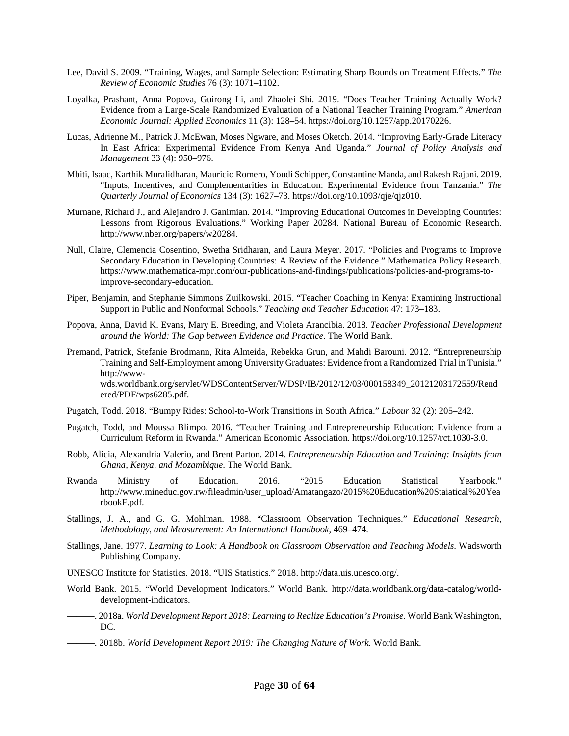- Lee, David S. 2009. "Training, Wages, and Sample Selection: Estimating Sharp Bounds on Treatment Effects." *The Review of Economic Studies* 76 (3): 1071–1102.
- Loyalka, Prashant, Anna Popova, Guirong Li, and Zhaolei Shi. 2019. "Does Teacher Training Actually Work? Evidence from a Large-Scale Randomized Evaluation of a National Teacher Training Program." *American Economic Journal: Applied Economics* 11 (3): 128–54. https://doi.org/10.1257/app.20170226.
- Lucas, Adrienne M., Patrick J. McEwan, Moses Ngware, and Moses Oketch. 2014. "Improving Early-Grade Literacy In East Africa: Experimental Evidence From Kenya And Uganda." *Journal of Policy Analysis and Management* 33 (4): 950–976.
- Mbiti, Isaac, Karthik Muralidharan, Mauricio Romero, Youdi Schipper, Constantine Manda, and Rakesh Rajani. 2019. "Inputs, Incentives, and Complementarities in Education: Experimental Evidence from Tanzania." *The Quarterly Journal of Economics* 134 (3): 1627–73. https://doi.org/10.1093/qje/qjz010.
- Murnane, Richard J., and Alejandro J. Ganimian. 2014. "Improving Educational Outcomes in Developing Countries: Lessons from Rigorous Evaluations." Working Paper 20284. National Bureau of Economic Research. http://www.nber.org/papers/w20284.
- Null, Claire, Clemencia Cosentino, Swetha Sridharan, and Laura Meyer. 2017. "Policies and Programs to Improve Secondary Education in Developing Countries: A Review of the Evidence." Mathematica Policy Research. https://www.mathematica-mpr.com/our-publications-and-findings/publications/policies-and-programs-toimprove-secondary-education.
- Piper, Benjamin, and Stephanie Simmons Zuilkowski. 2015. "Teacher Coaching in Kenya: Examining Instructional Support in Public and Nonformal Schools." *Teaching and Teacher Education* 47: 173–183.
- Popova, Anna, David K. Evans, Mary E. Breeding, and Violeta Arancibia. 2018. *Teacher Professional Development around the World: The Gap between Evidence and Practice*. The World Bank.
- Premand, Patrick, Stefanie Brodmann, Rita Almeida, Rebekka Grun, and Mahdi Barouni. 2012. "Entrepreneurship Training and Self-Employment among University Graduates: Evidence from a Randomized Trial in Tunisia." http://wwwwds.worldbank.org/servlet/WDSContentServer/WDSP/IB/2012/12/03/000158349\_20121203172559/Rend ered/PDF/wps6285.pdf.
- Pugatch, Todd. 2018. "Bumpy Rides: School-to-Work Transitions in South Africa." *Labour* 32 (2): 205–242.
- Pugatch, Todd, and Moussa Blimpo. 2016. "Teacher Training and Entrepreneurship Education: Evidence from a Curriculum Reform in Rwanda." American Economic Association. https://doi.org/10.1257/rct.1030-3.0.
- Robb, Alicia, Alexandria Valerio, and Brent Parton. 2014. *Entrepreneurship Education and Training: Insights from Ghana, Kenya, and Mozambique*. The World Bank.
- Rwanda Ministry of Education. 2016. "2015 Education Statistical Yearbook." http://www.mineduc.gov.rw/fileadmin/user\_upload/Amatangazo/2015%20Education%20Staiatical%20Yea rbookF.pdf.
- Stallings, J. A., and G. G. Mohlman. 1988. "Classroom Observation Techniques." *Educational Research, Methodology, and Measurement: An International Handbook*, 469–474.
- Stallings, Jane. 1977. *Learning to Look: A Handbook on Classroom Observation and Teaching Models*. Wadsworth Publishing Company.
- UNESCO Institute for Statistics. 2018. "UIS Statistics." 2018. http://data.uis.unesco.org/.
- World Bank. 2015. "World Development Indicators." World Bank. http://data.worldbank.org/data-catalog/worlddevelopment-indicators.
- ———. 2018a. *World Development Report 2018: Learning to Realize Education's Promise*. World Bank Washington, DC.
- ———. 2018b. *World Development Report 2019: The Changing Nature of Work*. World Bank.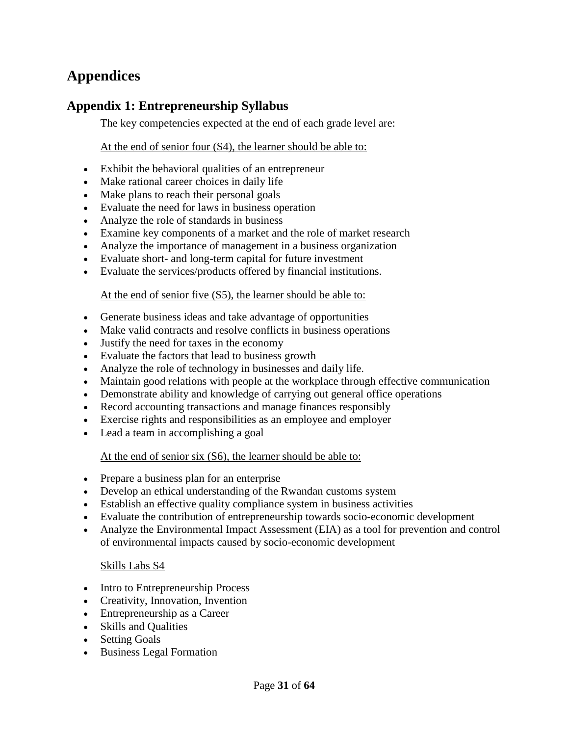# <span id="page-32-0"></span>**Appendices**

# <span id="page-32-1"></span>**Appendix 1: Entrepreneurship Syllabus**

The key competencies expected at the end of each grade level are:

At the end of senior four (S4), the learner should be able to:

- Exhibit the behavioral qualities of an entrepreneur
- Make rational career choices in daily life
- Make plans to reach their personal goals
- Evaluate the need for laws in business operation
- Analyze the role of standards in business
- Examine key components of a market and the role of market research
- Analyze the importance of management in a business organization
- Evaluate short- and long-term capital for future investment
- Evaluate the services/products offered by financial institutions.

## At the end of senior five (S5), the learner should be able to:

- Generate business ideas and take advantage of opportunities
- Make valid contracts and resolve conflicts in business operations
- Justify the need for taxes in the economy
- Evaluate the factors that lead to business growth
- Analyze the role of technology in businesses and daily life.
- Maintain good relations with people at the workplace through effective communication
- Demonstrate ability and knowledge of carrying out general office operations
- Record accounting transactions and manage finances responsibly
- Exercise rights and responsibilities as an employee and employer
- Lead a team in accomplishing a goal

## At the end of senior six (S6), the learner should be able to:

- Prepare a business plan for an enterprise
- Develop an ethical understanding of the Rwandan customs system
- Establish an effective quality compliance system in business activities
- Evaluate the contribution of entrepreneurship towards socio-economic development
- Analyze the Environmental Impact Assessment (EIA) as a tool for prevention and control of environmental impacts caused by socio-economic development

## Skills Labs S4

- Intro to Entrepreneurship Process
- Creativity, Innovation, Invention
- Entrepreneurship as a Career
- Skills and Qualities
- Setting Goals
- Business Legal Formation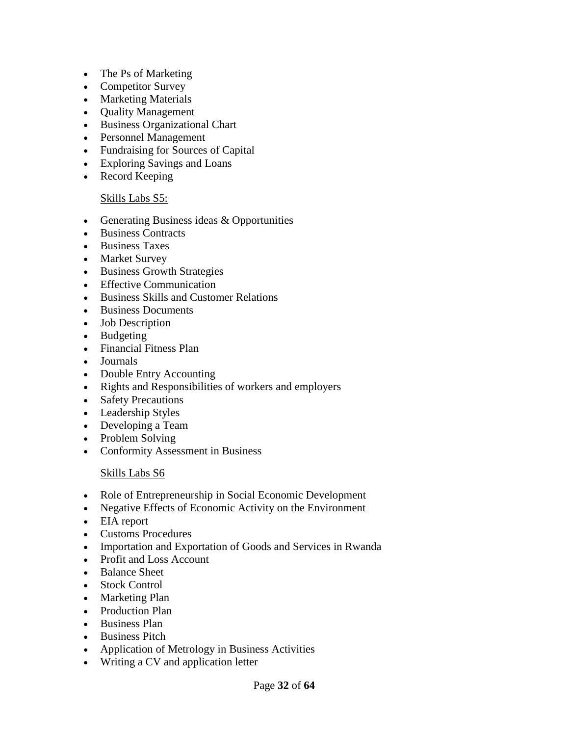- The Ps of Marketing
- Competitor Survey
- Marketing Materials
- Quality Management
- Business Organizational Chart
- Personnel Management
- Fundraising for Sources of Capital
- Exploring Savings and Loans
- Record Keeping

### Skills Labs S5:

- Generating Business ideas & Opportunities
- Business Contracts
- Business Taxes
- Market Survey
- Business Growth Strategies
- Effective Communication
- Business Skills and Customer Relations
- Business Documents
- Job Description
- Budgeting
- Financial Fitness Plan
- Journals
- Double Entry Accounting
- Rights and Responsibilities of workers and employers
- Safety Precautions
- Leadership Styles
- Developing a Team
- Problem Solving
- Conformity Assessment in Business

## Skills Labs S6

- Role of Entrepreneurship in Social Economic Development
- Negative Effects of Economic Activity on the Environment
- EIA report
- Customs Procedures
- Importation and Exportation of Goods and Services in Rwanda
- Profit and Loss Account
- Balance Sheet
- Stock Control
- Marketing Plan
- Production Plan
- Business Plan
- Business Pitch
- Application of Metrology in Business Activities
- Writing a CV and application letter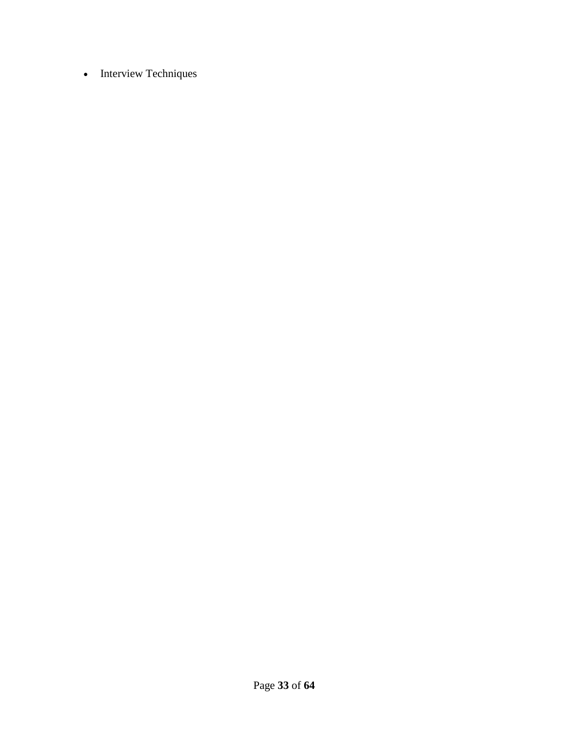• Interview Techniques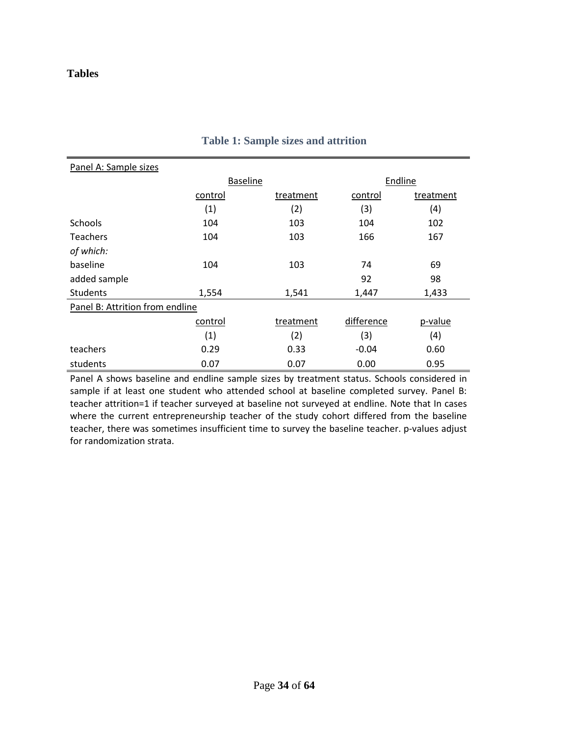## <span id="page-35-0"></span>**Tables**

| Panel A: Sample sizes           |                 |           |            |           |  |  |
|---------------------------------|-----------------|-----------|------------|-----------|--|--|
|                                 | <b>Baseline</b> |           |            | Endline   |  |  |
|                                 | control         | treatment | control    | treatment |  |  |
|                                 | (1)             | (2)       | (3)        | (4)       |  |  |
| <b>Schools</b>                  | 104             | 103       | 104        | 102       |  |  |
| <b>Teachers</b>                 | 104             | 103       | 166        | 167       |  |  |
| of which:                       |                 |           |            |           |  |  |
| baseline                        | 104             | 103       | 74         | 69        |  |  |
| added sample                    |                 |           | 92         | 98        |  |  |
| <b>Students</b>                 | 1,554           | 1,541     | 1,447      | 1,433     |  |  |
| Panel B: Attrition from endline |                 |           |            |           |  |  |
|                                 | control         | treatment | difference | p-value   |  |  |
|                                 | (1)             | (2)       | (3)        | (4)       |  |  |
| teachers                        | 0.29            | 0.33      | $-0.04$    | 0.60      |  |  |
| students                        | 0.07            | 0.07      | 0.00       | 0.95      |  |  |

### **Table 1: Sample sizes and attrition**

Panel A shows baseline and endline sample sizes by treatment status. Schools considered in sample if at least one student who attended school at baseline completed survey. Panel B: teacher attrition=1 if teacher surveyed at baseline not surveyed at endline. Note that In cases where the current entrepreneurship teacher of the study cohort differed from the baseline teacher, there was sometimes insufficient time to survey the baseline teacher. p-values adjust for randomization strata.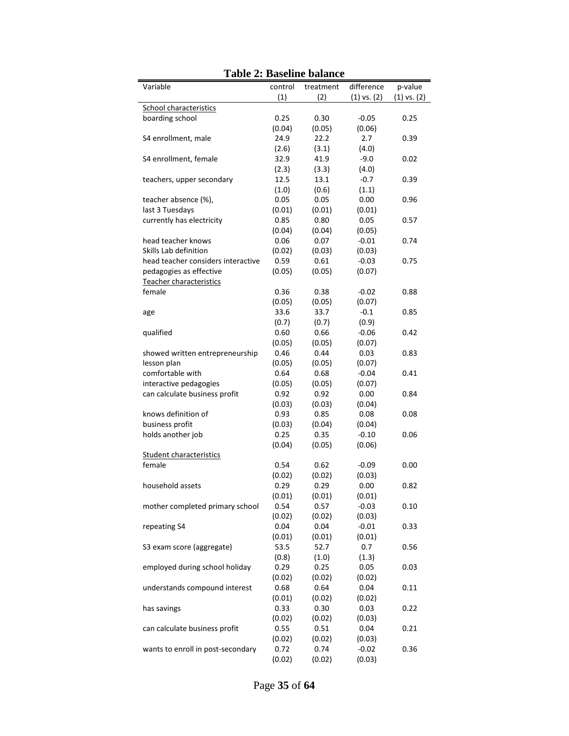| Variable                           | control | treatment | difference      | p-value         |
|------------------------------------|---------|-----------|-----------------|-----------------|
|                                    | (1)     | (2)       | $(1)$ vs. $(2)$ | $(1)$ vs. $(2)$ |
| <b>School characteristics</b>      |         |           |                 |                 |
| boarding school                    | 0.25    | 0.30      | $-0.05$         | 0.25            |
|                                    | (0.04)  | (0.05)    | (0.06)          |                 |
| S4 enrollment, male                | 24.9    | 22.2      | 2.7             | 0.39            |
|                                    | (2.6)   | (3.1)     | (4.0)           |                 |
| S4 enrollment, female              | 32.9    | 41.9      | $-9.0$          | 0.02            |
|                                    | (2.3)   | (3.3)     | (4.0)           |                 |
| teachers, upper secondary          | 12.5    | 13.1      | $-0.7$          | 0.39            |
|                                    | (1.0)   | (0.6)     | (1.1)           |                 |
| teacher absence (%),               | 0.05    | 0.05      | 0.00            | 0.96            |
| last 3 Tuesdays                    | (0.01)  | (0.01)    | (0.01)          |                 |
| currently has electricity          | 0.85    | 0.80      | 0.05            | 0.57            |
|                                    | (0.04)  | (0.04)    | (0.05)          |                 |
| head teacher knows                 | 0.06    | 0.07      | $-0.01$         | 0.74            |
| Skills Lab definition              | (0.02)  | (0.03)    | (0.03)          |                 |
| head teacher considers interactive | 0.59    | 0.61      | $-0.03$         | 0.75            |
| pedagogies as effective            | (0.05)  | (0.05)    | (0.07)          |                 |
| Teacher characteristics            |         |           |                 |                 |
| female                             | 0.36    | 0.38      | $-0.02$         | 0.88            |
|                                    | (0.05)  | (0.05)    | (0.07)          |                 |
| age                                | 33.6    | 33.7      | $-0.1$          | 0.85            |
|                                    | (0.7)   | (0.7)     | (0.9)           |                 |
| qualified                          | 0.60    | 0.66      | $-0.06$         | 0.42            |
|                                    | (0.05)  | (0.05)    | (0.07)          |                 |
| showed written entrepreneurship    | 0.46    | 0.44      | 0.03            | 0.83            |
| lesson plan                        | (0.05)  | (0.05)    | (0.07)          |                 |
| comfortable with                   | 0.64    | 0.68      | $-0.04$         | 0.41            |
| interactive pedagogies             | (0.05)  | (0.05)    | (0.07)          |                 |
| can calculate business profit      | 0.92    | 0.92      | 0.00            | 0.84            |
|                                    | (0.03)  | (0.03)    | (0.04)          |                 |
| knows definition of                | 0.93    | 0.85      | 0.08            | 0.08            |
| business profit                    | (0.03)  | (0.04)    | (0.04)          |                 |
| holds another job                  | 0.25    | 0.35      | $-0.10$         | 0.06            |
|                                    | (0.04)  | (0.05)    | (0.06)          |                 |
| <b>Student characteristics</b>     |         |           |                 |                 |
| female                             | 0.54    | 0.62      | $-0.09$         | 0.00            |
|                                    | (0.02)  | (0.02)    | (0.03)          |                 |
| household assets                   | 0.29    | 0.29      | 0.00            | 0.82            |
|                                    | (0.01)  | (0.01)    | (0.01)          |                 |
| mother completed primary school    | 0.54    | 0.57      | $-0.03$         | 0.10            |
|                                    | (0.02)  | (0.02)    | (0.03)          |                 |
| repeating S4                       | 0.04    | 0.04      | $-0.01$         | 0.33            |
|                                    | (0.01)  | (0.01)    | (0.01)          |                 |
| S3 exam score (aggregate)          | 53.5    | 52.7      | 0.7             | 0.56            |
|                                    | (0.8)   | (1.0)     | (1.3)           |                 |
| employed during school holiday     | 0.29    | 0.25      | 0.05            | 0.03            |
|                                    |         |           |                 |                 |
|                                    | (0.02)  | (0.02)    | (0.02)          |                 |
| understands compound interest      | 0.68    | 0.64      | 0.04            | 0.11            |
|                                    | (0.01)  | (0.02)    | (0.02)          |                 |
| has savings                        | 0.33    | 0.30      | 0.03            | 0.22            |
|                                    | (0.02)  | (0.02)    | (0.03)          |                 |
| can calculate business profit      | 0.55    | 0.51      | 0.04            | 0.21            |
|                                    | (0.02)  | (0.02)    | (0.03)          |                 |
| wants to enroll in post-secondary  | 0.72    | 0.74      | $-0.02$         | 0.36            |
|                                    | (0.02)  | (0.02)    | (0.03)          |                 |

**Table 2: Baseline balance**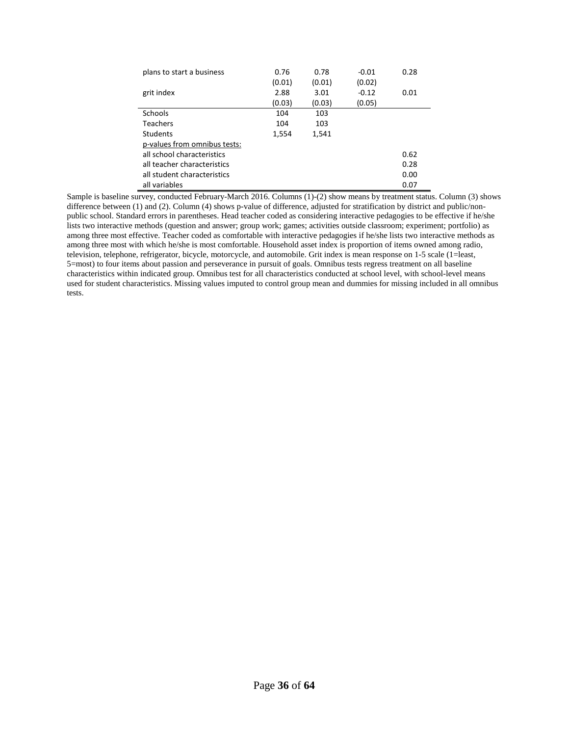| plans to start a business    | 0.76   | 0.78   | $-0.01$ | 0.28 |
|------------------------------|--------|--------|---------|------|
|                              | (0.01) | (0.01) | (0.02)  |      |
| grit index                   | 2.88   | 3.01   | $-0.12$ | 0.01 |
|                              | (0.03) | (0.03) | (0.05)  |      |
| <b>Schools</b>               | 104    | 103    |         |      |
| <b>Teachers</b>              | 104    | 103    |         |      |
| <b>Students</b>              | 1,554  | 1,541  |         |      |
| p-values from omnibus tests: |        |        |         |      |
| all school characteristics   |        |        |         | 0.62 |
| all teacher characteristics  |        |        |         | 0.28 |
| all student characteristics  |        |        |         | 0.00 |
| all variables                |        |        |         | 0.07 |

Sample is baseline survey, conducted February-March 2016. Columns (1)-(2) show means by treatment status. Column (3) shows difference between (1) and (2). Column (4) shows p-value of difference, adjusted for stratification by district and public/nonpublic school. Standard errors in parentheses. Head teacher coded as considering interactive pedagogies to be effective if he/she lists two interactive methods (question and answer; group work; games; activities outside classroom; experiment; portfolio) as among three most effective. Teacher coded as comfortable with interactive pedagogies if he/she lists two interactive methods as among three most with which he/she is most comfortable. Household asset index is proportion of items owned among radio, television, telephone, refrigerator, bicycle, motorcycle, and automobile. Grit index is mean response on 1-5 scale (1=least, 5=most) to four items about passion and perseverance in pursuit of goals. Omnibus tests regress treatment on all baseline characteristics within indicated group. Omnibus test for all characteristics conducted at school level, with school-level means used for student characteristics. Missing values imputed to control group mean and dummies for missing included in all omnibus tests.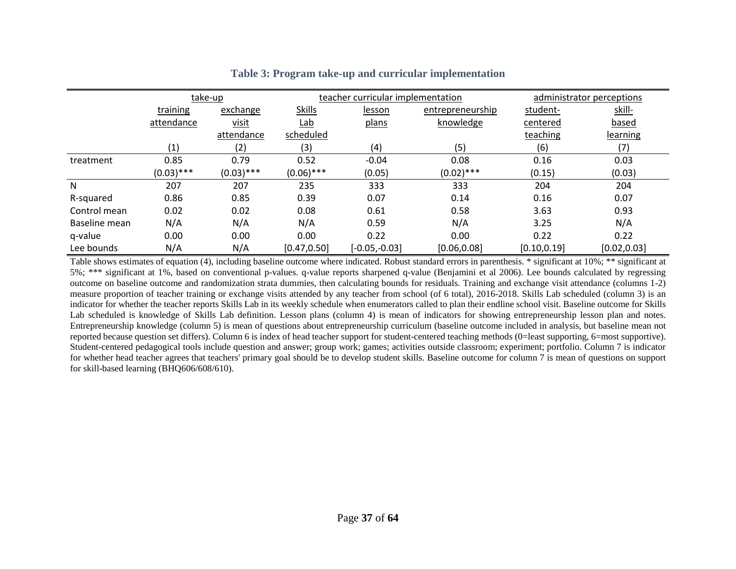|               |              | take-up      |               | teacher curricular implementation |                  | administrator perceptions |              |
|---------------|--------------|--------------|---------------|-----------------------------------|------------------|---------------------------|--------------|
|               | training     | exchange     | <b>Skills</b> | lesson                            | entrepreneurship | student-                  | skill-       |
|               | attendance   | visit        | <u>Lab</u>    | plans                             | knowledge        | centered                  | based        |
|               |              | attendance   | scheduled     |                                   |                  | teaching                  | learning     |
|               | (1)          | (2)          | (3)           | (4)                               | (5)              | (6)                       | (7)          |
| treatment     | 0.85         | 0.79         | 0.52          | $-0.04$                           | 0.08             | 0.16                      | 0.03         |
|               | $(0.03)$ *** | $(0.03)$ *** | $(0.06)$ ***  | (0.05)                            | $(0.02)$ ***     | (0.15)                    | (0.03)       |
| N             | 207          | 207          | 235           | 333                               | 333              | 204                       | 204          |
| R-squared     | 0.86         | 0.85         | 0.39          | 0.07                              | 0.14             | 0.16                      | 0.07         |
| Control mean  | 0.02         | 0.02         | 0.08          | 0.61                              | 0.58             | 3.63                      | 0.93         |
| Baseline mean | N/A          | N/A          | N/A           | 0.59                              | N/A              | 3.25                      | N/A          |
| q-value       | 0.00         | 0.00         | 0.00          | 0.22                              | 0.00             | 0.22                      | 0.22         |
| Lee bounds    | N/A          | N/A          | [0.47, 0.50]  | $[-0.05,-0.03]$                   | [0.06, 0.08]     | [0.10, 0.19]              | [0.02, 0.03] |

### **Table 3: Program take-up and curricular implementation**

<span id="page-38-0"></span>Table shows estimates of equation (4), including baseline outcome where indicated. Robust standard errors in parenthesis. \* significant at 10%; \*\* significant at 5%; \*\*\* significant at 1%, based on conventional p-values. q-value reports sharpened q-value (Benjamini et al 2006). Lee bounds calculated by regressing outcome on baseline outcome and randomization strata dummies, then calculating bounds for residuals. Training and exchange visit attendance (columns 1-2) measure proportion of teacher training or exchange visits attended by any teacher from school (of 6 total), 2016-2018. Skills Lab scheduled (column 3) is an indicator for whether the teacher reports Skills Lab in its weekly schedule when enumerators called to plan their endline school visit. Baseline outcome for Skills Lab scheduled is knowledge of Skills Lab definition. Lesson plans (column 4) is mean of indicators for showing entrepreneurship lesson plan and notes. Entrepreneurship knowledge (column 5) is mean of questions about entrepreneurship curriculum (baseline outcome included in analysis, but baseline mean not reported because question set differs). Column 6 is index of head teacher support for student-centered teaching methods (0=least supporting, 6=most supportive). Student-centered pedagogical tools include question and answer; group work; games; activities outside classroom; experiment; portfolio. Column 7 is indicator for whether head teacher agrees that teachers' primary goal should be to develop student skills. Baseline outcome for column 7 is mean of questions on support for skill-based learning (BHQ606/608/610).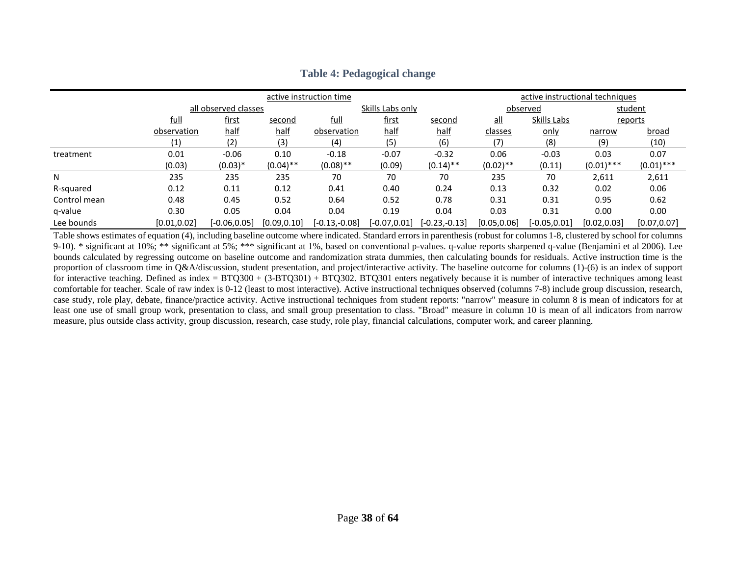|              |                                |                      | active instruction time | active instructional techniques |                  |                            |              |                 |              |              |  |
|--------------|--------------------------------|----------------------|-------------------------|---------------------------------|------------------|----------------------------|--------------|-----------------|--------------|--------------|--|
|              |                                | all observed classes |                         |                                 | Skills Labs only |                            |              | observed        |              | student      |  |
|              | <u>full</u><br>first<br>second |                      | full                    | <u>first</u>                    | second           | $\underline{\mathsf{all}}$ | Skills Labs  |                 | reports      |              |  |
|              | observation                    | <u>half</u>          | half                    | observation                     | <u>half</u>      | half                       | classes      | only            | narrow       | <u>broad</u> |  |
|              | $\left( 1\right)$              | (2)                  | (3)                     | (4)                             | (5)              | (6)                        | (7)          | (8)             | (9)          | (10)         |  |
| treatment    | 0.01                           | $-0.06$              | 0.10                    | $-0.18$                         | $-0.07$          | $-0.32$                    | 0.06         | $-0.03$         | 0.03         | 0.07         |  |
|              | (0.03)                         | $(0.03)*$            | $(0.04)$ **             | $(0.08)$ **                     | (0.09)           | $(0.14)$ **                | $(0.02)$ **  | (0.11)          | $(0.01)$ *** | $(0.01)$ *** |  |
| N            | 235                            | 235                  | 235                     | 70                              | 70               | 70                         | 235          | 70              | 2,611        | 2,611        |  |
| R-squared    | 0.12                           | 0.11                 | 0.12                    | 0.41                            | 0.40             | 0.24                       | 0.13         | 0.32            | 0.02         | 0.06         |  |
| Control mean | 0.48                           | 0.45                 | 0.52                    | 0.64                            | 0.52             | 0.78                       | 0.31         | 0.31            | 0.95         | 0.62         |  |
| q-value      | 0.30                           | 0.05                 | 0.04                    | 0.04                            | 0.19             | 0.04                       | 0.03         | 0.31            | 0.00         | 0.00         |  |
| Lee bounds   | [0.01, 0.02]                   | $[-0.06, 0.05]$      | [0.09, 0.10]            | $[-0.13,-0.08]$                 | $[-0.07, 0.01]$  | $[-0.23,-0.13]$            | [0.05, 0.06] | $[-0.05, 0.01]$ | [0.02, 0.03] | [0.07, 0.07] |  |

## **Table 4: Pedagogical change**

<span id="page-39-0"></span>Table shows estimates of equation (4), including baseline outcome where indicated. Standard errors in parenthesis (robust for columns 1-8, clustered by school for columns 9-10). \* significant at 10%; \*\* significant at 5%; \*\*\* significant at 1%, based on conventional p-values. q-value reports sharpened q-value (Benjamini et al 2006). Lee bounds calculated by regressing outcome on baseline outcome and randomization strata dummies, then calculating bounds for residuals. Active instruction time is the proportion of classroom time in Q&A/discussion, student presentation, and project/interactive activity. The baseline outcome for columns (1)-(6) is an index of support for interactive teaching. Defined as index =  $BTQ300 + (3-BTQ301) + BTQ302$ .  $BTQ301$  enters negatively because it is number of interactive techniques among least comfortable for teacher. Scale of raw index is 0-12 (least to most interactive). Active instructional techniques observed (columns 7-8) include group discussion, research, case study, role play, debate, finance/practice activity. Active instructional techniques from student reports: "narrow" measure in column 8 is mean of indicators for at least one use of small group work, presentation to class, and small group presentation to class. "Broad" measure in column 10 is mean of all indicators from narrow measure, plus outside class activity, group discussion, research, case study, role play, financial calculations, computer work, and career planning.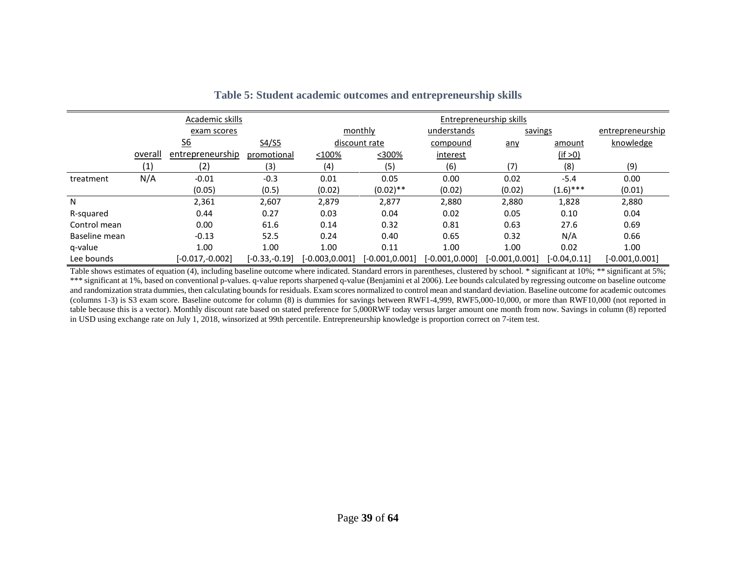|               |         | <b>Academic skills</b>    |                 |                | <b>Entrepreneurship skills</b>    |                   |                  |                 |                   |  |
|---------------|---------|---------------------------|-----------------|----------------|-----------------------------------|-------------------|------------------|-----------------|-------------------|--|
|               |         | exam scores               |                 |                | monthly<br>understands<br>savings |                   |                  |                 |                   |  |
|               |         | $\underline{\mathsf{S6}}$ | S4/S5           |                | discount rate                     | compound          | any              | amount          | knowledge         |  |
|               | overall | entrepreneurship          | promotional     | $<$ 100%       | <300%                             | interest          |                  | (if > 0)        |                   |  |
|               | (1)     | (2)                       | (3)             | (4)            | (5)                               | (6)               | (7)              | (8)             | (9)               |  |
| treatment     | N/A     | $-0.01$                   | $-0.3$          | 0.01           | 0.05                              | 0.00              | 0.02             | $-5.4$          | 0.00              |  |
|               |         | (0.05)                    | (0.5)           | (0.02)         | $(0.02)$ **                       | (0.02)            | (0.02)           | $(1.6)$ ***     | (0.01)            |  |
| N             |         | 2,361                     | 2,607           | 2,879          | 2,877                             | 2,880             | 2,880            | 1,828           | 2,880             |  |
| R-squared     |         | 0.44                      | 0.27            | 0.03           | 0.04                              | 0.02              | 0.05             | 0.10            | 0.04              |  |
| Control mean  |         | 0.00                      | 61.6            | 0.14           | 0.32                              | 0.81              | 0.63             | 27.6            | 0.69              |  |
| Baseline mean |         | $-0.13$                   | 52.5            | 0.24           | 0.40                              | 0.65              | 0.32             | N/A             | 0.66              |  |
| q-value       |         | 1.00                      | 1.00            | 1.00           | 0.11                              | 1.00              | 1.00             | 0.02            | 1.00              |  |
| Lee bounds    |         | $[-0.017,-0.002]$         | $[-0.33,-0.19]$ | [-0.003.0.001] | [-0.001,0.001]                    | $[-0.001, 0.000]$ | $[-0.001.0.001]$ | $[-0.04, 0.11]$ | $[-0.001, 0.001]$ |  |

### **Table 5: Student academic outcomes and entrepreneurship skills**

<span id="page-40-0"></span>Table shows estimates of equation (4), including baseline outcome where indicated. Standard errors in parentheses, clustered by school. \* significant at 10%; \*\* significant at 5%; \*\*\* significant at 1%, based on conventional p-values. q-value reports sharpened q-value (Benjamini et al 2006). Lee bounds calculated by regressing outcome on baseline outcome and randomization strata dummies, then calculating bounds for residuals. Exam scores normalized to control mean and standard deviation. Baseline outcome for academic outcomes (columns 1-3) is S3 exam score. Baseline outcome for column (8) is dummies for savings between RWF1-4,999, RWF5,000-10,000, or more than RWF10,000 (not reported in table because this is a vector). Monthly discount rate based on stated preference for 5,000RWF today versus larger amount one month from now. Savings in column (8) reported in USD using exchange rate on July 1, 2018, winsorized at 99th percentile. Entrepreneurship knowledge is proportion correct on 7-item test.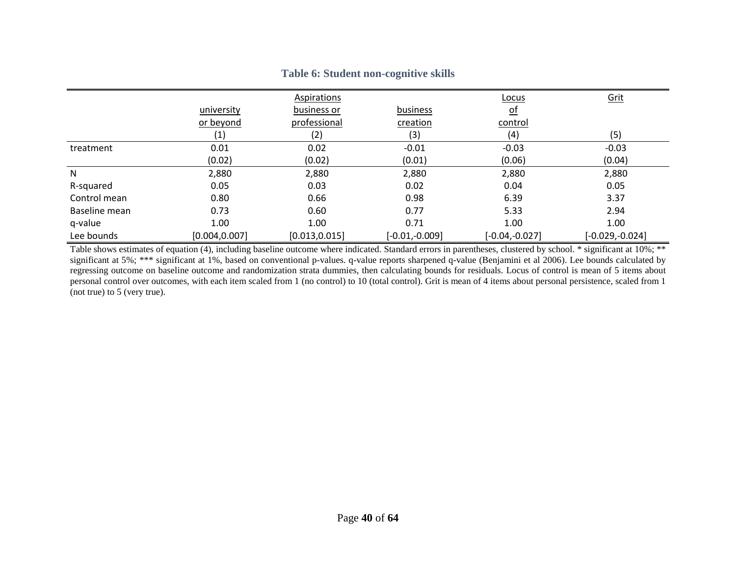|               |                   | Aspirations    |                  | Locus            | Grit              |
|---------------|-------------------|----------------|------------------|------------------|-------------------|
|               | university        | business or    | business         | <u>of</u>        |                   |
|               | or beyond         | professional   | creation         | control          |                   |
|               | $\left( 1\right)$ | (2)            | (3)              | (4)              | (5)               |
| treatment     | 0.01              | 0.02           | $-0.01$          | $-0.03$          | $-0.03$           |
|               | (0.02)            | (0.02)         | (0.01)           | (0.06)           | (0.04)            |
| N             | 2,880             | 2,880          | 2,880            | 2,880            | 2,880             |
| R-squared     | 0.05              | 0.03           | 0.02             | 0.04             | 0.05              |
| Control mean  | 0.80              | 0.66           | 0.98             | 6.39             | 3.37              |
| Baseline mean | 0.73              | 0.60           | 0.77             | 5.33             | 2.94              |
| q-value       | 1.00              | 1.00           | 0.71             | 1.00             | 1.00              |
| Lee bounds    | [0.004, 0.007]    | [0.013, 0.015] | $[-0.01,-0.009]$ | $[-0.04,-0.027]$ | $[-0.029,-0.024]$ |

### **Table 6: Student non-cognitive skills**

<span id="page-41-0"></span>Table shows estimates of equation (4), including baseline outcome where indicated. Standard errors in parentheses, clustered by school. \* significant at 10%; \*\* significant at 5%; \*\*\* significant at 1%, based on conventional p-values. q-value reports sharpened q-value (Benjamini et al 2006). Lee bounds calculated by regressing outcome on baseline outcome and randomization strata dummies, then calculating bounds for residuals. Locus of control is mean of 5 items about personal control over outcomes, with each item scaled from 1 (no control) to 10 (total control). Grit is mean of 4 items about personal persistence, scaled from 1 (not true) to 5 (very true).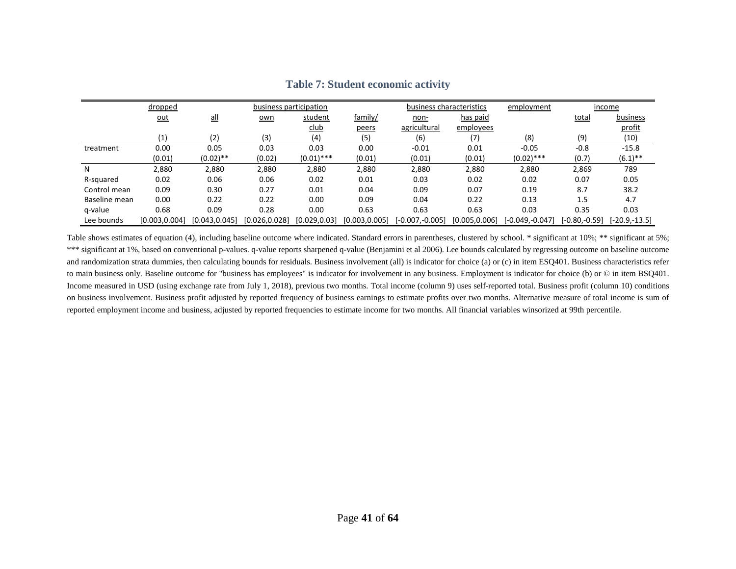|               | dropped       |               | business participation |               |                | business characteristics<br>employment |                |                 | income          |                 |
|---------------|---------------|---------------|------------------------|---------------|----------------|----------------------------------------|----------------|-----------------|-----------------|-----------------|
|               | <u>out</u>    | $all$         | own                    | student       | family/        | non-                                   | has paid       |                 | total           | business        |
|               |               |               |                        | <u>club</u>   | peers          | agricultural                           | employees      |                 |                 | profit          |
|               | (1)           | (2)           | (3)                    | (4)           | (5)            | (6)                                    |                | (8)             | (9)             | (10)            |
| treatment     | 0.00          | 0.05          | 0.03                   | 0.03          | 0.00           | $-0.01$                                | 0.01           | $-0.05$         | $-0.8$          | $-15.8$         |
|               | (0.01)        | $(0.02)$ **   | (0.02)                 | $(0.01)$ ***  | (0.01)         | (0.01)                                 | (0.01)         | $(0.02)$ ***    | (0.7)           | $(6.1)$ **      |
| N             | 2,880         | 2,880         | 2,880                  | 2,880         | 2,880          | 2,880                                  | 2,880          | 2,880           | 2,869           | 789             |
| R-squared     | 0.02          | 0.06          | 0.06                   | 0.02          | 0.01           | 0.03                                   | 0.02           | 0.02            | 0.07            | 0.05            |
| Control mean  | 0.09          | 0.30          | 0.27                   | 0.01          | 0.04           | 0.09                                   | 0.07           | 0.19            | 8.7             | 38.2            |
| Baseline mean | 0.00          | 0.22          | 0.22                   | 0.00          | 0.09           | 0.04                                   | 0.22           | 0.13            | 1.5             | 4.7             |
| g-value       | 0.68          | 0.09          | 0.28                   | 0.00          | 0.63           | 0.63                                   | 0.63           | 0.03            | 0.35            | 0.03            |
| Lee bounds    | [0.003.0.004] | [0.043.0.045] | [0.026, 0.028]         | [0.029, 0.03] | [0.003, 0.005] | $[-0.007,-0.005]$                      | [0.005, 0.006] | [-0.049,-0.047] | $[-0.80,-0.59]$ | $[-20.9,-13.5]$ |

**Table 7: Student economic activity**

<span id="page-42-0"></span>Table shows estimates of equation (4), including baseline outcome where indicated. Standard errors in parentheses, clustered by school. \* significant at 10%; \*\* significant at 5%; \*\*\* significant at 1%, based on conventional p-values. q-value reports sharpened q-value (Benjamini et al 2006). Lee bounds calculated by regressing outcome on baseline outcome and randomization strata dummies, then calculating bounds for residuals. Business involvement (all) is indicator for choice (a) or (c) in item ESQ401. Business characteristics refer to main business only. Baseline outcome for "business has employees" is indicator for involvement in any business. Employment is indicator for choice (b) or © in item BSQ401. Income measured in USD (using exchange rate from July 1, 2018), previous two months. Total income (column 9) uses self-reported total. Business profit (column 10) conditions on business involvement. Business profit adjusted by reported frequency of business earnings to estimate profits over two months. Alternative measure of total income is sum of reported employment income and business, adjusted by reported frequencies to estimate income for two months. All financial variables winsorized at 99th percentile.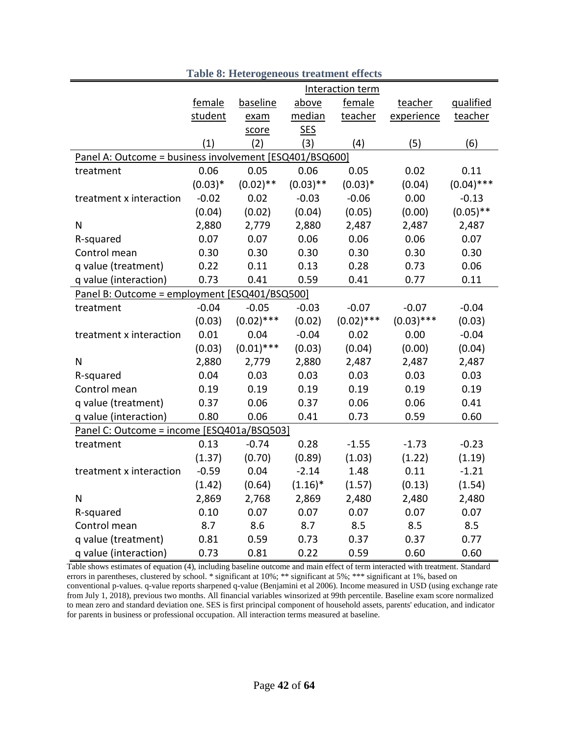<span id="page-43-0"></span>

|                                                         |           |              |             | Interaction term |              |              |
|---------------------------------------------------------|-----------|--------------|-------------|------------------|--------------|--------------|
|                                                         | female    | baseline     | above       | female           | teacher      | qualified    |
|                                                         | student   | exam         | median      | teacher          | experience   | teacher      |
|                                                         |           | score        | <b>SES</b>  |                  |              |              |
|                                                         | (1)       | (2)          | (3)         | (4)              | (5)          | (6)          |
| Panel A: Outcome = business involvement [ESQ401/BSQ600] |           |              |             |                  |              |              |
| treatment                                               | 0.06      | 0.05         | 0.06        | 0.05             | 0.02         | 0.11         |
|                                                         | $(0.03)*$ | $(0.02)$ **  | $(0.03)$ ** | $(0.03)*$        | (0.04)       | $(0.04)$ *** |
| treatment x interaction                                 | $-0.02$   | 0.02         | $-0.03$     | $-0.06$          | 0.00         | $-0.13$      |
|                                                         | (0.04)    | (0.02)       | (0.04)      | (0.05)           | (0.00)       | $(0.05)$ **  |
| N                                                       | 2,880     | 2,779        | 2,880       | 2,487            | 2,487        | 2,487        |
| R-squared                                               | 0.07      | 0.07         | 0.06        | 0.06             | 0.06         | 0.07         |
| Control mean                                            | 0.30      | 0.30         | 0.30        | 0.30             | 0.30         | 0.30         |
| q value (treatment)                                     | 0.22      | 0.11         | 0.13        | 0.28             | 0.73         | 0.06         |
| q value (interaction)                                   | 0.73      | 0.41         | 0.59        | 0.41             | 0.77         | 0.11         |
| Panel B: Outcome = employment [ESQ401/BSQ500]           |           |              |             |                  |              |              |
| treatment                                               | $-0.04$   | $-0.05$      | $-0.03$     | $-0.07$          | $-0.07$      | $-0.04$      |
|                                                         | (0.03)    | $(0.02)$ *** | (0.02)      | $(0.02)$ ***     | $(0.03)$ *** | (0.03)       |
| treatment x interaction                                 | 0.01      | 0.04         | $-0.04$     | 0.02             | 0.00         | $-0.04$      |
|                                                         | (0.03)    | $(0.01)$ *** | (0.03)      | (0.04)           | (0.00)       | (0.04)       |
| N                                                       | 2,880     | 2,779        | 2,880       | 2,487            | 2,487        | 2,487        |
| R-squared                                               | 0.04      | 0.03         | 0.03        | 0.03             | 0.03         | 0.03         |
| Control mean                                            | 0.19      | 0.19         | 0.19        | 0.19             | 0.19         | 0.19         |
| q value (treatment)                                     | 0.37      | 0.06         | 0.37        | 0.06             | 0.06         | 0.41         |
| q value (interaction)                                   | 0.80      | 0.06         | 0.41        | 0.73             | 0.59         | 0.60         |
| Panel C: Outcome = income [ESQ401a/BSQ503]              |           |              |             |                  |              |              |
| treatment                                               | 0.13      | $-0.74$      | 0.28        | $-1.55$          | $-1.73$      | $-0.23$      |
|                                                         | (1.37)    | (0.70)       | (0.89)      | (1.03)           | (1.22)       | (1.19)       |
| treatment x interaction                                 | $-0.59$   | 0.04         | $-2.14$     | 1.48             | 0.11         | $-1.21$      |
|                                                         | (1.42)    | (0.64)       | $(1.16)^*$  | (1.57)           | (0.13)       | (1.54)       |
| N                                                       | 2,869     | 2,768        | 2,869       | 2,480            | 2,480        | 2,480        |
| R-squared                                               | 0.10      | 0.07         | 0.07        | 0.07             | 0.07         | 0.07         |
| Control mean                                            | 8.7       | 8.6          | 8.7         | 8.5              | 8.5          | 8.5          |
| q value (treatment)                                     | 0.81      | 0.59         | 0.73        | 0.37             | 0.37         | 0.77         |
| q value (interaction)                                   | 0.73      | 0.81         | 0.22        | 0.59             | 0.60         | 0.60         |

**Table 8: Heterogeneous treatment effects**

Table shows estimates of equation (4), including baseline outcome and main effect of term interacted with treatment. Standard errors in parentheses, clustered by school. \* significant at 10%; \*\* significant at 5%; \*\*\* significant at 1%, based on conventional p-values. q-value reports sharpened q-value (Benjamini et al 2006). Income measured in USD (using exchange rate from July 1, 2018), previous two months. All financial variables winsorized at 99th percentile. Baseline exam score normalized to mean zero and standard deviation one. SES is first principal component of household assets, parents' education, and indicator for parents in business or professional occupation. All interaction terms measured at baseline.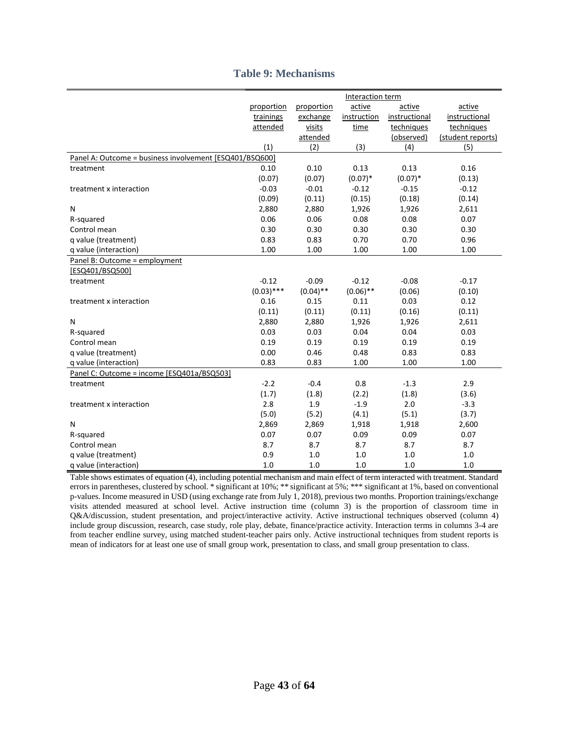|  |  | <b>Table 9: Mechanisms</b> |
|--|--|----------------------------|
|--|--|----------------------------|

|                                                         |              |             | Interaction term |               |                   |
|---------------------------------------------------------|--------------|-------------|------------------|---------------|-------------------|
|                                                         | proportion   | proportion  | active           | active        | active            |
|                                                         | trainings    | exchange    | instruction      | instructional | instructional     |
|                                                         | attended     | visits      | time             | techniques    | techniques        |
|                                                         |              | attended    |                  | (observed)    | (student reports) |
|                                                         | (1)          | (2)         | (3)              | (4)           | (5)               |
| Panel A: Outcome = business involvement [ESQ401/BSQ600] |              |             |                  |               |                   |
| treatment                                               | 0.10         | 0.10        | 0.13             | 0.13          | 0.16              |
|                                                         | (0.07)       | (0.07)      | $(0.07)*$        | $(0.07)*$     | (0.13)            |
| treatment x interaction                                 | $-0.03$      | $-0.01$     | $-0.12$          | $-0.15$       | $-0.12$           |
|                                                         | (0.09)       | (0.11)      | (0.15)           | (0.18)        | (0.14)            |
| N                                                       | 2,880        | 2,880       | 1,926            | 1,926         | 2,611             |
| R-squared                                               | 0.06         | 0.06        | 0.08             | 0.08          | 0.07              |
| Control mean                                            | 0.30         | 0.30        | 0.30             | 0.30          | 0.30              |
| q value (treatment)                                     | 0.83         | 0.83        | 0.70             | 0.70          | 0.96              |
| q value (interaction)                                   | 1.00         | 1.00        | 1.00             | 1.00          | 1.00              |
| Panel B: Outcome = employment                           |              |             |                  |               |                   |
| [ESQ401/BSQ500]                                         |              |             |                  |               |                   |
| treatment                                               | $-0.12$      | $-0.09$     | $-0.12$          | $-0.08$       | $-0.17$           |
|                                                         | $(0.03)$ *** | $(0.04)$ ** | $(0.06)$ **      | (0.06)        | (0.10)            |
| treatment x interaction                                 | 0.16         | 0.15        | 0.11             | 0.03          | 0.12              |
|                                                         | (0.11)       | (0.11)      | (0.11)           | (0.16)        | (0.11)            |
| Ν                                                       | 2,880        | 2,880       | 1,926            | 1,926         | 2,611             |
| R-squared                                               | 0.03         | 0.03        | 0.04             | 0.04          | 0.03              |
| Control mean                                            | 0.19         | 0.19        | 0.19             | 0.19          | 0.19              |
| q value (treatment)                                     | 0.00         | 0.46        | 0.48             | 0.83          | 0.83              |
| q value (interaction)                                   | 0.83         | 0.83        | 1.00             | 1.00          | 1.00              |
| Panel C: Outcome = income [ESQ401a/BSQ503]              |              |             |                  |               |                   |
| treatment                                               | $-2.2$       | $-0.4$      | 0.8              | $-1.3$        | 2.9               |
|                                                         | (1.7)        | (1.8)       | (2.2)            | (1.8)         | (3.6)             |
| treatment x interaction                                 | 2.8          | 1.9         | $-1.9$           | 2.0           | $-3.3$            |
|                                                         | (5.0)        | (5.2)       | (4.1)            | (5.1)         | (3.7)             |
| N                                                       | 2,869        | 2,869       | 1,918            | 1,918         | 2,600             |
| R-squared                                               | 0.07         | 0.07        | 0.09             | 0.09          | 0.07              |
| Control mean                                            | 8.7          | 8.7         | 8.7              | 8.7           | 8.7               |
| q value (treatment)                                     | 0.9          | $1.0$       | $1.0\,$          | 1.0           | $1.0\,$           |
| g value (interaction)                                   | 1.0          | 1.0         | 1.0              | 1.0           | 1.0               |

Table shows estimates of equation (4), including potential mechanism and main effect of term interacted with treatment. Standard errors in parentheses, clustered by school. \* significant at 10%; \*\* significant at 5%; \*\*\* significant at 1%, based on conventional p-values. Income measured in USD (using exchange rate from July 1, 2018), previous two months. Proportion trainings/exchange visits attended measured at school level. Active instruction time (column 3) is the proportion of classroom time in Q&A/discussion, student presentation, and project/interactive activity. Active instructional techniques observed (column 4) include group discussion, research, case study, role play, debate, finance/practice activity. Interaction terms in columns 3-4 are from teacher endline survey, using matched student-teacher pairs only. Active instructional techniques from student reports is mean of indicators for at least one use of small group work, presentation to class, and small group presentation to class.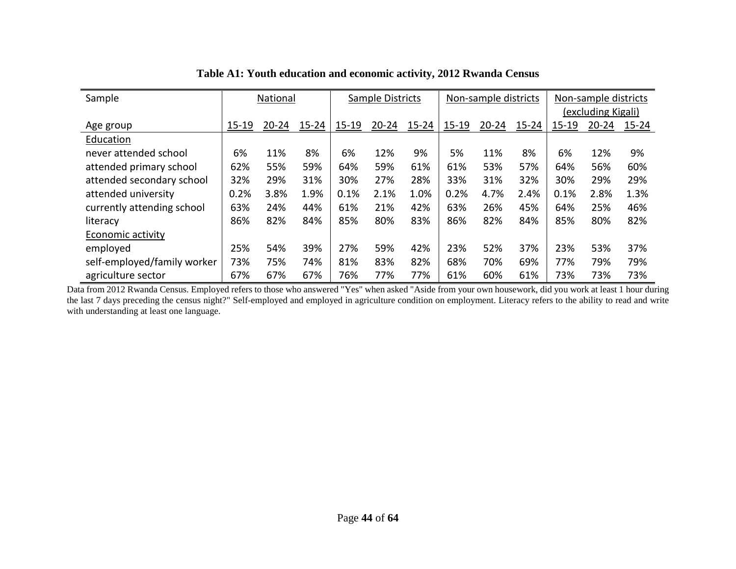| Sample                      | National  |           |           | Sample Districts |           |           | Non-sample districts |           | Non-sample districts<br>(excluding Kigali) |           |           |           |
|-----------------------------|-----------|-----------|-----------|------------------|-----------|-----------|----------------------|-----------|--------------------------------------------|-----------|-----------|-----------|
|                             | $15 - 19$ | $20 - 24$ | $15 - 24$ | 15-19            | $20 - 24$ |           | 15-19                | $20 - 24$ |                                            | $15 - 19$ | $20 - 24$ |           |
| Age group                   |           |           |           |                  |           | $15 - 24$ |                      |           | $15 - 24$                                  |           |           | $15 - 24$ |
| Education                   |           |           |           |                  |           |           |                      |           |                                            |           |           |           |
| never attended school       | 6%        | 11%       | 8%        | 6%               | 12%       | 9%        | 5%                   | 11%       | 8%                                         | 6%        | 12%       | 9%        |
| attended primary school     | 62%       | 55%       | 59%       | 64%              | 59%       | 61%       | 61%                  | 53%       | 57%                                        | 64%       | 56%       | 60%       |
| attended secondary school   | 32%       | 29%       | 31%       | 30%              | 27%       | 28%       | 33%                  | 31%       | 32%                                        | 30%       | 29%       | 29%       |
| attended university         | 0.2%      | 3.8%      | 1.9%      | 0.1%             | 2.1%      | 1.0%      | 0.2%                 | 4.7%      | 2.4%                                       | 0.1%      | 2.8%      | 1.3%      |
| currently attending school  | 63%       | 24%       | 44%       | 61%              | 21%       | 42%       | 63%                  | 26%       | 45%                                        | 64%       | 25%       | 46%       |
| literacy                    | 86%       | 82%       | 84%       | 85%              | 80%       | 83%       | 86%                  | 82%       | 84%                                        | 85%       | 80%       | 82%       |
| Economic activity           |           |           |           |                  |           |           |                      |           |                                            |           |           |           |
| employed                    | 25%       | 54%       | 39%       | 27%              | 59%       | 42%       | 23%                  | 52%       | 37%                                        | 23%       | 53%       | 37%       |
| self-employed/family worker | 73%       | 75%       | 74%       | 81%              | 83%       | 82%       | 68%                  | 70%       | 69%                                        | 77%       | 79%       | 79%       |
| agriculture sector          | 67%       | 67%       | 67%       | 76%              | 77%       | 77%       | 61%                  | 60%       | 61%                                        | 73%       | 73%       | 73%       |

### **Table A1: Youth education and economic activity, 2012 Rwanda Census**

Data from 2012 Rwanda Census. Employed refers to those who answered "Yes" when asked "Aside from your own housework, did you work at least 1 hour during the last 7 days preceding the census night?" Self-employed and employed in agriculture condition on employment. Literacy refers to the ability to read and write with understanding at least one language.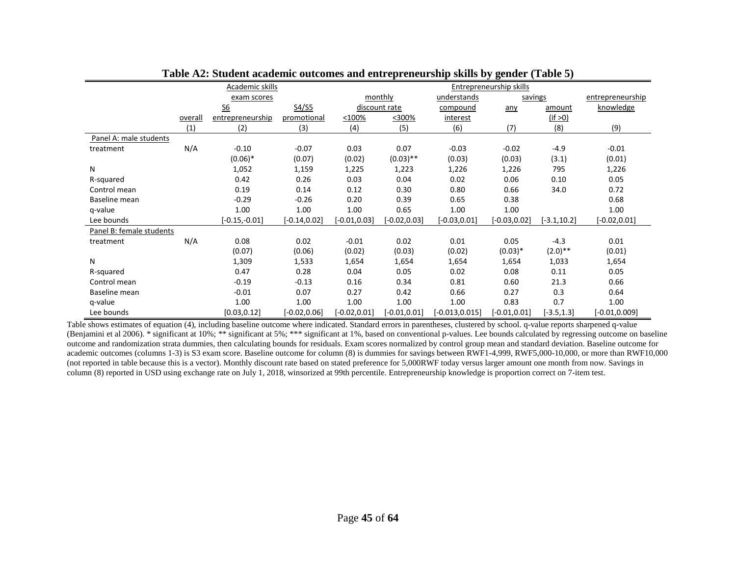|                          |         | Academic skills           |                 |                 | Entrepreneurship skills |                   |                 |                |                  |  |  |
|--------------------------|---------|---------------------------|-----------------|-----------------|-------------------------|-------------------|-----------------|----------------|------------------|--|--|
|                          |         | exam scores               |                 |                 | monthly                 | understands       | savings         |                | entrepreneurship |  |  |
|                          |         | $\underline{\mathsf{S6}}$ | S4/S5           |                 | discount rate           | compound          | any             | amount         | knowledge        |  |  |
|                          | overall | entrepreneurship          | promotional     | $<$ 100%        | <300%                   | interest          |                 | (if > 0)       |                  |  |  |
|                          | (1)     | (2)                       | (3)             | (4)             | (5)                     | (6)               | (7)             | (8)            | (9)              |  |  |
| Panel A: male students   |         |                           |                 |                 |                         |                   |                 |                |                  |  |  |
| treatment                | N/A     | $-0.10$                   | $-0.07$         | 0.03            | 0.07                    | $-0.03$           | $-0.02$         | $-4.9$         | $-0.01$          |  |  |
|                          |         | $(0.06)*$                 | (0.07)          | (0.02)          | $(0.03)$ **             | (0.03)            | (0.03)          | (3.1)          | (0.01)           |  |  |
| N                        |         | 1,052                     | 1,159           | 1,225           | 1,223                   | 1,226             | 1,226           | 795            | 1,226            |  |  |
| R-squared                |         | 0.42                      | 0.26            | 0.03            | 0.04                    | 0.02              | 0.06            | 0.10           | 0.05             |  |  |
| Control mean             |         | 0.19                      | 0.14            | 0.12            | 0.30                    | 0.80              | 0.66            | 34.0           | 0.72             |  |  |
| Baseline mean            |         | $-0.29$                   | $-0.26$         | 0.20            | 0.39                    | 0.65              | 0.38            |                | 0.68             |  |  |
| g-value                  |         | 1.00                      | 1.00            | 1.00            | 0.65                    | 1.00              | 1.00            |                | 1.00             |  |  |
| Lee bounds               |         | $[-0.15,-0.01]$           | $[-0.14, 0.02]$ | $[-0.01, 0.03]$ | $[-0.02, 0.03]$         | $[-0.03, 0.01]$   | $[-0.03, 0.02]$ | $[-3.1, 10.2]$ | $[-0.02, 0.01]$  |  |  |
| Panel B: female students |         |                           |                 |                 |                         |                   |                 |                |                  |  |  |
| treatment                | N/A     | 0.08                      | 0.02            | $-0.01$         | 0.02                    | 0.01              | 0.05            | $-4.3$         | 0.01             |  |  |
|                          |         | (0.07)                    | (0.06)          | (0.02)          | (0.03)                  | (0.02)            | $(0.03)*$       | $(2.0)$ **     | (0.01)           |  |  |
| N                        |         | 1,309                     | 1,533           | 1,654           | 1,654                   | 1,654             | 1,654           | 1,033          | 1,654            |  |  |
| R-squared                |         | 0.47                      | 0.28            | 0.04            | 0.05                    | 0.02              | 0.08            | 0.11           | 0.05             |  |  |
| Control mean             |         | $-0.19$                   | $-0.13$         | 0.16            | 0.34                    | 0.81              | 0.60            | 21.3           | 0.66             |  |  |
| Baseline mean            |         | $-0.01$                   | 0.07            | 0.27            | 0.42                    | 0.66              | 0.27            | 0.3            | 0.64             |  |  |
| q-value                  |         | 1.00                      | 1.00            | 1.00            | 1.00                    | 1.00              | 0.83            | 0.7            | 1.00             |  |  |
| Lee bounds               |         | [0.03, 0.12]              | $[-0.02, 0.06]$ | $[-0.02, 0.01]$ | $[-0.01, 0.01]$         | $[-0.013, 0.015]$ | $[-0.01, 0.01]$ | $[-3.5, 1.3]$  | $[-0.01, 0.009]$ |  |  |

Table shows estimates of equation (4), including baseline outcome where indicated. Standard errors in parentheses, clustered by school. q-value reports sharpened q-value (Benjamini et al 2006). \* significant at 10%; \*\* significant at 5%; \*\*\* significant at 1%, based on conventional p-values. Lee bounds calculated by regressing outcome on baseline outcome and randomization strata dummies, then calculating bounds for residuals. Exam scores normalized by control group mean and standard deviation. Baseline outcome for academic outcomes (columns 1-3) is S3 exam score. Baseline outcome for column (8) is dummies for savings between RWF1-4,999, RWF5,000-10,000, or more than RWF10,000 (not reported in table because this is a vector). Monthly discount rate based on stated preference for 5,000RWF today versus larger amount one month from now. Savings in column (8) reported in USD using exchange rate on July 1, 2018, winsorized at 99th percentile. Entrepreneurship knowledge is proportion correct on 7-item test.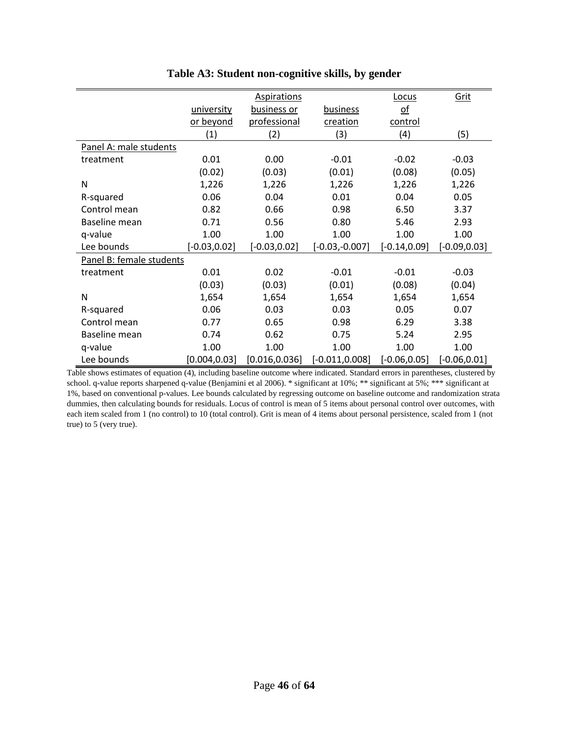|                          |                 | <b>Aspirations</b> |                   | <b>Locus</b>              | <u>Grit</u>     |
|--------------------------|-----------------|--------------------|-------------------|---------------------------|-----------------|
|                          | university      | business or        | <b>business</b>   | $\underline{\mathsf{of}}$ |                 |
|                          | or beyond       | professional       | creation          | control                   |                 |
|                          | (1)             | (2)                | (3)               | (4)                       | (5)             |
| Panel A: male students   |                 |                    |                   |                           |                 |
| treatment                | 0.01            | 0.00               | $-0.01$           | $-0.02$                   | $-0.03$         |
|                          | (0.02)          | (0.03)             | (0.01)            | (0.08)                    | (0.05)          |
| N                        | 1,226           | 1,226              | 1,226             | 1,226                     | 1,226           |
| R-squared                | 0.06            | 0.04               | 0.01              | 0.04                      | 0.05            |
| Control mean             | 0.82            | 0.66               | 0.98              | 6.50                      | 3.37            |
| Baseline mean            | 0.71            | 0.56               | 0.80              | 5.46                      | 2.93            |
| q-value                  | 1.00            | 1.00               | 1.00              | 1.00                      | 1.00            |
| Lee bounds               | $[-0.03, 0.02]$ | $[-0.03, 0.02]$    | $[-0.03,-0.007]$  | $[-0.14, 0.09]$           | $[-0.09, 0.03]$ |
| Panel B: female students |                 |                    |                   |                           |                 |
| treatment                | 0.01            | 0.02               | $-0.01$           | $-0.01$                   | $-0.03$         |
|                          | (0.03)          | (0.03)             | (0.01)            | (0.08)                    | (0.04)          |
| N                        | 1,654           | 1,654              | 1,654             | 1,654                     | 1,654           |
| R-squared                | 0.06            | 0.03               | 0.03              | 0.05                      | 0.07            |
| Control mean             | 0.77            | 0.65               | 0.98              | 6.29                      | 3.38            |
| Baseline mean            | 0.74            | 0.62               | 0.75              | 5.24                      | 2.95            |
| q-value                  | 1.00            | 1.00               | 1.00              | 1.00                      | 1.00            |
| Lee bounds               | [0.004, 0.03]   | [0.016, 0.036]     | $[-0.011, 0.008]$ | $[-0.06, 0.05]$           | $[-0.06, 0.01]$ |

**Table A3: Student non-cognitive skills, by gender**

Table shows estimates of equation (4), including baseline outcome where indicated. Standard errors in parentheses, clustered by school. q-value reports sharpened q-value (Benjamini et al 2006). \* significant at 10%; \*\* significant at 5%; \*\*\* significant at 1%, based on conventional p-values. Lee bounds calculated by regressing outcome on baseline outcome and randomization strata dummies, then calculating bounds for residuals. Locus of control is mean of 5 items about personal control over outcomes, with each item scaled from 1 (no control) to 10 (total control). Grit is mean of 4 items about personal persistence, scaled from 1 (not true) to 5 (very true).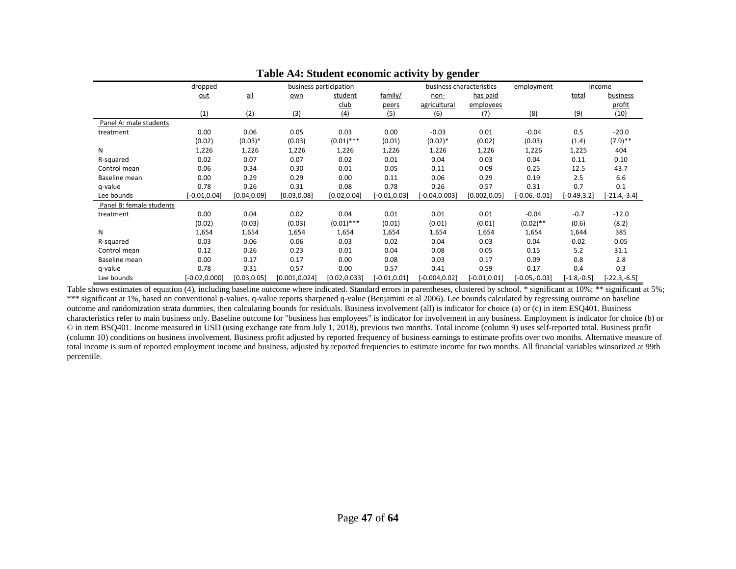|                          | dropped          |              |                | business participation |                 | business characteristics |                 | employment      |                | income         |
|--------------------------|------------------|--------------|----------------|------------------------|-----------------|--------------------------|-----------------|-----------------|----------------|----------------|
|                          | out              | $all$        | own            | student                | family/         | non-                     | has paid        |                 | total          | business       |
|                          |                  |              |                | <u>club</u>            | peers           | agricultural             | employees       |                 |                | profit         |
|                          | (1)              | (2)          | (3)            | (4)                    | (5)             | (6)                      | (7)             | (8)             | (9)            | (10)           |
| Panel A: male students   |                  |              |                |                        |                 |                          |                 |                 |                |                |
| treatment                | 0.00             | 0.06         | 0.05           | 0.03                   | 0.00            | $-0.03$                  | 0.01            | $-0.04$         | 0.5            | $-20.0$        |
|                          | (0.02)           | $(0.03)*$    | (0.03)         | $(0.01)$ ***           | (0.01)          | $(0.02)*$                | (0.02)          | (0.03)          | (1.4)          | $(7.9)$ **     |
| N                        | 1,226            | 1,226        | 1,226          | 1,226                  | 1,226           | 1,226                    | 1,226           | 1,226           | 1,225          | 404            |
| R-squared                | 0.02             | 0.07         | 0.07           | 0.02                   | 0.01            | 0.04                     | 0.03            | 0.04            | 0.11           | 0.10           |
| Control mean             | 0.06             | 0.34         | 0.30           | 0.01                   | 0.05            | 0.11                     | 0.09            | 0.25            | 12.5           | 43.7           |
| Baseline mean            | 0.00             | 0.29         | 0.29           | 0.00                   | 0.11            | 0.06                     | 0.29            | 0.19            | 2.5            | 6.6            |
| g-value                  | 0.78             | 0.26         | 0.31           | 0.08                   | 0.78            | 0.26                     | 0.57            | 0.31            | 0.7            | 0.1            |
| Lee bounds               | $[-0.01, 0.04]$  | [0.04, 0.09] | [0.03, 0.08]   | [0.02, 0.04]           | $[-0.01, 0.03]$ | $-0.04, 0.003$           | [0.002, 0.05]   | $[-0.06,-0.01]$ | $[-0.49, 3.2]$ | $[-21.4,-3.4]$ |
| Panel B: female students |                  |              |                |                        |                 |                          |                 |                 |                |                |
| treatment                | 0.00             | 0.04         | 0.02           | 0.04                   | 0.01            | 0.01                     | 0.01            | $-0.04$         | $-0.7$         | $-12.0$        |
|                          | (0.02)           | (0.03)       | (0.03)         | $(0.01)$ ***           | (0.01)          | (0.01)                   | (0.01)          | $(0.02)$ **     | (0.6)          | (8.2)          |
| N                        | 1,654            | 1,654        | 1,654          | 1,654                  | 1,654           | 1,654                    | 1,654           | 1,654           | 1,644          | 385            |
| R-squared                | 0.03             | 0.06         | 0.06           | 0.03                   | 0.02            | 0.04                     | 0.03            | 0.04            | 0.02           | 0.05           |
| Control mean             | 0.12             | 0.26         | 0.23           | 0.01                   | 0.04            | 0.08                     | 0.05            | 0.15            | 5.2            | 31.1           |
| Baseline mean            | 0.00             | 0.17         | 0.17           | 0.00                   | 0.08            | 0.03                     | 0.17            | 0.09            | 0.8            | 2.8            |
| q-value                  | 0.78             | 0.31         | 0.57           | 0.00                   | 0.57            | 0.41                     | 0.59            | 0.17            | 0.4            | 0.3            |
| Lee bounds               | $[-0.02, 0.000]$ | [0.03, 0.05] | [0.001, 0.024] | [0.02, 0.033]          | $[-0.01, 0.01]$ | $[-0.004, 0.02]$         | $[-0.01, 0.01]$ | $[-0.05,-0.03]$ | $[-1.8,-0.5]$  | $[-22.3,-6.5]$ |

#### **Table A4: Student economic activity by gender**

Table shows estimates of equation (4), including baseline outcome where indicated. Standard errors in parentheses, clustered by school. \* significant at 10%; \*\* significant at 5%; \*\*\* significant at 1%, based on conventional p-values. q-value reports sharpened q-value (Benjamini et al 2006). Lee bounds calculated by regressing outcome on baseline outcome and randomization strata dummies, then calculating bounds for residuals. Business involvement (all) is indicator for choice (a) or (c) in item ESQ401. Business characteristics refer to main business only. Baseline outcome for "business has employees" is indicator for involvement in any business. Employment is indicator for choice (b) or © in item BSQ401. Income measured in USD (using exchange rate from July 1, 2018), previous two months. Total income (column 9) uses self-reported total. Business profit (column 10) conditions on business involvement. Business profit adjusted by reported frequency of business earnings to estimate profits over two months. Alternative measure of total income is sum of reported employment income and business, adjusted by reported frequencies to estimate income for two months. All financial variables winsorized at 99th percentile.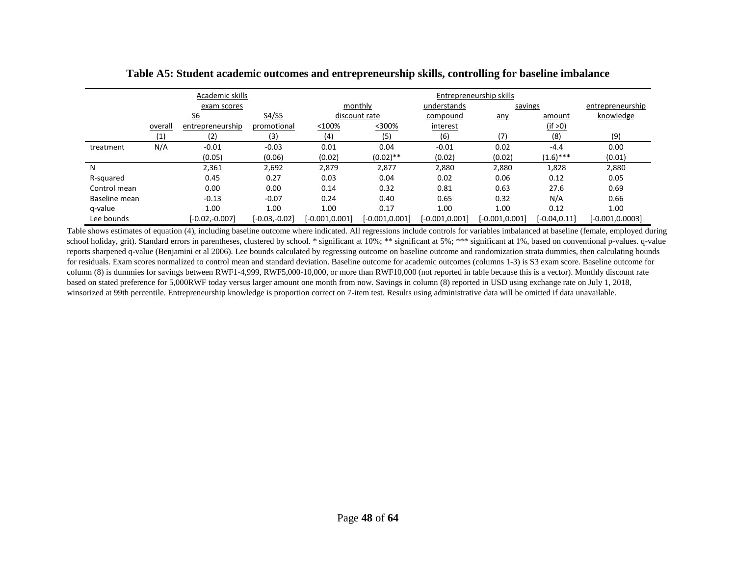|               |                                    | Academic skills  |                 |                   |                   |                   | Entrepreneurship skills |                 |                    |
|---------------|------------------------------------|------------------|-----------------|-------------------|-------------------|-------------------|-------------------------|-----------------|--------------------|
|               |                                    | exam scores      |                 |                   | monthly           | understands       | savings                 |                 | entrepreneurship   |
|               | S4/S5<br>$\underline{\mathsf{S6}}$ |                  |                 | discount rate     | compound          | any               | amount                  | knowledge       |                    |
|               | overall                            | entrepreneurship | promotional     | $< 100\%$         | $<300\%$          | interest          |                         | (if > 0)        |                    |
|               | (1)                                | (2)              | (3)             | (4)               | (5)               | (6)               | (7)                     | (8)             | (9)                |
| treatment     | N/A                                | $-0.01$          | $-0.03$         | 0.01              | 0.04              | $-0.01$           | 0.02                    | $-4.4$          | 0.00               |
|               |                                    | (0.05)           | (0.06)          | (0.02)            | $(0.02)$ **       | (0.02)            | (0.02)                  | $(1.6)$ ***     | (0.01)             |
| N             |                                    | 2,361            | 2,692           | 2,879             | 2,877             | 2,880             | 2,880                   | 1,828           | 2,880              |
| R-squared     |                                    | 0.45             | 0.27            | 0.03              | 0.04              | 0.02              | 0.06                    | 0.12            | 0.05               |
| Control mean  |                                    | 0.00             | 0.00            | 0.14              | 0.32              | 0.81              | 0.63                    | 27.6            | 0.69               |
| Baseline mean |                                    | $-0.13$          | $-0.07$         | 0.24              | 0.40              | 0.65              | 0.32                    | N/A             | 0.66               |
| q-value       |                                    | 1.00             | 1.00            | 1.00              | 0.17              | 1.00              | 1.00                    | 0.12            | 1.00               |
| Lee bounds    |                                    | $[-0.02,-0.007]$ | $[-0.03,-0.02]$ | $[-0.001, 0.001]$ | $[-0.001, 0.001]$ | $[-0.001, 0.001]$ | $[-0.001, 0.001]$       | $[-0.04, 0.11]$ | $[-0.001, 0.0003]$ |

**Table A5: Student academic outcomes and entrepreneurship skills, controlling for baseline imbalance**

Table shows estimates of equation (4), including baseline outcome where indicated. All regressions include controls for variables imbalanced at baseline (female, employed during school holiday, grit). Standard errors in parentheses, clustered by school. \* significant at 10%; \*\* significant at 5%; \*\*\* significant at 1%, based on conventional p-values. q-value reports sharpened q-value (Benjamini et al 2006). Lee bounds calculated by regressing outcome on baseline outcome and randomization strata dummies, then calculating bounds for residuals. Exam scores normalized to control mean and standard deviation. Baseline outcome for academic outcomes (columns 1-3) is S3 exam score. Baseline outcome for column (8) is dummies for savings between RWF1-4,999, RWF5,000-10,000, or more than RWF10,000 (not reported in table because this is a vector). Monthly discount rate based on stated preference for 5,000RWF today versus larger amount one month from now. Savings in column (8) reported in USD using exchange rate on July 1, 2018, winsorized at 99th percentile. Entrepreneurship knowledge is proportion correct on 7-item test. Results using administrative data will be omitted if data unavailable.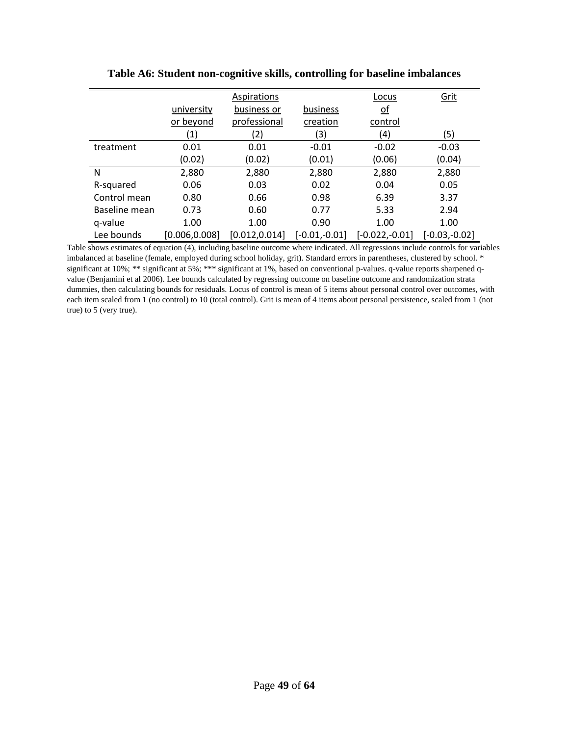|               |                | Aspirations    |                 | Locus            | Grit            |
|---------------|----------------|----------------|-----------------|------------------|-----------------|
|               | university     | business or    | business        | <u>of</u>        |                 |
|               | or beyond      | professional   | creation        | control          |                 |
|               | (1)            | (2)            | 3)              | (4)              | (5)             |
| treatment     | 0.01           | 0.01           | $-0.01$         | $-0.02$          | $-0.03$         |
|               | (0.02)         | (0.02)         | (0.01)          | (0.06)           | (0.04)          |
| N             | 2,880          | 2,880          | 2,880           | 2,880            | 2,880           |
| R-squared     | 0.06           | 0.03           | 0.02            | 0.04             | 0.05            |
| Control mean  | 0.80           | 0.66           | 0.98            | 6.39             | 3.37            |
| Baseline mean | 0.73           | 0.60           | 0.77            | 5.33             | 2.94            |
| q-value       | 1.00           | 1.00           | 0.90            | 1.00             | 1.00            |
| Lee bounds    | [0.006, 0.008] | [0.012, 0.014] | $[-0.01,-0.01]$ | $[-0.022,-0.01]$ | $[-0.03,-0.02]$ |

**Table A6: Student non-cognitive skills, controlling for baseline imbalances**

Table shows estimates of equation (4), including baseline outcome where indicated. All regressions include controls for variables imbalanced at baseline (female, employed during school holiday, grit). Standard errors in parentheses, clustered by school. \* significant at 10%; \*\* significant at 5%; \*\*\* significant at 1%, based on conventional p-values. q-value reports sharpened qvalue (Benjamini et al 2006). Lee bounds calculated by regressing outcome on baseline outcome and randomization strata dummies, then calculating bounds for residuals. Locus of control is mean of 5 items about personal control over outcomes, with each item scaled from 1 (no control) to 10 (total control). Grit is mean of 4 items about personal persistence, scaled from 1 (not true) to 5 (very true).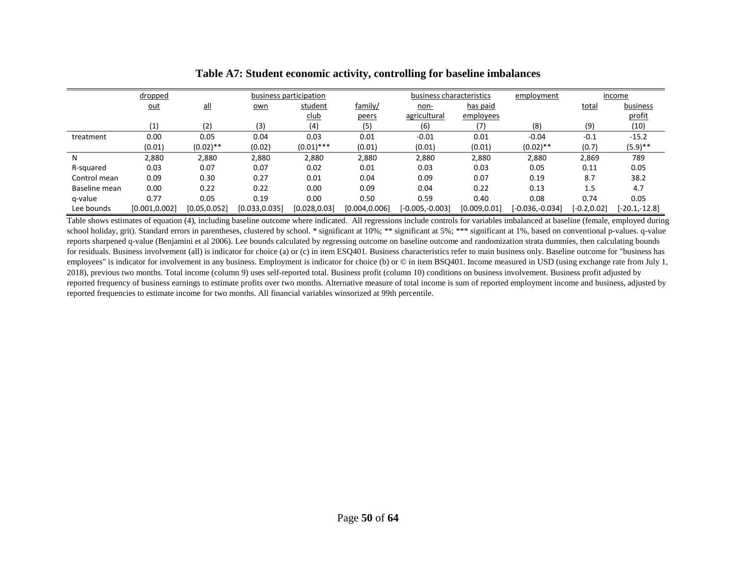|               | dropped        |               |                | business participation |                | business characteristics |               | employment      |                | income        |
|---------------|----------------|---------------|----------------|------------------------|----------------|--------------------------|---------------|-----------------|----------------|---------------|
|               | <u>out</u>     | $all$         | own            | student                | family/        | non-                     | has paid      |                 | total          | business      |
|               |                |               |                | <u>club</u>            | peers          | agricultural             | employees     |                 |                | profit        |
|               | (1)            | (2)           | (3)            | (4)                    | (5)            | (6)                      | (7)           | (8)             | (9)            | (10)          |
| treatment     | 0.00           | 0.05          | 0.04           | 0.03                   | 0.01           | $-0.01$                  | 0.01          | $-0.04$         | $-0.1$         | $-15.2$       |
|               | (0.01)         | $(0.02)$ **   | (0.02)         | $(0.01)$ ***           | (0.01)         | (0.01)                   | (0.01)        | $(0.02)$ **     | (0.7)          | $(5.9)$ **    |
| N             | 2,880          | 2,880         | 2,880          | 2,880                  | 2,880          | 2,880                    | 2,880         | 2,880           | 2,869          | 789           |
| R-squared     | 0.03           | 0.07          | 0.07           | 0.02                   | 0.01           | 0.03                     | 0.03          | 0.05            | 0.11           | 0.05          |
| Control mean  | 0.09           | 0.30          | 0.27           | 0.01                   | 0.04           | 0.09                     | 0.07          | 0.19            | 8.7            | 38.2          |
| Baseline mean | 0.00           | 0.22          | 0.22           | 0.00                   | 0.09           | 0.04                     | 0.22          | 0.13            | 1.5            | 4.7           |
| q-value       | 0.77           | 0.05          | 0.19           | 0.00                   | 0.50           | 0.59                     | 0.40          | 0.08            | 0.74           | 0.05          |
| Lee bounds    | [0.001, 0.002] | [0.05, 0.052] | [0.033, 0.035] | [0.028, 0.03]          | [0.004, 0.006] | $[-0.005,-0.003]$        | [0.009, 0.01] | [-0.036,-0.034] | $[-0.2, 0.02]$ | [-20.1,-12.8] |

**Table A7: Student economic activity, controlling for baseline imbalances**

Table shows estimates of equation (4), including baseline outcome where indicated. All regressions include controls for variables imbalanced at baseline (female, employed during school holiday, grit). Standard errors in parentheses, clustered by school. \* significant at 10%; \*\* significant at 5%; \*\*\* significant at 1%, based on conventional p-values. q-value reports sharpened q-value (Benjamini et al 2006). Lee bounds calculated by regressing outcome on baseline outcome and randomization strata dummies, then calculating bounds for residuals. Business involvement (all) is indicator for choice (a) or (c) in item ESQ401. Business characteristics refer to main business only. Baseline outcome for "business has employees" is indicator for involvement in any business. Employment is indicator for choice (b) or  $\heartsuit$  in item BSQ401. Income measured in USD (using exchange rate from July 1, 2018), previous two months. Total income (column 9) uses self-reported total. Business profit (column 10) conditions on business involvement. Business profit adjusted by reported frequency of business earnings to estimate profits over two months. Alternative measure of total income is sum of reported employment income and business, adjusted by reported frequencies to estimate income for two months. All financial variables winsorized at 99th percentile.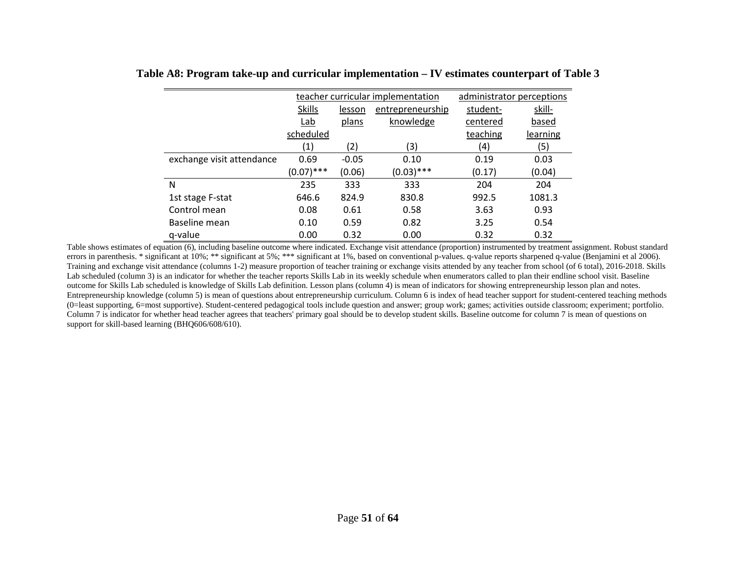|                           | teacher curricular implementation |         | administrator perceptions |          |          |
|---------------------------|-----------------------------------|---------|---------------------------|----------|----------|
|                           | <b>Skills</b>                     | lesson  | student-                  | skill-   |          |
|                           | Lab                               | plans   | knowledge                 | centered | based    |
|                           | scheduled                         |         |                           | teaching | learning |
|                           | (1)                               | (2)     | (3)                       | (4)      | (5)      |
| exchange visit attendance | 0.69                              | $-0.05$ | 0.10                      | 0.19     | 0.03     |
|                           | $(0.07)$ ***                      | (0.06)  | $(0.03)$ ***              | (0.17)   | (0.04)   |
| N                         | 235                               | 333     | 333                       | 204      | 204      |
| 1st stage F-stat          | 646.6                             | 824.9   | 830.8                     | 992.5    | 1081.3   |
| Control mean              | 0.08                              | 0.61    | 0.58                      | 3.63     | 0.93     |
| Baseline mean             | 0.10                              | 0.59    | 0.82                      | 3.25     | 0.54     |
| q-value                   | 0.00                              | 0.32    | 0.00                      | 0.32     | 0.32     |

### **Table A8: Program take-up and curricular implementation – IV estimates counterpart of Table 3**

Table shows estimates of equation (6), including baseline outcome where indicated. Exchange visit attendance (proportion) instrumented by treatment assignment. Robust standard errors in parenthesis. \* significant at 10%; \*\* significant at 5%; \*\*\* significant at 1%, based on conventional p-values. q-value reports sharpened q-value (Benjamini et al 2006). Training and exchange visit attendance (columns 1-2) measure proportion of teacher training or exchange visits attended by any teacher from school (of 6 total), 2016-2018. Skills Lab scheduled (column 3) is an indicator for whether the teacher reports Skills Lab in its weekly schedule when enumerators called to plan their endline school visit. Baseline outcome for Skills Lab scheduled is knowledge of Skills Lab definition. Lesson plans (column 4) is mean of indicators for showing entrepreneurship lesson plan and notes. Entrepreneurship knowledge (column 5) is mean of questions about entrepreneurship curriculum. Column 6 is index of head teacher support for student-centered teaching methods (0=least supporting, 6=most supportive). Student-centered pedagogical tools include question and answer; group work; games; activities outside classroom; experiment; portfolio. Column 7 is indicator for whether head teacher agrees that teachers' primary goal should be to develop student skills. Baseline outcome for column 7 is mean of questions on support for skill-based learning (BHQ606/608/610).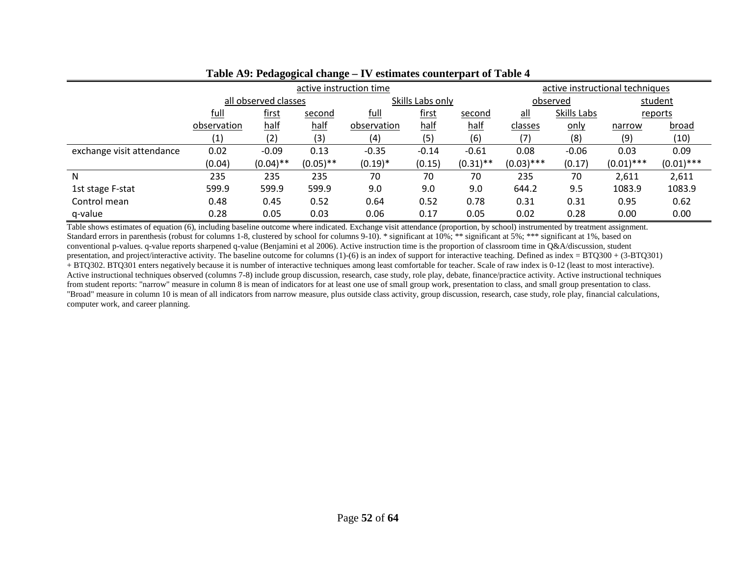|                           |                             |                      | active instruction time | active instructional techniques |                  |                |              |          |              |              |
|---------------------------|-----------------------------|----------------------|-------------------------|---------------------------------|------------------|----------------|--------------|----------|--------------|--------------|
|                           |                             | all observed classes |                         |                                 | Skills Labs only |                |              | observed |              | student      |
|                           | full<br>first<br>second     |                      | full                    | first                           | second           | <u>all</u>     | Skills Labs  |          | reports      |              |
|                           | half<br>half<br>observation |                      | observation             | half                            | half             | <u>classes</u> | <u>only</u>  | narrow   | <u>broad</u> |              |
|                           | (1)                         | (2)<br>(3)           |                         | (4)                             | (5)              | (6)            | (7)          | (8)      | (9)          | (10)         |
| exchange visit attendance | 0.02                        | $-0.09$              | 0.13                    | $-0.35$                         | $-0.14$          | $-0.61$        | 0.08         | $-0.06$  | 0.03         | 0.09         |
|                           | (0.04)                      | $(0.04)$ **          | $(0.05)$ **             | $(0.19)*$                       | (0.15)           | $(0.31)$ **    | $(0.03)$ *** | (0.17)   | $(0.01)$ *** | $(0.01)$ *** |
| N                         | 235                         | 235                  | 235                     | 70                              | 70               | 70             | 235          | 70       | 2,611        | 2,611        |
| 1st stage F-stat          | 599.9                       | 599.9                | 599.9                   | 9.0                             | 9.0              | 9.0            | 644.2        | 9.5      | 1083.9       | 1083.9       |
| Control mean              | 0.48                        | 0.45                 | 0.52                    | 0.64                            | 0.52             | 0.78           | 0.31         | 0.31     | 0.95         | 0.62         |
| q-value                   | 0.28                        | 0.05                 | 0.03                    | 0.06                            | 0.17             | 0.05           | 0.02         | 0.28     | 0.00         | 0.00         |

### **Table A9: Pedagogical change – IV estimates counterpart of Table 4**

Table shows estimates of equation (6), including baseline outcome where indicated. Exchange visit attendance (proportion, by school) instrumented by treatment assignment. Standard errors in parenthesis (robust for columns 1-8, clustered by school for columns 9-10). \* significant at 10%; \*\* significant at 5%; \*\*\* significant at 1%, based on conventional p-values. q-value reports sharpened q-value (Benjamini et al 2006). Active instruction time is the proportion of classroom time in Q&A/discussion, student presentation, and project/interactive activity. The baseline outcome for columns (1)-(6) is an index of support for interactive teaching. Defined as index = BTQ300 + (3-BTQ301) + BTQ302. BTQ301 enters negatively because it is number of interactive techniques among least comfortable for teacher. Scale of raw index is 0-12 (least to most interactive). Active instructional techniques observed (columns 7-8) include group discussion, research, case study, role play, debate, finance/practice activity. Active instructional techniques from student reports: "narrow" measure in column 8 is mean of indicators for at least one use of small group work, presentation to class, and small group presentation to class. "Broad" measure in column 10 is mean of all indicators from narrow measure, plus outside class activity, group discussion, research, case study, role play, financial calculations, computer work, and career planning.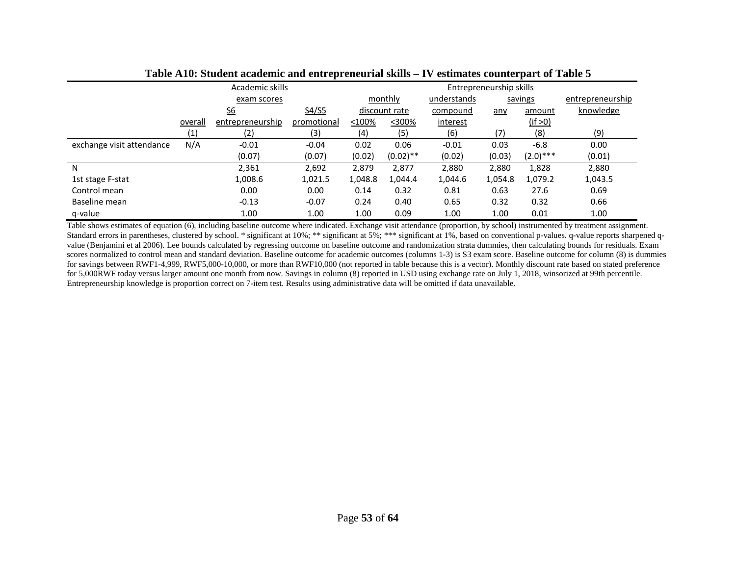|                           |         | Academic skills           |             | Entrepreneurship skills |               |             |         |             |                  |  |
|---------------------------|---------|---------------------------|-------------|-------------------------|---------------|-------------|---------|-------------|------------------|--|
|                           |         | exam scores               |             |                         | monthly       | understands |         | savings     | entrepreneurship |  |
|                           |         | $\underline{\mathsf{S6}}$ | S4/S5       |                         | discount rate | compound    | any     | amount      | knowledge        |  |
|                           | overall | entrepreneurship          | promotional | <100%                   | <300%         | interest    |         | (if > 0)    |                  |  |
|                           | (1)     | (2)                       | (3)         | (4)                     | (5)           | (6)         | (7)     | (8)         | (9)              |  |
| exchange visit attendance | N/A     | $-0.01$                   | $-0.04$     | 0.02                    | 0.06          | $-0.01$     | 0.03    | $-6.8$      | 0.00             |  |
|                           |         | (0.07)                    | (0.07)      | (0.02)                  | $(0.02)$ **   | (0.02)      | (0.03)  | $(2.0)$ *** | (0.01)           |  |
| N                         |         | 2,361                     | 2,692       | 2,879                   | 2,877         | 2,880       | 2,880   | 1,828       | 2,880            |  |
| 1st stage F-stat          |         | 1,008.6                   | 1,021.5     | 1,048.8                 | 1,044.4       | 1,044.6     | 1,054.8 | 1,079.2     | 1,043.5          |  |
| Control mean              |         | 0.00                      | 0.00        | 0.14                    | 0.32          | 0.81        | 0.63    | 27.6        | 0.69             |  |
| Baseline mean             |         | $-0.13$                   | $-0.07$     | 0.24                    | 0.40          | 0.65        | 0.32    | 0.32        | 0.66             |  |
| q-value                   |         | 1.00                      | 1.00        | 1.00                    | 0.09          | 1.00        | 1.00    | 0.01        | 1.00             |  |

**Table A10: Student academic and entrepreneurial skills – IV estimates counterpart of Table 5**

Table shows estimates of equation (6), including baseline outcome where indicated. Exchange visit attendance (proportion, by school) instrumented by treatment assignment. Standard errors in parentheses, clustered by school. \* significant at 10%; \*\*\* significant at 5%; \*\*\* significant at 1%, based on conventional p-values. q-value reports sharpened qvalue (Benjamini et al 2006). Lee bounds calculated by regressing outcome on baseline outcome and randomization strata dummies, then calculating bounds for residuals. Exam scores normalized to control mean and standard deviation. Baseline outcome for academic outcomes (columns 1-3) is S3 exam score. Baseline outcome for column (8) is dummies for savings between RWF1-4,999, RWF5,000-10,000, or more than RWF10,000 (not reported in table because this is a vector). Monthly discount rate based on stated preference for 5,000RWF today versus larger amount one month from now. Savings in column (8) reported in USD using exchange rate on July 1, 2018, winsorized at 99th percentile. Entrepreneurship knowledge is proportion correct on 7-item test. Results using administrative data will be omitted if data unavailable.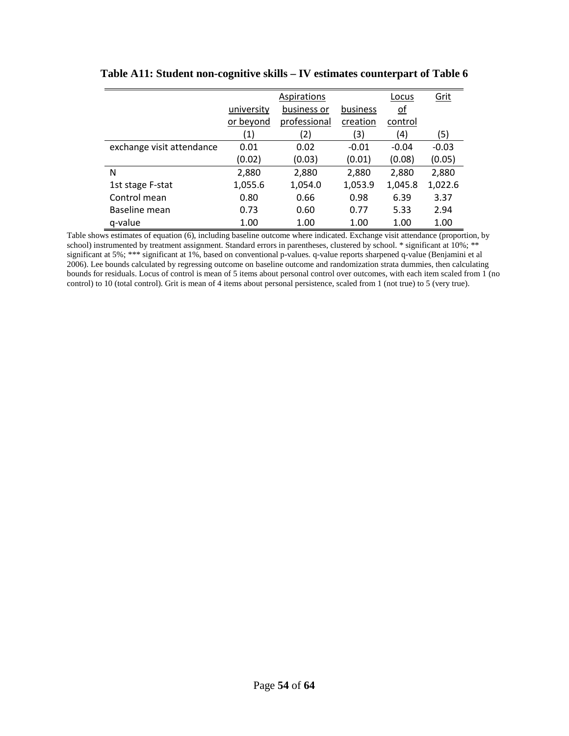|                           |            | Locus        | Grit     |           |         |
|---------------------------|------------|--------------|----------|-----------|---------|
|                           | university | business or  | business | <u>of</u> |         |
|                           | or beyond  | professional | creation | control   |         |
|                           | (1)        | (2)          | (3)      | (4)       | (5)     |
| exchange visit attendance | 0.01       | 0.02         | $-0.01$  | $-0.04$   | $-0.03$ |
|                           | (0.02)     | (0.03)       | (0.01)   | (0.08)    | (0.05)  |
| N                         | 2,880      | 2,880        | 2,880    | 2,880     | 2,880   |
| 1st stage F-stat          | 1,055.6    | 1,054.0      | 1,053.9  | 1,045.8   | 1,022.6 |
| Control mean              | 0.80       | 0.66         | 0.98     | 6.39      | 3.37    |
| Baseline mean             | 0.73       | 0.60         | 0.77     | 5.33      | 2.94    |
| g-value                   | 1.00       | 1.00         | 1.00     | 1.00      | 1.00    |

### **Table A11: Student non-cognitive skills – IV estimates counterpart of Table 6**

Table shows estimates of equation (6), including baseline outcome where indicated. Exchange visit attendance (proportion, by school) instrumented by treatment assignment. Standard errors in parentheses, clustered by school. \* significant at 10%; \*\* significant at 5%; \*\*\* significant at 1%, based on conventional p-values. q-value reports sharpened q-value (Benjamini et al 2006). Lee bounds calculated by regressing outcome on baseline outcome and randomization strata dummies, then calculating bounds for residuals. Locus of control is mean of 5 items about personal control over outcomes, with each item scaled from 1 (no control) to 10 (total control). Grit is mean of 4 items about personal persistence, scaled from 1 (not true) to 5 (very true).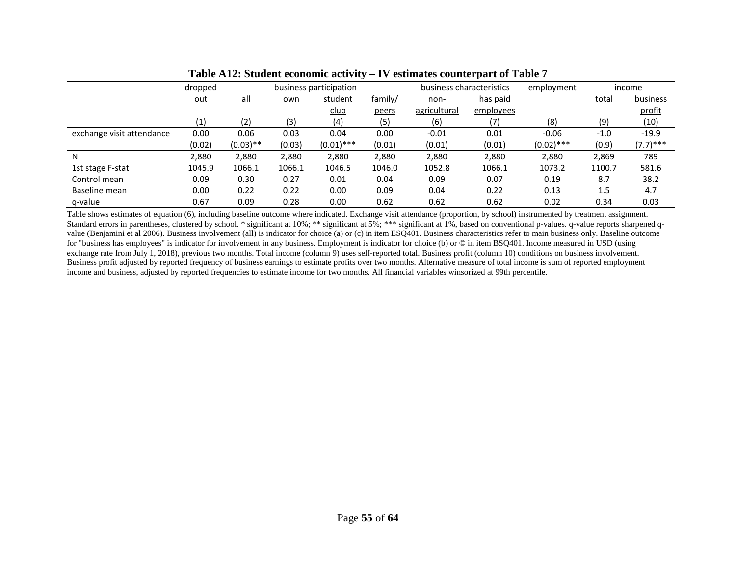|                           | dropped    |             |        | business participation |         | business characteristics |           | employment   |              | income      |
|---------------------------|------------|-------------|--------|------------------------|---------|--------------------------|-----------|--------------|--------------|-------------|
|                           | <u>out</u> | <u>all</u>  | own    | student                | family/ | <u>non-</u>              | has paid  |              | <b>total</b> | business    |
|                           |            |             |        | <u>club</u>            | peers   | <u>agricultural</u>      | employees |              |              | profit      |
|                           | (1)        | (2)         | (3)    | (4)                    | (5)     | (6)                      | (7)       | (8)          | (9)          | (10)        |
| exchange visit attendance | 0.00       | 0.06        | 0.03   | 0.04                   | 0.00    | $-0.01$                  | 0.01      | $-0.06$      | $-1.0$       | $-19.9$     |
|                           | (0.02)     | $(0.03)$ ** | (0.03) | $(0.01)$ ***           | (0.01)  | (0.01)                   | (0.01)    | $(0.02)$ *** | (0.9)        | $(7.7)$ *** |
| N                         | 2,880      | 2,880       | 2,880  | 2,880                  | 2,880   | 2,880                    | 2,880     | 2,880        | 2,869        | 789         |
| 1st stage F-stat          | 1045.9     | 1066.1      | 1066.1 | 1046.5                 | 1046.0  | 1052.8                   | 1066.1    | 1073.2       | 1100.7       | 581.6       |
| Control mean              | 0.09       | 0.30        | 0.27   | 0.01                   | 0.04    | 0.09                     | 0.07      | 0.19         | 8.7          | 38.2        |
| Baseline mean             | 0.00       | 0.22        | 0.22   | 0.00                   | 0.09    | 0.04                     | 0.22      | 0.13         | 1.5          | 4.7         |
| g-value                   | 0.67       | 0.09        | 0.28   | 0.00                   | 0.62    | 0.62                     | 0.62      | 0.02         | 0.34         | 0.03        |

Table shows estimates of equation (6), including baseline outcome where indicated. Exchange visit attendance (proportion, by school) instrumented by treatment assignment. Standard errors in parentheses, clustered by school. \* significant at 10%; \*\* significant at 5%; \*\*\* significant at 1%, based on conventional p-values. q-value reports sharpened qvalue (Benjamini et al 2006). Business involvement (all) is indicator for choice (a) or (c) in item ESQ401. Business characteristics refer to main business only. Baseline outcome for "business has employees" is indicator for involvement in any business. Employment is indicator for choice (b) or  $\heartsuit$  in item BSQ401. Income measured in USD (using exchange rate from July 1, 2018), previous two months. Total income (column 9) uses self-reported total. Business profit (column 10) conditions on business involvement. Business profit adjusted by reported frequency of business earnings to estimate profits over two months. Alternative measure of total income is sum of reported employment income and business, adjusted by reported frequencies to estimate income for two months. All financial variables winsorized at 99th percentile.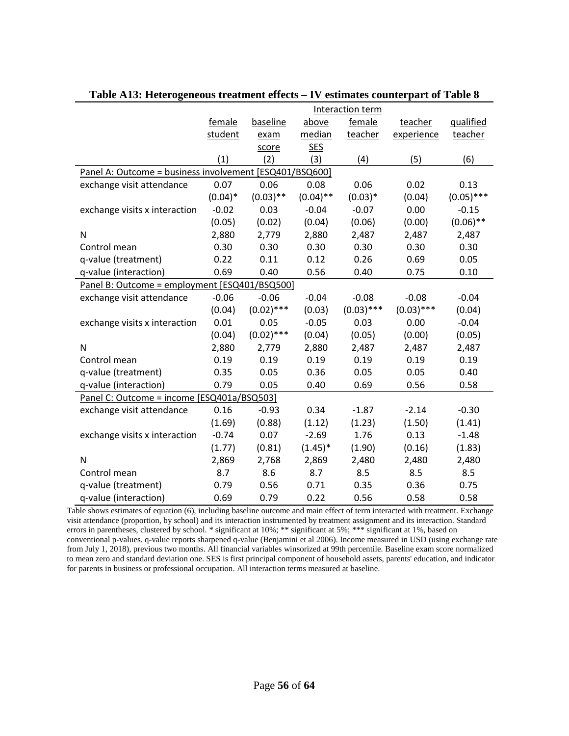|                                                         |            |              |             | Interaction term |              |              |
|---------------------------------------------------------|------------|--------------|-------------|------------------|--------------|--------------|
|                                                         | female     | baseline     | above       | female           | teacher      | qualified    |
|                                                         | student    | exam         | median      | teacher          | experience   | teacher      |
|                                                         |            | score        | <b>SES</b>  |                  |              |              |
|                                                         | (1)        | (2)          | (3)         | (4)              | (5)          | (6)          |
| Panel A: Outcome = business involvement [ESQ401/BSQ600] |            |              |             |                  |              |              |
| exchange visit attendance                               | 0.07       | 0.06         | 0.08        | 0.06             | 0.02         | 0.13         |
|                                                         | $(0.04)^*$ | $(0.03)$ **  | $(0.04)$ ** | $(0.03)*$        | (0.04)       | $(0.05)$ *** |
| exchange visits x interaction                           | $-0.02$    | 0.03         | $-0.04$     | $-0.07$          | 0.00         | $-0.15$      |
|                                                         | (0.05)     | (0.02)       | (0.04)      | (0.06)           | (0.00)       | $(0.06)$ **  |
| N                                                       | 2,880      | 2,779        | 2,880       | 2,487            | 2,487        | 2,487        |
| Control mean                                            | 0.30       | 0.30         | 0.30        | 0.30             | 0.30         | 0.30         |
| q-value (treatment)                                     | 0.22       | 0.11         | 0.12        | 0.26             | 0.69         | 0.05         |
| q-value (interaction)                                   | 0.69       | 0.40         | 0.56        | 0.40             | 0.75         | 0.10         |
| Panel B: Outcome = employment [ESQ401/BSQ500]           |            |              |             |                  |              |              |
| exchange visit attendance                               | $-0.06$    | $-0.06$      | $-0.04$     | $-0.08$          | $-0.08$      | $-0.04$      |
|                                                         | (0.04)     | $(0.02)$ *** | (0.03)      | $(0.03)$ ***     | $(0.03)$ *** | (0.04)       |
| exchange visits x interaction                           | 0.01       | 0.05         | $-0.05$     | 0.03             | 0.00         | $-0.04$      |
|                                                         | (0.04)     | $(0.02)$ *** | (0.04)      | (0.05)           | (0.00)       | (0.05)       |
| N                                                       | 2,880      | 2,779        | 2,880       | 2,487            | 2,487        | 2,487        |
| Control mean                                            | 0.19       | 0.19         | 0.19        | 0.19             | 0.19         | 0.19         |
| q-value (treatment)                                     | 0.35       | 0.05         | 0.36        | 0.05             | 0.05         | 0.40         |
| q-value (interaction)                                   | 0.79       | 0.05         | 0.40        | 0.69             | 0.56         | 0.58         |
| Panel C: Outcome = income [ESQ401a/BSQ503]              |            |              |             |                  |              |              |
| exchange visit attendance                               | 0.16       | $-0.93$      | 0.34        | $-1.87$          | $-2.14$      | $-0.30$      |
|                                                         | (1.69)     | (0.88)       | (1.12)      | (1.23)           | (1.50)       | (1.41)       |
| exchange visits x interaction                           | $-0.74$    | 0.07         | $-2.69$     | 1.76             | 0.13         | $-1.48$      |
|                                                         | (1.77)     | (0.81)       | $(1.45)^*$  | (1.90)           | (0.16)       | (1.83)       |
| N                                                       | 2,869      | 2,768        | 2,869       | 2,480            | 2,480        | 2,480        |
| Control mean                                            | 8.7        | 8.6          | 8.7         | 8.5              | 8.5          | 8.5          |
| q-value (treatment)                                     | 0.79       | 0.56         | 0.71        | 0.35             | 0.36         | 0.75         |
| q-value (interaction)                                   | 0.69       | 0.79         | 0.22        | 0.56             | 0.58         | 0.58         |

**Table A13: Heterogeneous treatment effects – IV estimates counterpart of Table 8**

Table shows estimates of equation (6), including baseline outcome and main effect of term interacted with treatment. Exchange visit attendance (proportion, by school) and its interaction instrumented by treatment assignment and its interaction. Standard errors in parentheses, clustered by school. \* significant at 10%; \*\* significant at 5%; \*\*\* significant at 1%, based on conventional p-values. q-value reports sharpened q-value (Benjamini et al 2006). Income measured in USD (using exchange rate from July 1, 2018), previous two months. All financial variables winsorized at 99th percentile. Baseline exam score normalized to mean zero and standard deviation one. SES is first principal component of household assets, parents' education, and indicator for parents in business or professional occupation. All interaction terms measured at baseline.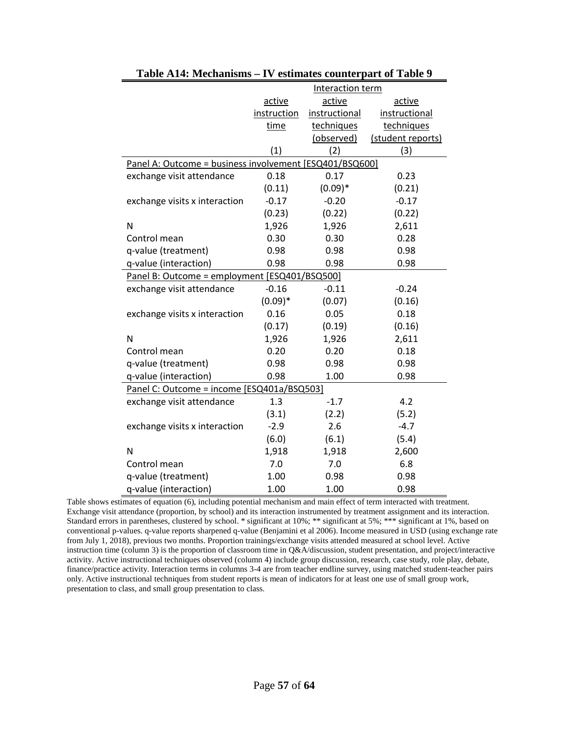|                                                         |             | Interaction term |                   |
|---------------------------------------------------------|-------------|------------------|-------------------|
|                                                         | active      | active           | active            |
|                                                         | instruction | instructional    | instructional     |
|                                                         | time        | techniques       | techniques        |
|                                                         |             | (observed)       | (student reports) |
|                                                         | (1)         | (2)              | (3)               |
| Panel A: Outcome = business involvement [ESQ401/BSQ600] |             |                  |                   |
| exchange visit attendance                               | 0.18        | 0.17             | 0.23              |
|                                                         | (0.11)      | $(0.09)*$        | (0.21)            |
| exchange visits x interaction                           | $-0.17$     | $-0.20$          | $-0.17$           |
|                                                         | (0.23)      | (0.22)           | (0.22)            |
| N                                                       | 1,926       | 1,926            | 2,611             |
| Control mean                                            | 0.30        | 0.30             | 0.28              |
| q-value (treatment)                                     | 0.98        | 0.98             | 0.98              |
| q-value (interaction)                                   | 0.98        | 0.98             | 0.98              |
| Panel B: Outcome = employment [ESQ401/BSQ500]           |             |                  |                   |
| exchange visit attendance                               | $-0.16$     | $-0.11$          | $-0.24$           |
|                                                         | $(0.09)*$   | (0.07)           | (0.16)            |
| exchange visits x interaction                           | 0.16        | 0.05             | 0.18              |
|                                                         | (0.17)      | (0.19)           | (0.16)            |
| N                                                       | 1,926       | 1,926            | 2,611             |
| Control mean                                            | 0.20        | 0.20             | 0.18              |
| q-value (treatment)                                     | 0.98        | 0.98             | 0.98              |
| q-value (interaction)                                   | 0.98        | 1.00             | 0.98              |
| Panel C: Outcome = income [ESQ401a/BSQ503]              |             |                  |                   |
| exchange visit attendance                               | 1.3         | $-1.7$           | 4.2               |
|                                                         | (3.1)       | (2.2)            | (5.2)             |
| exchange visits x interaction                           | $-2.9$      | 2.6              | $-4.7$            |
|                                                         | (6.0)       | (6.1)            | (5.4)             |
| N                                                       | 1,918       | 1,918            | 2,600             |
| Control mean                                            | 7.0         | 7.0              | 6.8               |
| q-value (treatment)                                     | 1.00        | 0.98             | 0.98              |
| q-value (interaction)                                   | 1.00        | 1.00             | 0.98              |

| Table A14: Mechanisms – IV estimates counterpart of Table 9 |  |  |  |  |  |
|-------------------------------------------------------------|--|--|--|--|--|
|-------------------------------------------------------------|--|--|--|--|--|

Table shows estimates of equation (6), including potential mechanism and main effect of term interacted with treatment. Exchange visit attendance (proportion, by school) and its interaction instrumented by treatment assignment and its interaction. Standard errors in parentheses, clustered by school. \* significant at 10%; \*\* significant at 5%; \*\*\* significant at 1%, based on conventional p-values. q-value reports sharpened q-value (Benjamini et al 2006). Income measured in USD (using exchange rate from July 1, 2018), previous two months. Proportion trainings/exchange visits attended measured at school level. Active instruction time (column 3) is the proportion of classroom time in Q&A/discussion, student presentation, and project/interactive activity. Active instructional techniques observed (column 4) include group discussion, research, case study, role play, debate, finance/practice activity. Interaction terms in columns 3-4 are from teacher endline survey, using matched student-teacher pairs only. Active instructional techniques from student reports is mean of indicators for at least one use of small group work, presentation to class, and small group presentation to class.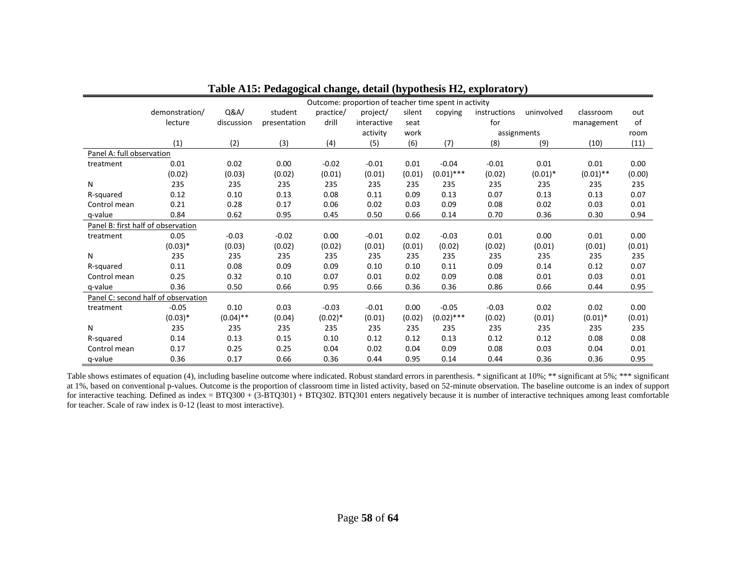|                                    | Outcome: proportion of teacher time spent in activity |             |              |           |             |        |              |              |            |             |        |
|------------------------------------|-------------------------------------------------------|-------------|--------------|-----------|-------------|--------|--------------|--------------|------------|-------------|--------|
|                                    | demonstration/                                        | Q&A/        | student      | practice/ | project/    | silent | copying      | instructions | uninvolved | classroom   | out    |
|                                    | lecture                                               | discussion  | presentation | drill     | interactive | seat   |              | for          |            | management  | of     |
|                                    |                                                       |             |              |           | activity    | work   |              | assignments  |            |             | room   |
|                                    | (1)                                                   | (2)         | (3)          | (4)       | (5)         | (6)    | (7)          | (8)          | (9)        | (10)        | (11)   |
| Panel A: full observation          |                                                       |             |              |           |             |        |              |              |            |             |        |
| treatment                          | 0.01                                                  | 0.02        | 0.00         | $-0.02$   | $-0.01$     | 0.01   | $-0.04$      | $-0.01$      | 0.01       | 0.01        | 0.00   |
|                                    | (0.02)                                                | (0.03)      | (0.02)       | (0.01)    | (0.01)      | (0.01) | $(0.01)$ *** | (0.02)       | $(0.01)^*$ | $(0.01)$ ** | (0.00) |
| N                                  | 235                                                   | 235         | 235          | 235       | 235         | 235    | 235          | 235          | 235        | 235         | 235    |
| R-squared                          | 0.12                                                  | 0.10        | 0.13         | 0.08      | 0.11        | 0.09   | 0.13         | 0.07         | 0.13       | 0.13        | 0.07   |
| Control mean                       | 0.21                                                  | 0.28        | 0.17         | 0.06      | 0.02        | 0.03   | 0.09         | 0.08         | 0.02       | 0.03        | 0.01   |
| q-value                            | 0.84                                                  | 0.62        | 0.95         | 0.45      | 0.50        | 0.66   | 0.14         | 0.70         | 0.36       | 0.30        | 0.94   |
| Panel B: first half of observation |                                                       |             |              |           |             |        |              |              |            |             |        |
| treatment                          | 0.05                                                  | $-0.03$     | $-0.02$      | 0.00      | $-0.01$     | 0.02   | $-0.03$      | 0.01         | 0.00       | 0.01        | 0.00   |
|                                    | $(0.03)*$                                             | (0.03)      | (0.02)       | (0.02)    | (0.01)      | (0.01) | (0.02)       | (0.02)       | (0.01)     | (0.01)      | (0.01) |
| N                                  | 235                                                   | 235         | 235          | 235       | 235         | 235    | 235          | 235          | 235        | 235         | 235    |
| R-squared                          | 0.11                                                  | 0.08        | 0.09         | 0.09      | 0.10        | 0.10   | 0.11         | 0.09         | 0.14       | 0.12        | 0.07   |
| Control mean                       | 0.25                                                  | 0.32        | 0.10         | 0.07      | 0.01        | 0.02   | 0.09         | 0.08         | 0.01       | 0.03        | 0.01   |
| q-value                            | 0.36                                                  | 0.50        | 0.66         | 0.95      | 0.66        | 0.36   | 0.36         | 0.86         | 0.66       | 0.44        | 0.95   |
|                                    | Panel C: second half of observation                   |             |              |           |             |        |              |              |            |             |        |
| treatment                          | $-0.05$                                               | 0.10        | 0.03         | $-0.03$   | $-0.01$     | 0.00   | $-0.05$      | $-0.03$      | 0.02       | 0.02        | 0.00   |
|                                    | $(0.03)*$                                             | $(0.04)$ ** | (0.04)       | $(0.02)*$ | (0.01)      | (0.02) | $(0.02)$ *** | (0.02)       | (0.01)     | $(0.01)^*$  | (0.01) |
| N                                  | 235                                                   | 235         | 235          | 235       | 235         | 235    | 235          | 235          | 235        | 235         | 235    |
| R-squared                          | 0.14                                                  | 0.13        | 0.15         | 0.10      | 0.12        | 0.12   | 0.13         | 0.12         | 0.12       | 0.08        | 0.08   |
| Control mean                       | 0.17                                                  | 0.25        | 0.25         | 0.04      | 0.02        | 0.04   | 0.09         | 0.08         | 0.03       | 0.04        | 0.01   |
| q-value                            | 0.36                                                  | 0.17        | 0.66         | 0.36      | 0.44        | 0.95   | 0.14         | 0.44         | 0.36       | 0.36        | 0.95   |

### **Table A15: Pedagogical change, detail (hypothesis H2, exploratory)**

Table shows estimates of equation (4), including baseline outcome where indicated. Robust standard errors in parenthesis. \* significant at 10%; \*\* significant at 5%; \*\*\* significant at 1%, based on conventional p-values. Outcome is the proportion of classroom time in listed activity, based on 52-minute observation. The baseline outcome is an index of support for interactive teaching. Defined as index =  $BTQ300 + (3-BTQ301) + BTQ302$ . BTQ301 enters negatively because it is number of interactive techniques among least comfortable for teacher. Scale of raw index is 0-12 (least to most interactive).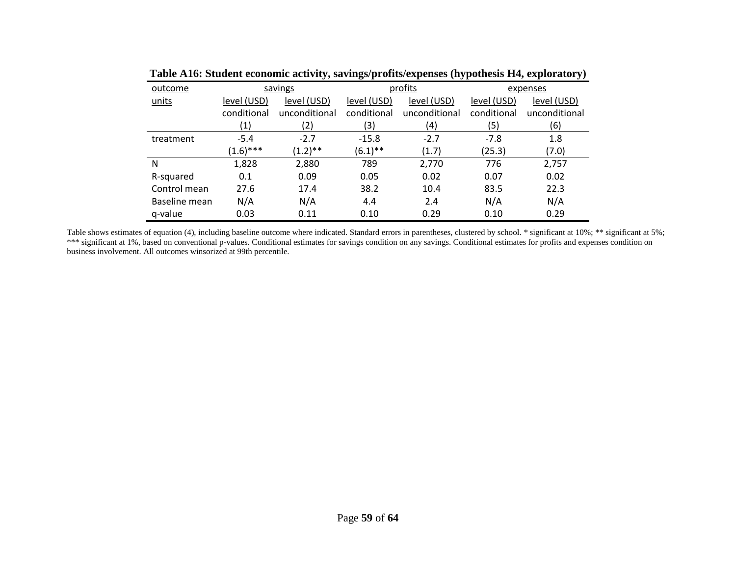| outcome       |                   | savings       |                            | profits       | expenses    |               |  |
|---------------|-------------------|---------------|----------------------------|---------------|-------------|---------------|--|
| units         | level (USD)       | level (USD)   | level (USD)<br>level (USD) |               | level (USD) | level (USD)   |  |
|               | conditional       | unconditional | conditional                | unconditional | conditional | unconditional |  |
|               | $\left( 1\right)$ | (2)           | (3)                        | (4)           | (5)         | (6)           |  |
| treatment     | $-5.4$            | $-2.7$        | $-15.8$                    | $-2.7$        | $-7.8$      | 1.8           |  |
|               | $(1.6)$ ***       | $(1.2)$ **    | $(6.1)$ **                 | (1.7)         | (25.3)      | (7.0)         |  |
| N             | 1,828             | 2,880         | 789                        | 2,770         | 776         | 2,757         |  |
| R-squared     | 0.1               | 0.09          | 0.05                       | 0.02          | 0.07        | 0.02          |  |
| Control mean  | 27.6              | 17.4          | 38.2                       | 10.4          | 83.5        | 22.3          |  |
| Baseline mean | N/A               | N/A           | 4.4                        | 2.4           | N/A         | N/A           |  |
| q-value       | 0.03              | 0.11          | 0.10                       | 0.29          | 0.10        | 0.29          |  |

**Table A16: Student economic activity, savings/profits/expenses (hypothesis H4, exploratory)**

Table shows estimates of equation (4), including baseline outcome where indicated. Standard errors in parentheses, clustered by school. \* significant at 10%; \*\* significant at 5%; \*\*\* significant at 1%, based on conventional p-values. Conditional estimates for savings condition on any savings. Conditional estimates for profits and expenses condition on business involvement. All outcomes winsorized at 99th percentile.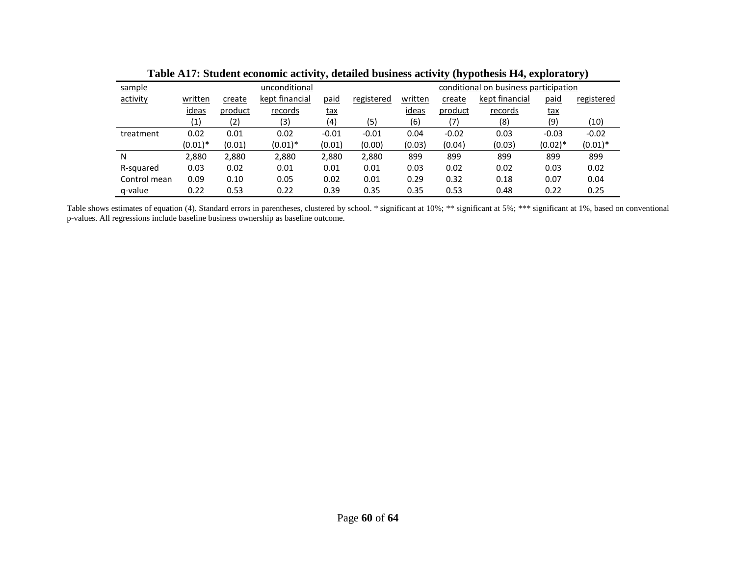|              | radic Art , Diddeni economic activity, uctaned dusiness activity (hypothesis 11-1, exploratory) |         |                |            |            |                                       |         |                |            |            |  |
|--------------|-------------------------------------------------------------------------------------------------|---------|----------------|------------|------------|---------------------------------------|---------|----------------|------------|------------|--|
| sample       |                                                                                                 |         | unconditional  |            |            | conditional on business participation |         |                |            |            |  |
| activity     | written                                                                                         | create  | kept financial | paid       | registered | written                               | create  | kept financial | paid       | registered |  |
|              | ideas                                                                                           | product | records        | <u>tax</u> |            | ideas                                 | product | records        | <u>tax</u> |            |  |
|              | (1)                                                                                             | (2)     | (3)            | (4)        | (5)        | (6)                                   | (7)     | (8)            | (9)        | (10)       |  |
| treatment    | 0.02                                                                                            | 0.01    | 0.02           | $-0.01$    | $-0.01$    | 0.04                                  | $-0.02$ | 0.03           | $-0.03$    | $-0.02$    |  |
|              | $(0.01)^*$                                                                                      | (0.01)  | $(0.01)^*$     | (0.01)     | (0.00)     | (0.03)                                | (0.04)  | (0.03)         | $(0.02)*$  | $(0.01)^*$ |  |
| Ν            | 2,880                                                                                           | 2,880   | 2,880          | 2,880      | 2,880      | 899                                   | 899     | 899            | 899        | 899        |  |
| R-squared    | 0.03                                                                                            | 0.02    | 0.01           | 0.01       | 0.01       | 0.03                                  | 0.02    | 0.02           | 0.03       | 0.02       |  |
| Control mean | 0.09                                                                                            | 0.10    | 0.05           | 0.02       | 0.01       | 0.29                                  | 0.32    | 0.18           | 0.07       | 0.04       |  |
| q-value      | 0.22                                                                                            | 0.53    | 0.22           | 0.39       | 0.35       | 0.35                                  | 0.53    | 0.48           | 0.22       | 0.25       |  |

**Table A17: Student economic activity, detailed business activity (hypothesis H4, exploratory)**

Table shows estimates of equation (4). Standard errors in parentheses, clustered by school. \* significant at 10%; \*\* significant at 5%; \*\*\* significant at 1%, based on conventional p-values. All regressions include baseline business ownership as baseline outcome.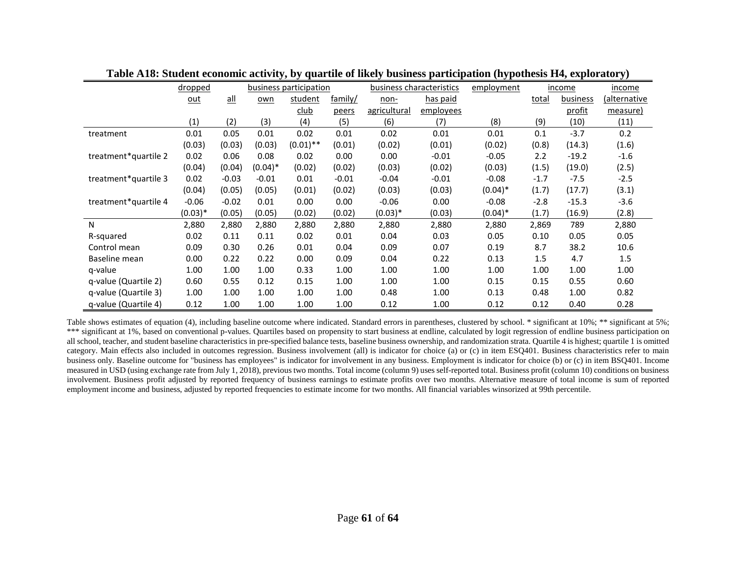|                      | dropped    |         | business participation |             |         | business characteristics |           |            | income | income          |                     |
|----------------------|------------|---------|------------------------|-------------|---------|--------------------------|-----------|------------|--------|-----------------|---------------------|
|                      | <u>out</u> | $all$   | own                    | student     | family/ | non-                     | has paid  |            | total  | <b>business</b> | <u>(alternative</u> |
|                      |            |         |                        | <u>club</u> | peers   | agricultural             | employees |            |        | profit          | measure)            |
|                      | (1)        | (2)     | (3)                    | (4)         | (5)     | (6)                      | (7)       | (8)        | (9)    | (10)            | (11)                |
| treatment            | 0.01       | 0.05    | 0.01                   | 0.02        | 0.01    | 0.02                     | 0.01      | 0.01       | 0.1    | $-3.7$          | 0.2                 |
|                      | (0.03)     | (0.03)  | (0.03)                 | $(0.01)$ ** | (0.01)  | (0.02)                   | (0.01)    | (0.02)     | (0.8)  | (14.3)          | (1.6)               |
| treatment*quartile 2 | 0.02       | 0.06    | 0.08                   | 0.02        | 0.00    | 0.00                     | $-0.01$   | $-0.05$    | 2.2    | $-19.2$         | $-1.6$              |
|                      | (0.04)     | (0.04)  | $(0.04)*$              | (0.02)      | (0.02)  | (0.03)                   | (0.02)    | (0.03)     | (1.5)  | (19.0)          | (2.5)               |
| treatment*quartile 3 | 0.02       | $-0.03$ | $-0.01$                | 0.01        | $-0.01$ | $-0.04$                  | $-0.01$   | $-0.08$    | $-1.7$ | $-7.5$          | $-2.5$              |
|                      | (0.04)     | (0.05)  | (0.05)                 | (0.01)      | (0.02)  | (0.03)                   | (0.03)    | $(0.04)*$  | (1.7)  | (17.7)          | (3.1)               |
| treatment*quartile 4 | $-0.06$    | $-0.02$ | 0.01                   | 0.00        | 0.00    | $-0.06$                  | 0.00      | $-0.08$    | $-2.8$ | $-15.3$         | $-3.6$              |
|                      | $(0.03)*$  | (0.05)  | (0.05)                 | (0.02)      | (0.02)  | $(0.03)*$                | (0.03)    | $(0.04)^*$ | (1.7)  | (16.9)          | (2.8)               |
| N                    | 2,880      | 2,880   | 2,880                  | 2,880       | 2,880   | 2,880                    | 2,880     | 2,880      | 2,869  | 789             | 2,880               |
| R-squared            | 0.02       | 0.11    | 0.11                   | 0.02        | 0.01    | 0.04                     | 0.03      | 0.05       | 0.10   | 0.05            | 0.05                |
| Control mean         | 0.09       | 0.30    | 0.26                   | 0.01        | 0.04    | 0.09                     | 0.07      | 0.19       | 8.7    | 38.2            | 10.6                |
| Baseline mean        | 0.00       | 0.22    | 0.22                   | 0.00        | 0.09    | 0.04                     | 0.22      | 0.13       | 1.5    | 4.7             | 1.5                 |
| q-value              | 1.00       | 1.00    | 1.00                   | 0.33        | 1.00    | 1.00                     | 1.00      | 1.00       | 1.00   | 1.00            | 1.00                |
| q-value (Quartile 2) | 0.60       | 0.55    | 0.12                   | 0.15        | 1.00    | 1.00                     | 1.00      | 0.15       | 0.15   | 0.55            | 0.60                |
| q-value (Quartile 3) | 1.00       | 1.00    | 1.00                   | 1.00        | 1.00    | 0.48                     | 1.00      | 0.13       | 0.48   | 1.00            | 0.82                |
| q-value (Quartile 4) | 0.12       | 1.00    | 1.00                   | 1.00        | 1.00    | 0.12                     | 1.00      | 0.12       | 0.12   | 0.40            | 0.28                |

**Table A18: Student economic activity, by quartile of likely business participation (hypothesis H4, exploratory)**

Table shows estimates of equation (4), including baseline outcome where indicated. Standard errors in parentheses, clustered by school. \* significant at 10%; \*\* significant at 5%; \*\*\* significant at 1%, based on conventional p-values. Quartiles based on propensity to start business at endline, calculated by logit regression of endline business participation on all school, teacher, and student baseline characteristics in pre-specified balance tests, baseline business ownership, and randomization strata. Quartile 4 is highest; quartile 1 is omitted category. Main effects also included in outcomes regression. Business involvement (all) is indicator for choice (a) or (c) in item ESQ401. Business characteristics refer to main business only. Baseline outcome for "business has employees" is indicator for involvement in any business. Employment is indicator for choice (b) or (c) in item BSQ401. Income measured in USD (using exchange rate from July 1, 2018), previous two months. Total income (column 9) uses self-reported total. Business profit (column 10) conditions on business involvement. Business profit adjusted by reported frequency of business earnings to estimate profits over two months. Alternative measure of total income is sum of reported employment income and business, adjusted by reported frequencies to estimate income for two months. All financial variables winsorized at 99th percentile.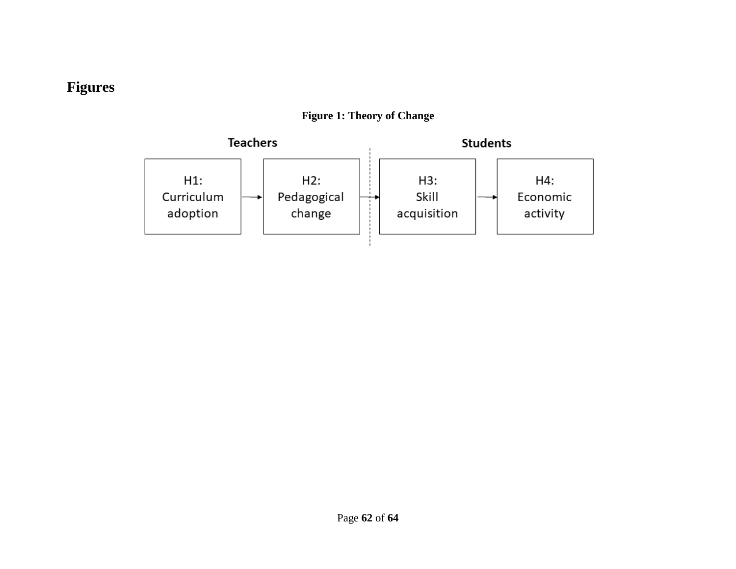# **Figures**

<span id="page-63-0"></span>

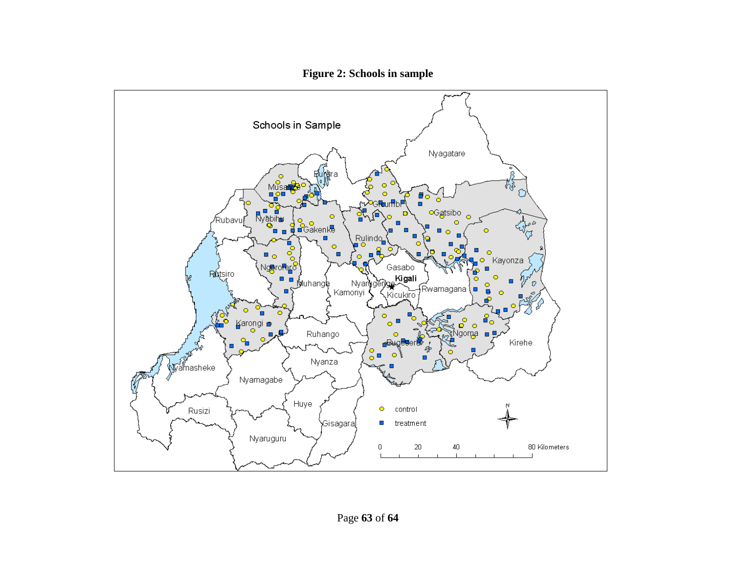

**Figure 2: Schools in sample**